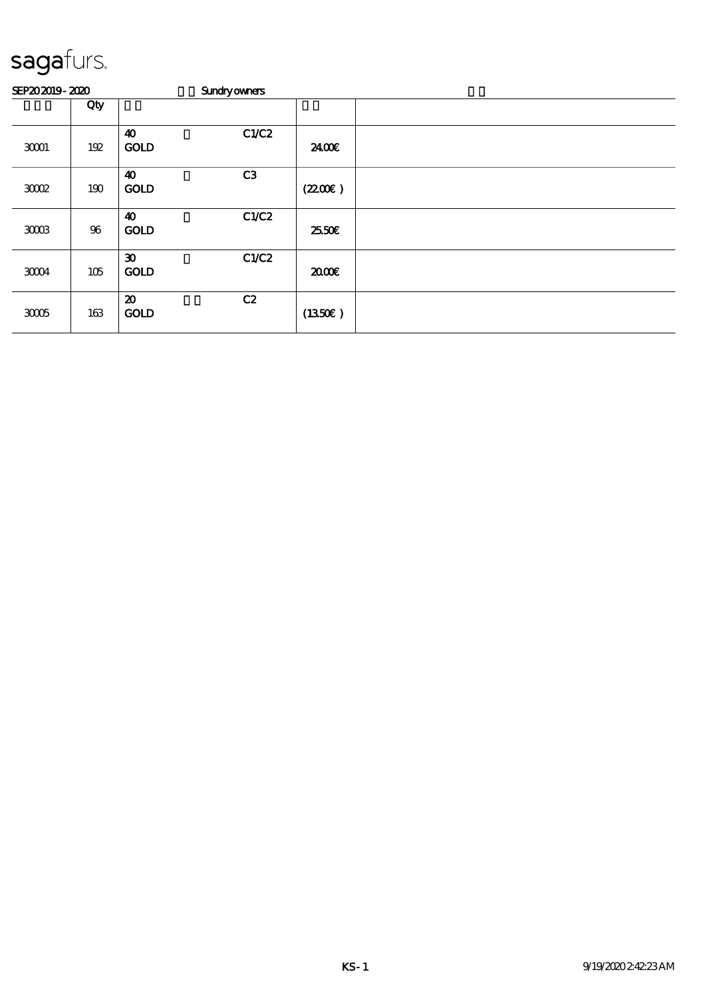| SEP202019-2020 |        |                                            | <b>Sundryowners</b> |         |  |
|----------------|--------|--------------------------------------------|---------------------|---------|--|
|                | Qty    |                                            |                     |         |  |
| 30001          | 192    | $\boldsymbol{\omega}$<br><b>GOLD</b>       | C1/C2               | 24.00E  |  |
| 3002           | 190    | $\boldsymbol{\omega}$<br><b>GOLD</b>       | C <sub>3</sub>      | (220E)  |  |
| 300B           | $96\,$ | $\boldsymbol{\omega}$<br><b>GOLD</b>       | C1/C2               | 25.50€  |  |
| 30004          | 105    | $\boldsymbol{\mathfrak{D}}$<br><b>GOLD</b> | C1/C2               | 2000    |  |
| 3005           | 163    | $\boldsymbol{\mathfrak{D}}$<br><b>GOLD</b> | C2                  | (1350E) |  |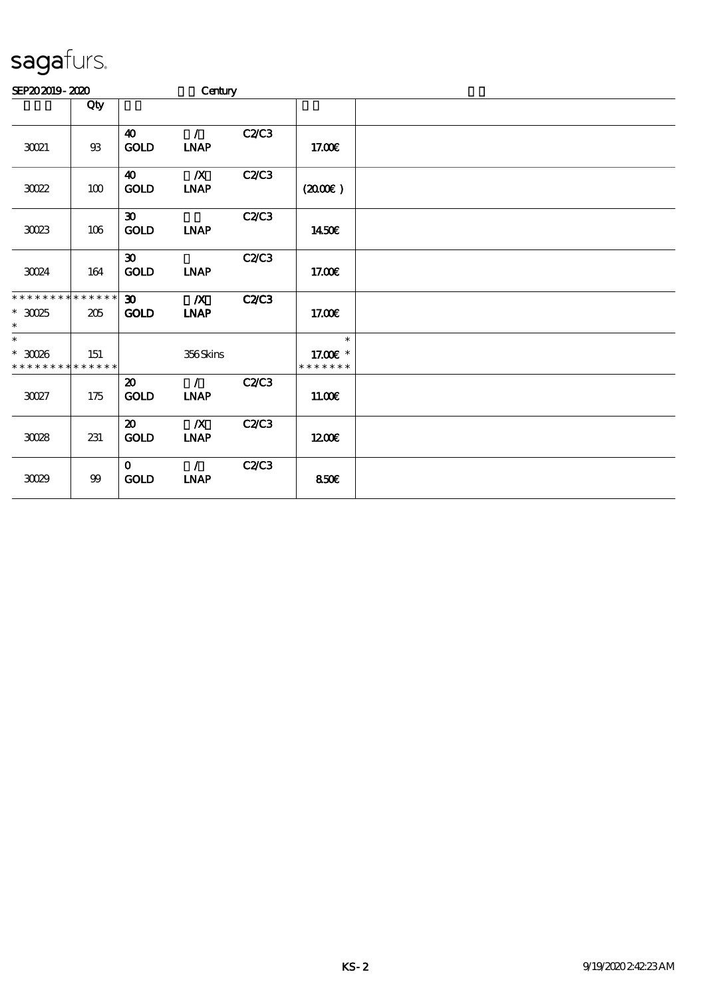| SEP202019-2020                                         |                |                                            | Century                         |              |                                     |  |
|--------------------------------------------------------|----------------|--------------------------------------------|---------------------------------|--------------|-------------------------------------|--|
|                                                        | Qty            |                                            |                                 |              |                                     |  |
| 30021                                                  | $93\,$         | $\boldsymbol{\omega}$<br><b>GOLD</b>       | $\mathcal{L}$<br><b>INAP</b>    | C2/C3        | 17.00E                              |  |
| $3022\,$                                               | $100\,$        | 40<br>GOLD                                 | $\boldsymbol{X}$<br><b>INAP</b> | C2C3         | (200E)                              |  |
| 3023                                                   | 106            | $\boldsymbol{\mathfrak{D}}$<br><b>GOLD</b> | <b>INAP</b>                     | C2C3         | 1450E                               |  |
| 30024                                                  | 164            | $\boldsymbol{\mathfrak{D}}$<br>GOLD        | <b>INAP</b>                     | <b>C2/C3</b> | 17.00€                              |  |
| * * * * * * * * * * * * * *<br>$^\ast$ 30025<br>$\ast$ | 205            | 30 <sup>2</sup><br><b>GOLD</b>             | $\boldsymbol{X}$<br><b>INAP</b> | <b>C2/C3</b> | 17.00E                              |  |
| $\ast$<br>$^\ast$ 30026<br>* * * * * * * * * * * * * * | 151            |                                            | 356Skins                        |              | $\ast$<br>17.00 £*<br>* * * * * * * |  |
| 30027                                                  | 175            | $\boldsymbol{\mathfrak{D}}$<br><b>GOLD</b> | $\mathcal{L}$<br><b>INAP</b>    | <b>C2/C3</b> | 11.00E                              |  |
| $300\!\!\!\!\!\!\!38$                                  | 231            | $\boldsymbol{\mathfrak{D}}$<br><b>GOLD</b> | $\boldsymbol{X}$<br>INAP        | C2C3         | 1200                                |  |
| 3029                                                   | $9\hskip-2pt9$ | $\mathbf{O}$<br><b>GOLD</b>                | $\mathcal{L}$<br><b>INAP</b>    | C2C3         | 850E                                |  |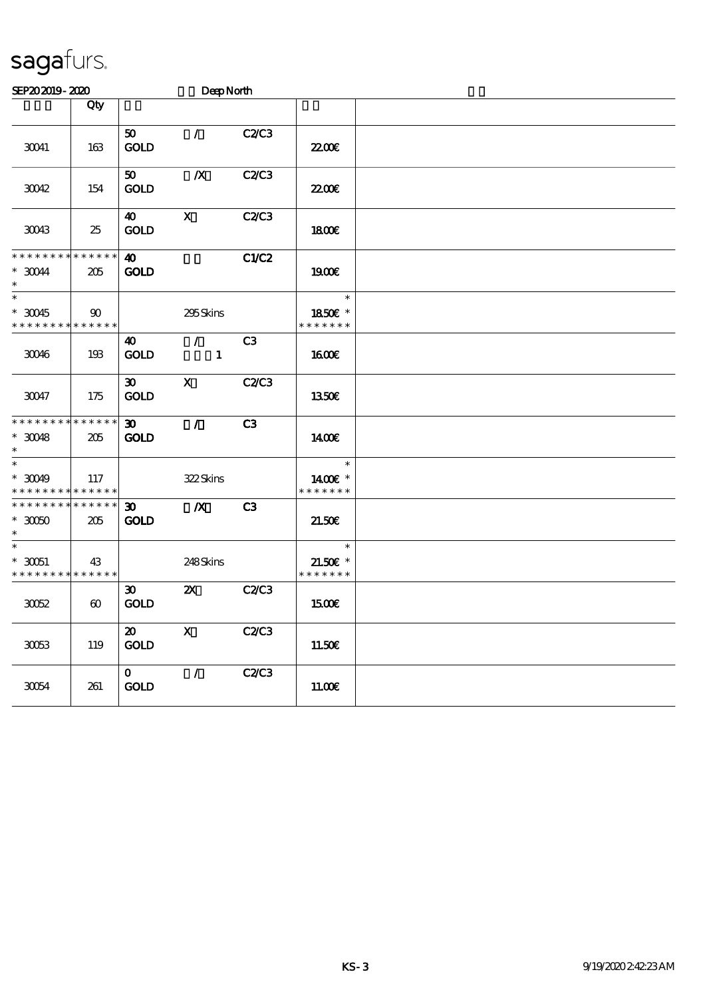| SEP202019-2020                                                    |                       |                                            | DeepNorth                     |                |                                       |  |
|-------------------------------------------------------------------|-----------------------|--------------------------------------------|-------------------------------|----------------|---------------------------------------|--|
|                                                                   | Qty                   |                                            |                               |                |                                       |  |
| 30041                                                             | 163                   | 50 <sub>o</sub><br><b>GOLD</b>             | $\mathcal{L}$                 | <b>C2/C3</b>   | 2200                                  |  |
| 30042                                                             | 154                   | 50 <sub>o</sub><br><b>GOLD</b>             | $\boldsymbol{X}$              | <b>C2/C3</b>   | <b>2200E</b>                          |  |
| 30043                                                             | 25                    | 40<br><b>GOLD</b>                          | $\mathbf{x}$                  | <b>C2/C3</b>   | 1800E                                 |  |
| * * * * * * * * * * * * * *<br>$*$ 30044<br>$\ast$                | 205                   | $\boldsymbol{\omega}$<br><b>GOLD</b>       |                               | <b>C1/C2</b>   | 1900E                                 |  |
| $\ast$<br>$^*$ 30045 $\,$<br>* * * * * * * * * * * * * *          | 90                    |                                            | 295Skins                      |                | $\ast$<br>1850E *<br>* * * * * * *    |  |
| 30046                                                             | 193                   | 40<br><b>GOLD</b>                          | $\mathcal{L}$<br>$\mathbf{1}$ | C3             | 1600E                                 |  |
| 30047                                                             | 175                   | $\boldsymbol{\mathfrak{D}}$<br><b>GOLD</b> | $\mathbf x$                   | <b>C2/C3</b>   | <b>1350€</b>                          |  |
| * * * * * * * * * * * * * *<br>$*$ 30048<br>$\ast$                | 205                   | $\boldsymbol{\mathfrak{D}}$<br><b>GOLD</b> | $\mathcal{T}$                 | C <sub>3</sub> | 1400E                                 |  |
| $\ast$<br>$*$ 30049<br>* * * * * * * * <mark>* * * * * *</mark> * | 117                   |                                            | 322Skins                      |                | $\ast$<br>1400€ *<br>* * * * * * *    |  |
| * * * * * * * * * * * * * *<br>$^\ast$ 3000<br>$\ast$             | 205                   | $\boldsymbol{\mathfrak{D}}$<br><b>GOLD</b> | $\boldsymbol{X}$              | C <sub>3</sub> | 21.50E                                |  |
| $\ast$<br>$*$ 30051<br>* * * * * * * * * * * * * *                | 43                    |                                            | 248Skins                      |                | $\ast$<br>$21.50E$ *<br>* * * * * * * |  |
| $3002$                                                            | $\boldsymbol{\omega}$ | $\boldsymbol{\mathfrak{D}}$<br><b>GOLD</b> | $\boldsymbol{\mathsf{X}}$     | <b>C2/C3</b>   | 1500€                                 |  |
| 30053                                                             | 119                   | $\boldsymbol{\mathfrak{D}}$<br><b>GOLD</b> | $\mathbf X$                   | C2/C3          | 11.50E                                |  |
| 30054                                                             | 261                   | $\mathbf{o}$<br>GOLD                       | $\mathcal{L}$                 | C2C3           | 11.00E                                |  |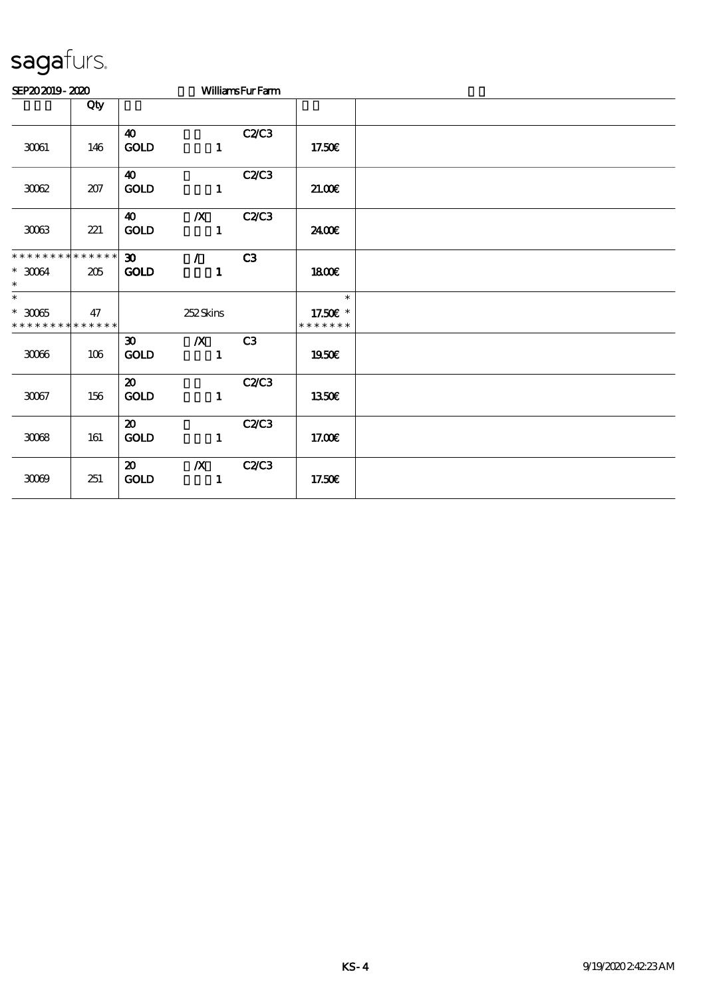| SEP202019-2020                                         |                   |                                            |                                  | <b>WilliamsFurFam</b> |                                     |  |
|--------------------------------------------------------|-------------------|--------------------------------------------|----------------------------------|-----------------------|-------------------------------------|--|
|                                                        | Qty               |                                            |                                  |                       |                                     |  |
| 30061                                                  | 146               | $\boldsymbol{\omega}$<br>GOLD              | $\mathbf{1}$                     | C2C3                  | 17.50E                              |  |
| $3002$                                                 | 207               | $\boldsymbol{\omega}$<br><b>GOLD</b>       | $\mathbf{1}$                     | C2C3                  | 21.00                               |  |
| $3003\,$                                               | 221               | 40<br>$\mathbf{GOLD}$                      | $\boldsymbol{X}$<br>$\mathbf{1}$ | C2C3                  | 2400E                               |  |
| * * * * * * * * * * * * * *<br>$^\ast$ 30064<br>$\ast$ | 205               | $\infty$<br><b>GOLD</b>                    | $\mathcal{L}$<br>$\mathbf{1}$    | C3                    | 1800E                               |  |
| $\ast$<br>$^\ast$ 30065<br>* * * * * * * *             | 47<br>* * * * * * |                                            | 252Skins                         |                       | $\ast$<br>17.50€ *<br>* * * * * * * |  |
| $3006\,$                                               | 106               | $\boldsymbol{\mathfrak{D}}$<br><b>GOLD</b> | $\boldsymbol{X}$<br>$\mathbf{1}$ | C <sub>3</sub>        | 1950E                               |  |
| 30067                                                  | 156               | $\boldsymbol{\mathfrak{D}}$<br>GOLD        | $\mathbf{1}$                     | C2/C3                 | 1350E                               |  |
| $3008\,$                                               | 161               | $\boldsymbol{\mathfrak{D}}$<br><b>GOLD</b> | $\mathbf{1}$                     | C2/C3                 | 17.00E                              |  |
| 30099                                                  | 251               | $\boldsymbol{\mathfrak{D}}$<br><b>GOLD</b> | $\boldsymbol{X}$<br>$\mathbf{1}$ | <b>C2/C3</b>          | 17.50E                              |  |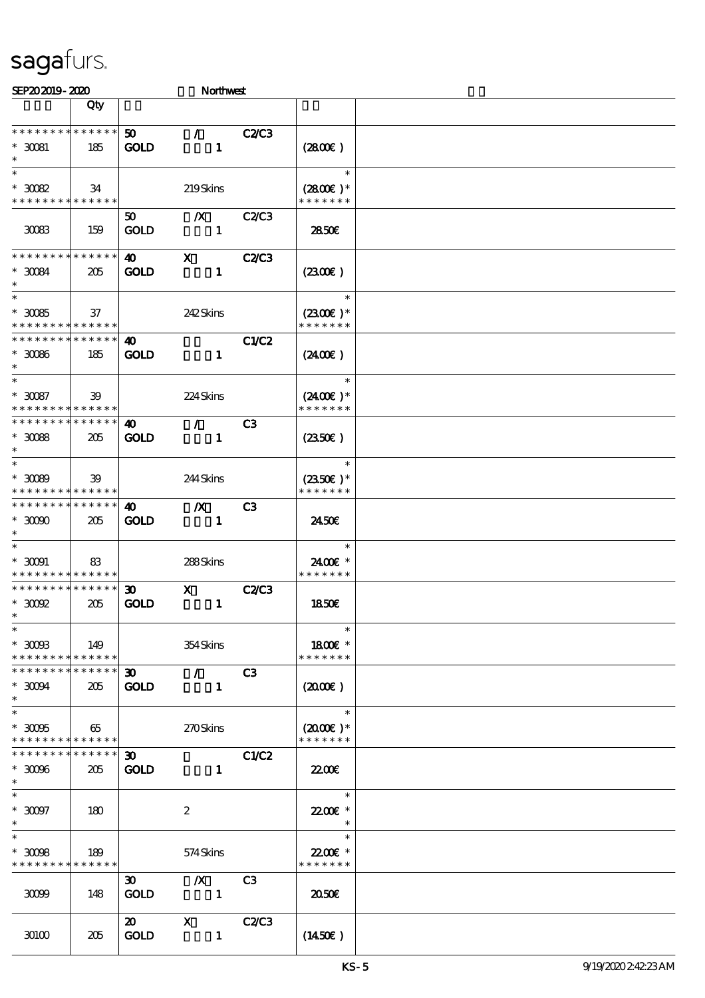| SEP202019-2020                                                                           |                        |                                            | Northwest                                       |                |                                               |  |
|------------------------------------------------------------------------------------------|------------------------|--------------------------------------------|-------------------------------------------------|----------------|-----------------------------------------------|--|
|                                                                                          | Qty                    |                                            |                                                 |                |                                               |  |
| * * * * * * * *<br>$*$ 30081<br>$\ast$                                                   | ******<br>185          | 50 <sub>1</sub><br><b>GOLD</b>             | $\mathcal{L}$<br>$\mathbf{1}$                   | <b>C2/C3</b>   | (2800)                                        |  |
| $\ast$<br>$^\ast$ 30082<br>* * * * * * * * * * * * * *                                   | 34                     |                                            | 219Skins                                        |                | $\ast$<br>$(2800)$ *<br>* * * * * * *         |  |
| 30083                                                                                    | 159                    | $50^{\circ}$<br><b>GOLD</b>                | $\boldsymbol{X}$<br>$\mathbf{1}$                | C2C3           | 2850E                                         |  |
| * * * * * * * *<br>$^*$ 30084 $\,$<br>$\ast$                                             | * * * * * *<br>205     | $\boldsymbol{\omega}$<br><b>GOLD</b>       | $\mathbf{x}$<br>$\mathbf{1}$                    | <b>C2/C3</b>   | (2300)                                        |  |
| $\overline{\ast}$<br>$^\ast$ 30085<br>* * * * * * * * * * * * * *                        | 37                     |                                            | 242Skins                                        |                | $\ast$<br>$(2300)$ *<br>* * * * * * *         |  |
| * * * * * * * * * * * * * *<br>$^\ast$ 30066<br>$\ast$                                   | 185                    | 40<br><b>GOLD</b>                          | $\mathbf{1}$                                    | <b>C1/C2</b>   | $(2400\varepsilon)$                           |  |
| $\ast$<br>$^\ast$ 30087<br>* * * * * * * * * * * * * *                                   | 39                     |                                            | 224Skins                                        |                | $\ast$<br>$(2400)$ *<br>* * * * * * *         |  |
| * * * * * * * * * * * * * *<br>$^\ast$ 30088<br>$\ast$                                   | 205                    | 40<br><b>GOLD</b>                          | $\mathcal{L}$<br>$\mathbf{1}$                   | C <sub>3</sub> | $(2350\varepsilon)$                           |  |
| $\ast$<br>$*3089$<br>* * * * * * * * <mark>* * * * * *</mark>                            | 39                     |                                            | 244Skins                                        |                | $\ast$<br>$(2350\epsilon)*$<br>* * * * * * *  |  |
| * * * * * * * *<br>$*$ 3000<br>$\ast$                                                    | * * * * * *<br>205     | 40<br><b>GOLD</b>                          | $\boldsymbol{X}$<br>$\mathbf{1}$                | C3             | 2450E                                         |  |
| $\ast$<br>$^\ast$ 30091<br>* * * * * * * * <mark>* * * * * *</mark>                      | 83                     |                                            | 288Skins                                        |                | $\ast$<br>2400€ *<br>* * * * * * *            |  |
| * * * * * * * * * * * * * *<br>$*$ 30092<br>$*$                                          | 205                    | 30 <sub>o</sub><br><b>GOLD</b>             | $\mathbf{x}$<br>$\mathbf{1}$                    | <b>C2C3</b>    | 1850E                                         |  |
| $\ast$<br>$*$ 3008<br>* * * * * * * * * * * * * * *                                      | 149                    |                                            | 354Skins                                        |                | $\ast$<br>1800€ *<br>* * * * * * *            |  |
| * * * * * * * *<br>$*$ 30094<br>$\ast$                                                   | ******<br>205          | $\infty$<br><b>GOLD</b>                    | $\mathcal{T}$ and $\mathcal{T}$<br>$\mathbf{1}$ | C3             | (200)                                         |  |
| $\overline{\phantom{0}}$<br>$* 3006$<br>* * * * * * * * * * * * * *                      | 65                     |                                            | 270Skins                                        |                | $\ast$<br>$(2000\text{E})$ *<br>* * * * * * * |  |
| * * * * * * * *<br>$*$ 30006<br>$\ast$                                                   | $* * * * * * *$<br>205 | $\boldsymbol{\mathfrak{D}}$<br><b>GOLD</b> | $\mathbf{1}$                                    | <b>C1/C2</b>   | 2200                                          |  |
| $\ast$<br>$^\ast$ 30097                                                                  | 180                    |                                            | $\boldsymbol{z}$                                |                | $\ast$<br>22.00€ *<br>$\ast$                  |  |
| $\overline{\ast}$<br>$\hspace{0.1cm}^*$ 3008<br>* * * * * * * * <mark>* * * * * *</mark> | 189                    |                                            | 574Skins                                        |                | $\ast$<br>22.00€ *<br>* * * * * * *           |  |
| 30099                                                                                    | 148                    | $\boldsymbol{\mathfrak{D}}$<br><b>GOLD</b> | $\boldsymbol{X}$<br>$\mathbf{1}$                | C <sub>3</sub> | 2050                                          |  |
| 30100                                                                                    | 205                    | $\boldsymbol{\mathfrak{D}}$<br><b>GOLD</b> | $\mathbf{X}$<br>$\mathbf{1}$                    | <b>C2/C3</b>   | $(1450\epsilon)$                              |  |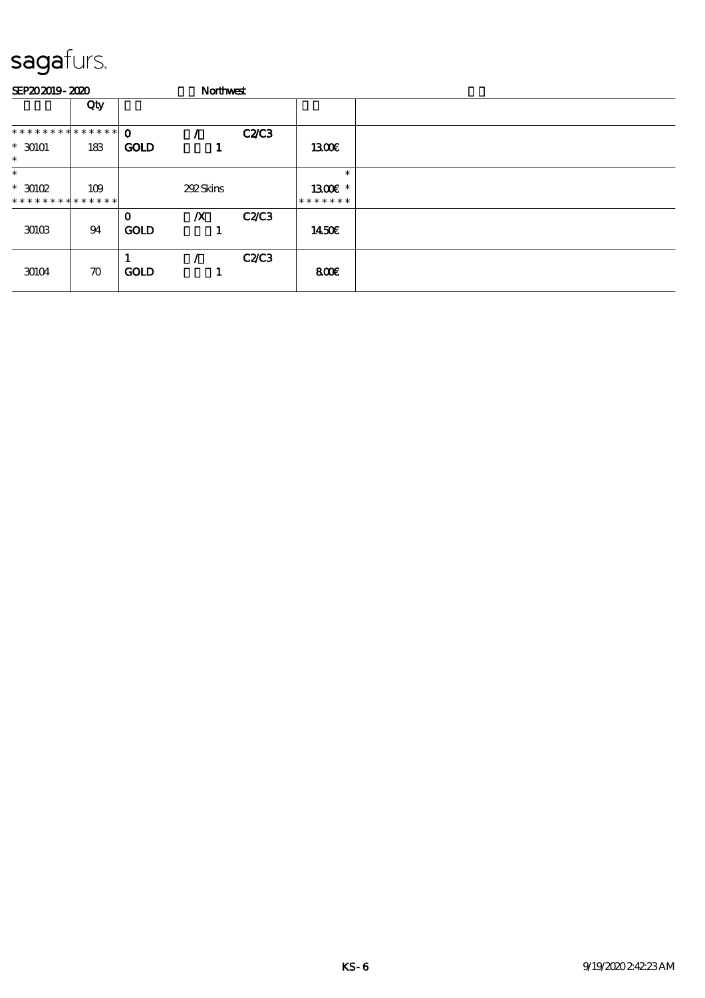| SEP202019-2020                           |                    |                            |                  | Northwest    |                                       |  |
|------------------------------------------|--------------------|----------------------------|------------------|--------------|---------------------------------------|--|
|                                          | Qty                |                            |                  |              |                                       |  |
| ************** 0                         |                    |                            |                  | <b>C2/C3</b> |                                       |  |
| $* 30101$<br>$\ast$                      | 183                | <b>GOLD</b>                |                  |              | 1300E                                 |  |
| $\ast$                                   |                    |                            |                  |              | $\ast$                                |  |
| $*$ 30102<br>* * * * * * * * * * * * * * | 109                |                            | 292Skins         |              | 1300 $\varepsilon$ *<br>* * * * * * * |  |
| 30103                                    | 94                 | $\mathbf 0$<br><b>GOLD</b> | $\boldsymbol{X}$ | <b>C2/C3</b> | 1450E                                 |  |
| 30104                                    | $\boldsymbol{\pi}$ | <b>GOLD</b>                |                  | C2C3         | 800E                                  |  |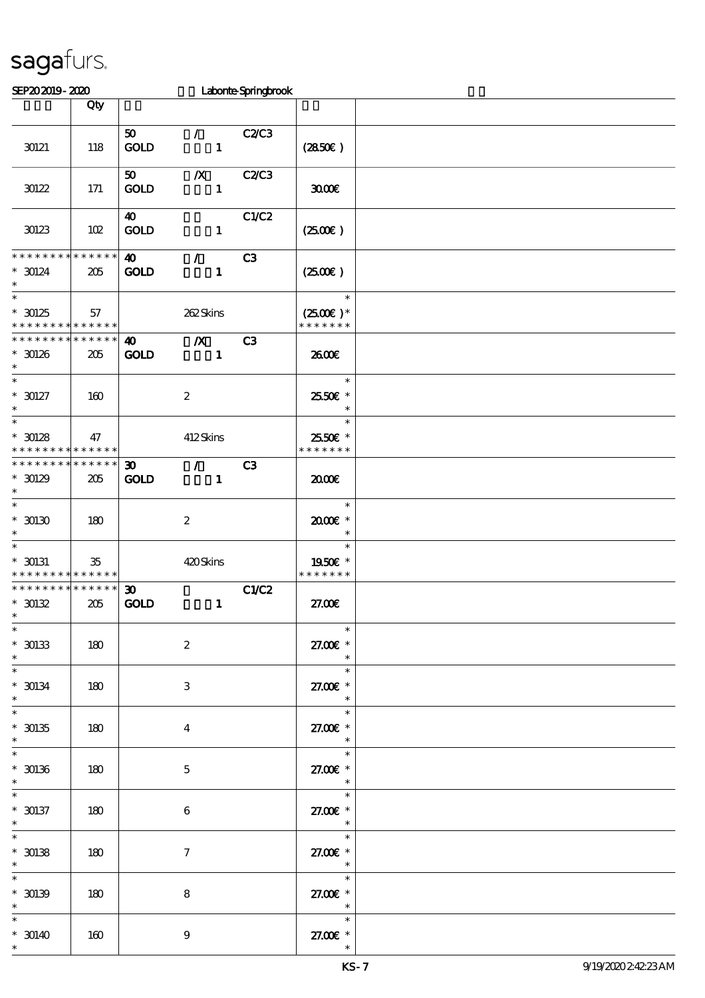| SEP202019-2020                                                            |                    |                                      |                                            | Laborte Springbrook |                                                                        |  |
|---------------------------------------------------------------------------|--------------------|--------------------------------------|--------------------------------------------|---------------------|------------------------------------------------------------------------|--|
|                                                                           | Qty                |                                      |                                            |                     |                                                                        |  |
| 30121                                                                     | 118                | 50 <sub>1</sub><br>GOLD              | $\mathcal{L}$<br>$\mathbf{1}$              | <b>C2/C3</b>        | (2850)                                                                 |  |
| $30122$                                                                   | 171                | 50<br><b>GOLD</b>                    | $\boldsymbol{X}$<br>$\mathbf{1}$           | <b>C2/C3</b>        | 3000                                                                   |  |
| 30123                                                                     | 102                | $\boldsymbol{\omega}$<br><b>GOLD</b> | $\mathbf{1}$                               | C1/C2               | (250)                                                                  |  |
| * * * * * * * *<br>$* 30124$<br>$\ast$                                    | * * * * * *<br>205 | $\boldsymbol{\omega}$<br><b>GOLD</b> | $\mathcal{F}^{\mathbb{R}}$<br>$\mathbf{1}$ | C3                  | $(2500\varepsilon)$                                                    |  |
| $\overline{\ast}$<br>$*30125$<br>* * * * * * * * <mark>* * * * * *</mark> | 57                 |                                      | 262Skins                                   |                     | $\ast$<br>$(2500E)*$<br>* * * * * * *                                  |  |
| * * * * * * * *<br>$*30126$<br>$\ast$                                     | * * * * * *<br>205 | $\boldsymbol{\omega}$<br><b>GOLD</b> | $\boldsymbol{X}$<br>$\mathbf{1}$           | C3                  | 2600E                                                                  |  |
| $\overline{\phantom{0}}$<br>$^*$ 30127<br>$\ast$                          | 160                |                                      | $\boldsymbol{z}$                           |                     | $\ast$<br>25.50€ *<br>$\ast$                                           |  |
| $\overline{\ast}$<br>$*$ 30128<br>* * * * * * * *                         | 47<br>******       |                                      | 412Skins                                   |                     | $\ast$<br>2550€ *<br>* * * * * * *                                     |  |
| * * * * * * * *<br>$* 30129$<br>$\ast$                                    | * * * * * *<br>205 | 30 <sub>o</sub><br><b>GOLD</b>       | $\mathcal{L}$<br>$\mathbf{1}$              | C3                  | 2000                                                                   |  |
| $\ast$<br>$^*$ 30130 $\,$<br>$\ast$                                       | 180                |                                      | $\boldsymbol{z}$                           |                     | $\ast$<br>2000E*<br>$\ast$                                             |  |
| $\ast$<br>$*$ 30131<br>* * * * * * * * <mark>* * * * * *</mark>           | $35\,$             |                                      | 420Skins                                   |                     | $\ast$<br>1950E *<br>* * * * * * *                                     |  |
| * * * * * * * *<br>$*30132$<br>$\star$                                    | * * * * * *<br>205 | $\boldsymbol{\mathfrak{D}}$<br>GOLD  | $\mathbf{1}$                               | C1/C2               | 27.00€                                                                 |  |
| $\ast$<br>$^*$ 30133<br>$\ast$                                            | 180                |                                      | $\boldsymbol{z}$                           |                     | $\ast$<br>27.00€ *<br>$\ast$                                           |  |
| $\ast$<br>$^*$ 30134 $\,$<br>$\ast$                                       | 180                |                                      | 3                                          |                     | $\overline{\phantom{a}}$<br>$\ast$<br>27.00 £*<br>$\ast$               |  |
| $\ast$<br>$^*$ 30135 $\,$<br>$\ast$                                       | 180                |                                      | $\overline{\mathbf{4}}$                    |                     | $\overline{\phantom{0}}$<br>$*$<br>27.00 £*<br>$\ast$                  |  |
| $\ast$<br>$^\ast$ 30136                                                   | 180                |                                      | $\mathbf{5}$                               |                     | $\ast$<br>27.00 £*<br>$\ast$                                           |  |
| $\ast$<br>$^*$ 30137<br>$\ast$                                            | 180                |                                      | 6                                          |                     | $*$<br>27.00 £*<br>$\overline{\phantom{a}}$<br>$\overline{\mathbf{r}}$ |  |
| $^\ast$ 30138<br>$\ast$                                                   | 180                |                                      | $\tau$                                     |                     | 27.00 £*<br>$\overline{\phantom{a}}$<br>$\ast$                         |  |
| $^*$ 30139 $\,$                                                           | 180                |                                      | 8                                          |                     | 27.00 £*<br>$\overline{\phantom{a}}$                                   |  |
| $* 30140$                                                                 | 160                |                                      | $\boldsymbol{9}$                           |                     | $\ast$<br>27.00€ *                                                     |  |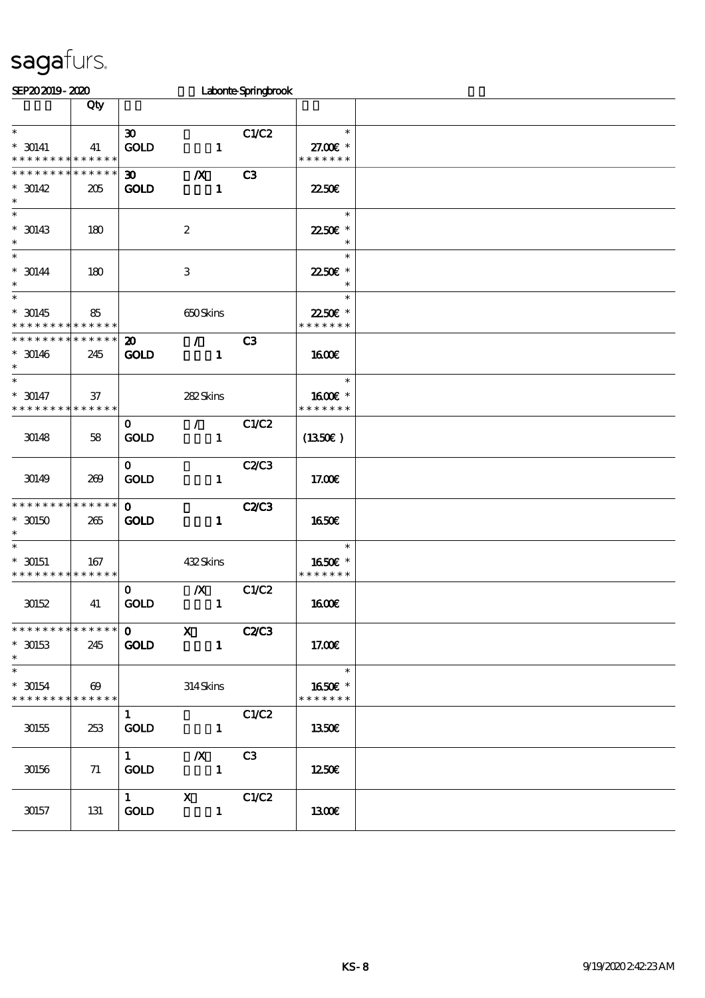| SEP202019-2020                                      |                                      |                                            |                                  | Laborte Springbrook |                                     |  |
|-----------------------------------------------------|--------------------------------------|--------------------------------------------|----------------------------------|---------------------|-------------------------------------|--|
|                                                     | Qty                                  |                                            |                                  |                     |                                     |  |
| $\ast$<br>$^*$ 30141<br>* * * * * * * * * * * * * * | 41                                   | $\boldsymbol{\mathfrak{D}}$<br><b>GOLD</b> | $\mathbf{1}$                     | C1/C2               | $\ast$<br>27.00 £*<br>* * * * * * * |  |
| * * * * * * * *<br>$* 30142$<br>$\ast$              | * * * * * *<br>205                   | $\boldsymbol{\mathfrak{D}}$<br><b>GOLD</b> | $\boldsymbol{X}$<br>$\mathbf{1}$ | C3                  | 2250E                               |  |
| $\ast$<br>$*$ 30143<br>$\ast$                       | 180                                  |                                            | $\boldsymbol{2}$                 |                     | $\ast$<br>22.50€ *<br>$\ast$        |  |
| $\ast$<br>$* 30144$<br>$\ast$                       | 180                                  |                                            | $\ensuremath{\mathbf{3}}$        |                     | $\ast$<br>22.50€ *<br>$\ast$        |  |
| $\ast$<br>$*30145$<br>* * * * * * * *               | 85<br>* * * * * *                    |                                            | 650Skins                         |                     | $\ast$<br>22.50€ *<br>* * * * * * * |  |
| * * * * * * * *<br>$* 30146$<br>$\ast$              | * * * * * *<br>245                   | $\boldsymbol{\mathfrak{D}}$<br><b>GOLD</b> | $\mathcal{L}$<br>$\mathbf{1}$    | C <sub>3</sub>      | 1600E                               |  |
| $\ast$<br>$* 30147$<br>* * * * * * * *              | 37<br>* * * * * *                    |                                            | 282Skins                         |                     | $\ast$<br>1600E *<br>* * * * * * *  |  |
| 30148                                               | 58                                   | $\mathbf{O}$<br><b>GOLD</b>                | $\mathcal{L}$<br>$\mathbf{1}$    | C1/C2               | (1350E)                             |  |
| 30149                                               | 269                                  | $\mathbf{O}$<br>GOLD                       | $\mathbf{1}$                     | C2C3                | 17.00E                              |  |
| * * * * * * * *<br>$*$ 30150<br>$\ast$              | * * * * * *<br>265                   | $\mathbf{O}$<br><b>GOLD</b>                | $\mathbf{1}$                     | <b>C2/C3</b>        | <b>1650€</b>                        |  |
| $\ast$<br>$*$ 30151<br>* * * * * * * *              | 167<br>* * * * * *                   |                                            | 432Skins                         |                     | $\ast$<br>1650€ *<br>* * * * * * *  |  |
| 30152                                               | 41                                   | $\mathbf{o}$<br><b>GOLD</b>                | $\boldsymbol{X}$<br>$\mathbf{1}$ | C1/C2               | <b>1600€</b>                        |  |
| * * * * * * * *<br>$*$ 30153<br>$\ast$              | * * * * * *<br>245                   | $\mathbf{O}$<br>GOLD                       | $\mathbf x$<br>$\mathbf{1}$      | <b>C2/C3</b>        | 17.00€                              |  |
| $\ast$<br>$^*$ 30154 $\,$<br>* * * * * * * *        | $\boldsymbol{\omega}$<br>* * * * * * |                                            | $314$ Skins                      |                     | $\ast$<br>1650E *<br>* * * * * * *  |  |
| $30155\,$                                           | 253                                  | $\mathbf{1}$<br>GOLD                       | $\mathbf{1}$                     | C1/C2               | 1350€                               |  |
| 30156                                               | 71                                   | $1 \quad \blacksquare$<br><b>GOLD</b>      | $\boldsymbol{X}$<br>$\mathbf{1}$ | C3                  | 1250E                               |  |
| 30157                                               | 131                                  | $1 \quad \blacksquare$<br><b>GOLD</b>      | $\mathbf{x}$<br>$\mathbf{1}$     | C1/C2               | 1300E                               |  |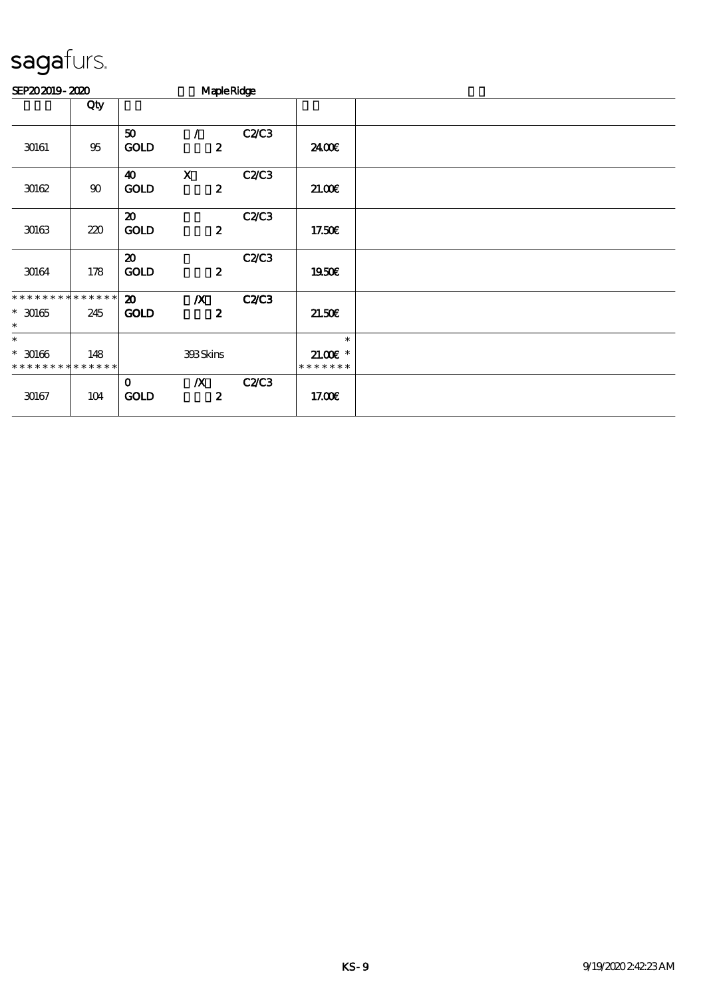| SEP202019-2020                                      |                    |                                            | <b>Maple Ridge</b>                   |              |                                      |  |
|-----------------------------------------------------|--------------------|--------------------------------------------|--------------------------------------|--------------|--------------------------------------|--|
|                                                     | Qty                |                                            |                                      |              |                                      |  |
| 30161                                               | $95\,$             | 50<br><b>GOLD</b>                          | $\prime$<br>$\boldsymbol{z}$         | C2C3         | 2400E                                |  |
| 30162                                               | $90\,$             | $\boldsymbol{\omega}$<br><b>GOLD</b>       | $\mathbf X$<br>$\boldsymbol{z}$      | C2C3         | 21.00E                               |  |
| 30163                                               | 220                | $\boldsymbol{\mathfrak{D}}$<br><b>GOLD</b> | $\boldsymbol{z}$                     | C2C3         | 17.50€                               |  |
| 30164                                               | 178                | $\boldsymbol{\mathsf{20}}$<br><b>GOLD</b>  | $\boldsymbol{z}$                     | C2C3         | 1950E                                |  |
| * * * * * * * * * * * * * *<br>$^*$ 30165<br>$\ast$ | 245                | $\boldsymbol{\mathfrak{D}}$<br><b>GOLD</b> | $\boldsymbol{X}$<br>$\boldsymbol{z}$ | <b>C2/C3</b> | 21.50E                               |  |
| $\ast$<br>$* 30166$<br>* * * * * * * *              | 148<br>* * * * * * |                                            | 393Skins                             |              | $\ast$<br>$21.005*$<br>* * * * * * * |  |
| 30167                                               | 104                | $\mathbf 0$<br><b>GOLD</b>                 | $\boldsymbol{X}$<br>$\boldsymbol{z}$ | C2/C3        | 17.00E                               |  |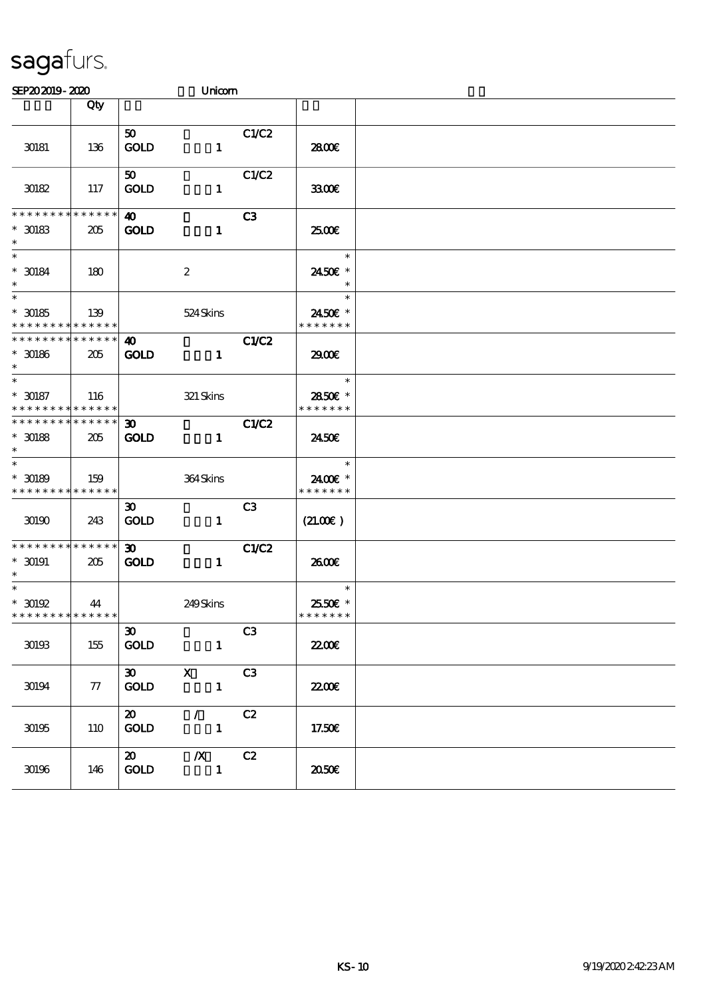| SEP202019-2020                                                                   |                    |                                                | Unicom                             |                |                                    |  |
|----------------------------------------------------------------------------------|--------------------|------------------------------------------------|------------------------------------|----------------|------------------------------------|--|
|                                                                                  | Qty                |                                                |                                    |                |                                    |  |
| 30181                                                                            | 136                | 50 <sub>1</sub><br><b>GOLD</b>                 | $\mathbf{1}$                       | C1/C2          | 2800€                              |  |
| 30182                                                                            | 117                | 50<br><b>GOLD</b>                              | $\mathbf{1}$                       | C1/C2          | 3300                               |  |
| * * * * * * * *<br>$^\ast$ 30183<br>$\ast$                                       | * * * * * *<br>205 | 40<br><b>GOLD</b>                              | $\mathbf{1}$                       | C <sub>3</sub> | 2500€                              |  |
| $\overline{\ast}$<br>$^\ast$ 30184<br>$\ast$                                     | 180                |                                                | $\boldsymbol{z}$                   |                | $\ast$<br>2450€ *<br>$\ast$        |  |
| $\overline{\ast}$<br>$^*$ 30185 $\,$<br>* * * * * * * * <mark>* * * * * *</mark> | 139                |                                                | 524Skins                           |                | $\ast$<br>2450€ *<br>* * * * * * * |  |
| * * * * * * * * * * * * * *<br>$^\ast$ 30186<br>$\ast$                           | 205                | 40<br><b>GOLD</b>                              | $\mathbf{1}$                       | C1/C2          | 2900€                              |  |
| $\overline{\phantom{0}}$<br>$^\ast$ 30187<br>* * * * * * * * * * * * * *         | 116                |                                                | $321$ Skins                        |                | $\ast$<br>2850€ *<br>* * * * * * * |  |
| * * * * * * * * * * * * * *<br>$^\ast$ 30188<br>$\ast$                           | 205                | $\boldsymbol{\mathfrak{D}}$<br><b>GOLD</b>     | $\mathbf{1}$                       | C1/C2          | 2450E                              |  |
| $\ast$<br>$^*$ 30189 $\,$<br>* * * * * * * * * * * * * *                         | 159                |                                                | 364Skins                           |                | $\ast$<br>2400€ *<br>* * * * * * * |  |
| 30190                                                                            | 243                | $\boldsymbol{\mathfrak{D}}$<br><b>GOLD</b>     | $\mathbf{1}$                       | C <sub>3</sub> | (21.00)                            |  |
| * * * * * * * *<br>$^*$ 30191 $\,$<br>$\ast$                                     | * * * * * *<br>205 | $\boldsymbol{\mathfrak{D}}$<br><b>GOLD</b>     | $\mathbf{1}$                       | C1/C2          | 2600E                              |  |
| $^*$ 30192 $^{\circ}$<br>* * * * * * * * * * * * * * *                           | 44                 |                                                | 249Skins                           |                | $\ast$<br>2550€ *<br>* * * * * * * |  |
| 30193                                                                            | 155                | $\boldsymbol{\mathfrak{D}}$<br>$\mathbf{GOLD}$ | $\mathbf{1}$                       | C <sub>3</sub> | 2200                               |  |
| 30194                                                                            | 77                 | $\infty$<br><b>GOLD</b>                        | $\mathbf{X}$<br>$\mathbf{1}$       | C3             | <b>2200E</b>                       |  |
| 30195                                                                            | 110                | $\boldsymbol{\mathsf{20}}$<br><b>GOLD</b>      | $\mathcal{L}$<br>$\mathbf{1}$      | C2             | 17.50€                             |  |
| $30\!\!\!\!\!\cdot\!\!30$                                                        | 146                | $\boldsymbol{\mathsf{20}}$<br><b>GOLD</b>      | $X$ C <sub>2</sub><br>$\mathbf{1}$ |                | ææ                                 |  |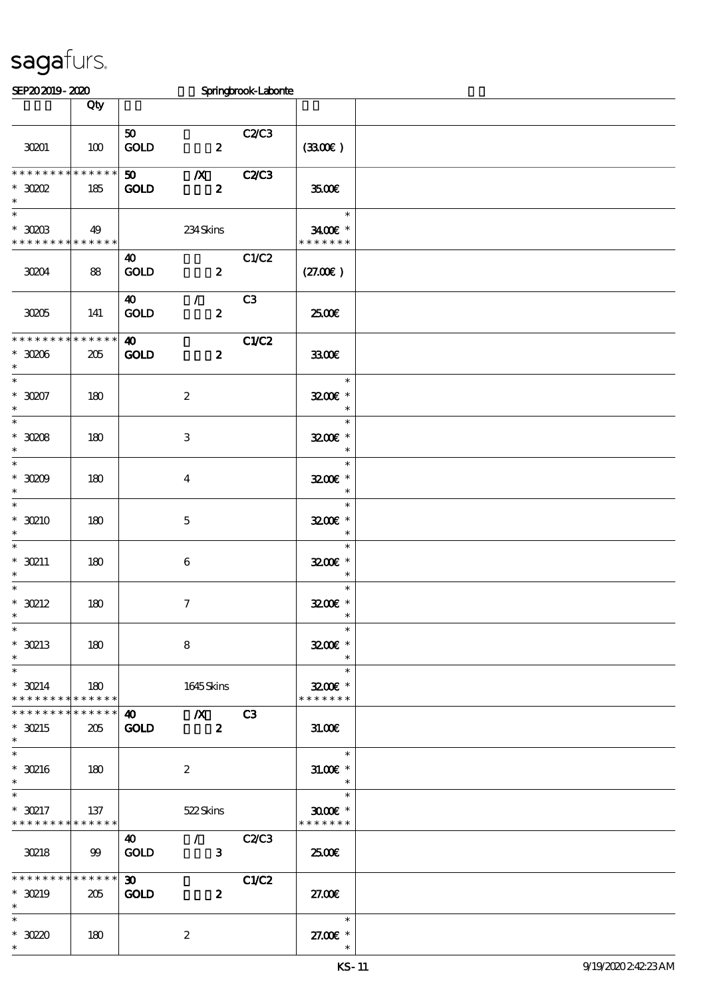| SEP202019-2020                                                    |                |                                            |                                                        | Springbrook-Laborite |                                                 |  |
|-------------------------------------------------------------------|----------------|--------------------------------------------|--------------------------------------------------------|----------------------|-------------------------------------------------|--|
|                                                                   | Qty            |                                            |                                                        |                      |                                                 |  |
| 30201                                                             | 100            | 50<br>GOLD                                 | $\overline{\mathbf{2}}$                                | C2/C3                | (330)                                           |  |
| **************<br>$*30002$<br>$\ast$                              | 185            | 50 <sub>2</sub><br><b>GOLD</b>             | $\boldsymbol{X}$<br>$\boldsymbol{z}$                   | <b>C2/C3</b>         | 3500€                                           |  |
| $\ast$<br>$*$ 30203<br>* * * * * * * * <mark>* * * * * * *</mark> | 49             |                                            | 234Skins                                               |                      | $\ast$<br>3400€ *<br>* * * * * * *              |  |
| 30204                                                             | 88             | 40<br>GOLD                                 | $\overline{\mathbf{2}}$                                | C1/C2                | (27.00)                                         |  |
| 30205                                                             | 141            | 40<br><b>GOLD</b>                          | $\mathcal{L}$<br>$\boldsymbol{z}$                      | C3                   | 2500€                                           |  |
| * * * * * * * * * * * * * *<br>$*30006$<br>$\ast$                 | 205            | $\boldsymbol{\omega}$<br><b>GOLD</b>       | $\boldsymbol{z}$                                       | C1/C2                | 3300                                            |  |
| $_{*}$<br>$*3007$<br>$\ast$                                       | 180            |                                            | $\boldsymbol{2}$                                       |                      | $\ast$<br>3200E *<br>$\ast$                     |  |
| $\overline{\phantom{0}}$<br>$*3008$<br>$\ast$                     | 180            |                                            | 3                                                      |                      | $\ast$<br>3200E *<br>$\ast$                     |  |
| $\overline{\ast}$<br>$*3000$<br>$\ast$                            | 180            |                                            | $\overline{\mathbf{4}}$                                |                      | $\ast$<br>$3200$ $\epsilon$ *<br>$\ast$         |  |
| $\ast$<br>$*$ 30210<br>$\ast$                                     | 180            |                                            | $\mathbf{5}$                                           |                      | $\ast$<br>3200E *<br>$\ast$                     |  |
| $\ast$<br>$*$ 30211<br>$\ast$                                     | 180            |                                            | $\boldsymbol{6}$                                       |                      | $\ast$<br>3200E *<br>$\ast$                     |  |
| $\ast$<br>$*$ 30212                                               | 180            |                                            | $\boldsymbol{7}$                                       |                      | $\ast$<br>$3200$ $\epsilon$ *                   |  |
| $\ast$<br>$*$ 30213<br>$\ast$                                     | 180            |                                            | 8                                                      |                      | $\ast$<br>$3200$ £ *<br>$\ast$                  |  |
| $\ast$<br>$*$ 30214<br>* * * * * * * * * * * * * *                | 180            |                                            | 1645Skins                                              |                      | $\ast$<br>3200E *<br>* * * * * * *              |  |
| * * * * * * * * * * * * * *<br>$*$ 30215<br>$\ast$                | 205            | <b>GOLD</b>                                | $\sqrt{40}$ $\sqrt{X}$ $C3$<br>$\overline{\mathbf{z}}$ |                      | 31.005                                          |  |
| $\ast$<br>$*$ 30216<br>$\ast$                                     | 180            |                                            | $\boldsymbol{2}$                                       |                      | $\overline{\phantom{a}}$<br>$3L00E$ *<br>$\ast$ |  |
| $\ast$<br>$*30217$<br>* * * * * * * * * * * * * * *               | 137            |                                            | 522 Skins                                              |                      | $\ast$<br>$3000$ $^{\circ}$<br>* * * * * * *    |  |
| 30218                                                             | $\mathfrak{B}$ | $\boldsymbol{\omega}$<br><b>GOLD</b>       | $\sqrt{C2}$<br>$\overline{\textbf{3}}$                 |                      | 2500E                                           |  |
| * * * * * * * * * * * * * *<br>$*$ 30219<br>$\ast$                | 205            | $\boldsymbol{\mathfrak{D}}$<br><b>GOLD</b> | $\boldsymbol{z}$                                       | $\overline{C1}C2$    | 27.00E                                          |  |
| $\ast$<br>$*3020$<br>$\ast$                                       | 180            |                                            | $\boldsymbol{2}$                                       |                      | $\ast$<br>27.00 £*<br>$\ast$                    |  |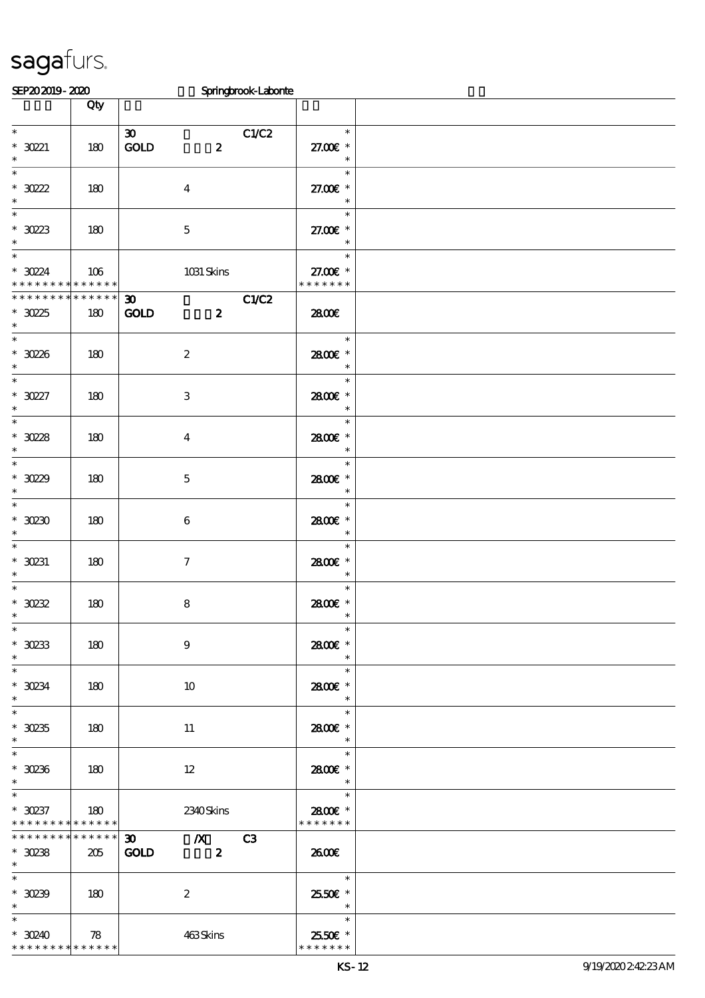| SEP202019-2020                     |                     |                                                                                                                                                                                                                                                                                                                       | Springbrook-Laborite |                                    |  |
|------------------------------------|---------------------|-----------------------------------------------------------------------------------------------------------------------------------------------------------------------------------------------------------------------------------------------------------------------------------------------------------------------|----------------------|------------------------------------|--|
|                                    | Qty                 |                                                                                                                                                                                                                                                                                                                       |                      |                                    |  |
|                                    |                     |                                                                                                                                                                                                                                                                                                                       |                      |                                    |  |
| $\ast$                             |                     | $\boldsymbol{\mathfrak{D}}$                                                                                                                                                                                                                                                                                           | C1/C2                | $\ast$                             |  |
| $* 3021$                           | 180                 | GOLD<br>$\boldsymbol{z}$                                                                                                                                                                                                                                                                                              |                      | 27.00 £*                           |  |
| $\ast$                             |                     |                                                                                                                                                                                                                                                                                                                       |                      | $\ast$                             |  |
| $\overline{\ast}$                  |                     |                                                                                                                                                                                                                                                                                                                       |                      | $\ast$                             |  |
| $*30222$                           | 180                 | $\boldsymbol{4}$                                                                                                                                                                                                                                                                                                      |                      | 27.00€ *                           |  |
| $\ast$                             |                     |                                                                                                                                                                                                                                                                                                                       |                      | $\ast$                             |  |
| $\ast$                             |                     |                                                                                                                                                                                                                                                                                                                       |                      | $\ast$                             |  |
|                                    |                     |                                                                                                                                                                                                                                                                                                                       |                      |                                    |  |
| $*$ 30223                          | 180                 | $\mathbf 5$                                                                                                                                                                                                                                                                                                           |                      | 27.00€ *                           |  |
| $\ast$                             |                     |                                                                                                                                                                                                                                                                                                                       |                      | $\ast$                             |  |
| $\ast$                             |                     |                                                                                                                                                                                                                                                                                                                       |                      | $\ast$                             |  |
| $*3024$                            | 106                 | 1031 Skins                                                                                                                                                                                                                                                                                                            |                      | 27.00 £*                           |  |
|                                    | * * * * * * * * * * |                                                                                                                                                                                                                                                                                                                       |                      | * * * * * * *                      |  |
| * * * * * * * *                    | * * * * * *         | $\boldsymbol{\mathfrak{D}}$                                                                                                                                                                                                                                                                                           | C1/C2                |                                    |  |
| $*3025$                            | 180                 | <b>GOLD</b><br>$\boldsymbol{z}$                                                                                                                                                                                                                                                                                       |                      | 2800€                              |  |
| $\ast$                             |                     |                                                                                                                                                                                                                                                                                                                       |                      |                                    |  |
| $\overline{\ast}$                  |                     |                                                                                                                                                                                                                                                                                                                       |                      | $\ast$                             |  |
| $*30236$                           | 180                 | $\boldsymbol{2}$                                                                                                                                                                                                                                                                                                      |                      | 2800E *                            |  |
| $\ast$                             |                     |                                                                                                                                                                                                                                                                                                                       |                      | $\ast$                             |  |
| $\overline{\phantom{0}}$           |                     |                                                                                                                                                                                                                                                                                                                       |                      | $\ast$                             |  |
| $*3027$                            | 180                 | 3                                                                                                                                                                                                                                                                                                                     |                      | 2800€ *                            |  |
| $\ast$                             |                     |                                                                                                                                                                                                                                                                                                                       |                      | $\ast$                             |  |
| $\overline{\phantom{0}}$           |                     |                                                                                                                                                                                                                                                                                                                       |                      | $\ast$                             |  |
| $*3028$                            |                     |                                                                                                                                                                                                                                                                                                                       |                      | 2800€ *                            |  |
| $\ast$                             | 180                 | $\bf{4}$                                                                                                                                                                                                                                                                                                              |                      | $\ast$                             |  |
| $\overline{\ast}$                  |                     |                                                                                                                                                                                                                                                                                                                       |                      | $\ast$                             |  |
|                                    |                     |                                                                                                                                                                                                                                                                                                                       |                      |                                    |  |
| $*3029$                            | 180                 | $\mathbf 5$                                                                                                                                                                                                                                                                                                           |                      | 2800E *                            |  |
| $\ast$                             |                     |                                                                                                                                                                                                                                                                                                                       |                      | $\ast$                             |  |
| $\ast$                             |                     |                                                                                                                                                                                                                                                                                                                       |                      | $\ast$                             |  |
| $*$ 30230                          | 180                 | 6                                                                                                                                                                                                                                                                                                                     |                      | 2800€ *                            |  |
| $\ast$                             |                     |                                                                                                                                                                                                                                                                                                                       |                      | $\ast$                             |  |
| $\ast$                             |                     |                                                                                                                                                                                                                                                                                                                       |                      | $\ast$                             |  |
| $*$ 30231                          | 180                 | $\tau$                                                                                                                                                                                                                                                                                                                |                      | 2800E *                            |  |
| $\ast$                             |                     |                                                                                                                                                                                                                                                                                                                       |                      | $\ast$                             |  |
| $\ast$                             |                     |                                                                                                                                                                                                                                                                                                                       |                      | $\ast$                             |  |
| $*$ 30232                          | 180                 | 8                                                                                                                                                                                                                                                                                                                     |                      | 2800€ *                            |  |
| $*$                                |                     |                                                                                                                                                                                                                                                                                                                       |                      |                                    |  |
| $\ast$                             |                     |                                                                                                                                                                                                                                                                                                                       |                      | $\ast$                             |  |
| $*$ 30233                          | 180                 | $\boldsymbol{9}$                                                                                                                                                                                                                                                                                                      |                      | 2800€ *                            |  |
| $\ast$                             |                     |                                                                                                                                                                                                                                                                                                                       |                      | $\ast$                             |  |
| $\overline{\phantom{a}^*}$         |                     |                                                                                                                                                                                                                                                                                                                       |                      | $\ast$                             |  |
| $*$ 30234                          | 180                 | 10                                                                                                                                                                                                                                                                                                                    |                      | 2800E *                            |  |
| $\ast$                             |                     |                                                                                                                                                                                                                                                                                                                       |                      | $\ast$                             |  |
| $\overline{\ast}$                  |                     |                                                                                                                                                                                                                                                                                                                       |                      | $\ast$                             |  |
| $*30235$                           |                     |                                                                                                                                                                                                                                                                                                                       |                      | 2800E *                            |  |
| $\ast$                             | 180                 | 11                                                                                                                                                                                                                                                                                                                    |                      | $\overline{\phantom{a}}$           |  |
| $\ast$                             |                     |                                                                                                                                                                                                                                                                                                                       |                      | <u>and the second</u><br>$\ast$    |  |
|                                    |                     |                                                                                                                                                                                                                                                                                                                       |                      |                                    |  |
| $*30236$                           | 180                 | 12                                                                                                                                                                                                                                                                                                                    |                      | 2800€ *                            |  |
| $\ast$<br>$\overline{\phantom{0}}$ |                     |                                                                                                                                                                                                                                                                                                                       |                      | $\ast$                             |  |
|                                    |                     |                                                                                                                                                                                                                                                                                                                       |                      | $\ast$                             |  |
| $*30237$                           | 180                 | 2340Skins                                                                                                                                                                                                                                                                                                             |                      | 2800€ *                            |  |
| * * * * * * * * * * * * * * *      |                     |                                                                                                                                                                                                                                                                                                                       |                      | * * * * * * *                      |  |
| ******** <mark>*******</mark>      |                     | $\frac{30}{10}$ $\frac{1}{2}$ $\frac{1}{2}$ $\frac{1}{2}$ $\frac{1}{2}$ $\frac{1}{2}$ $\frac{1}{2}$ $\frac{1}{2}$ $\frac{1}{2}$ $\frac{1}{2}$ $\frac{1}{2}$ $\frac{1}{2}$ $\frac{1}{2}$ $\frac{1}{2}$ $\frac{1}{2}$ $\frac{1}{2}$ $\frac{1}{2}$ $\frac{1}{2}$ $\frac{1}{2}$ $\frac{1}{2}$ $\frac{1}{2}$ $\frac{1}{2}$ |                      |                                    |  |
| $*$ 30238                          | 205                 | GOLD 2                                                                                                                                                                                                                                                                                                                |                      | 2600E                              |  |
| $*$                                |                     |                                                                                                                                                                                                                                                                                                                       |                      |                                    |  |
| $\ast$                             |                     |                                                                                                                                                                                                                                                                                                                       |                      | $\overline{\phantom{a}}$           |  |
| * $30239$   180                    |                     | $\boldsymbol{2}$                                                                                                                                                                                                                                                                                                      |                      | 2550€ *                            |  |
| $\ast$                             |                     |                                                                                                                                                                                                                                                                                                                       |                      | $\overline{\phantom{a}}$           |  |
| $\ast$                             |                     |                                                                                                                                                                                                                                                                                                                       |                      | $\overline{\phantom{0}}$<br>$\ast$ |  |
| $*30240$                           | 78                  | 463Skins                                                                                                                                                                                                                                                                                                              |                      | 2550€ *                            |  |
| * * * * * * * * * * * * * *        |                     |                                                                                                                                                                                                                                                                                                                       |                      | * * * * * * *                      |  |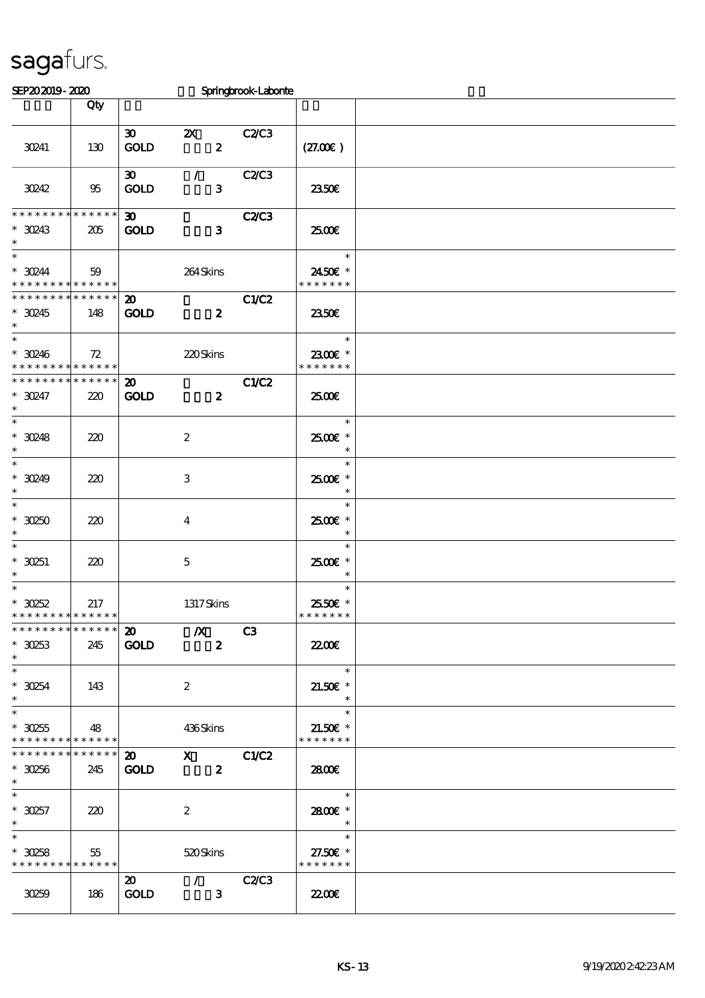| SEP202019-2020                                                    |                    |                                            |                                           | Springbrook-Laborie |                                                                    |  |
|-------------------------------------------------------------------|--------------------|--------------------------------------------|-------------------------------------------|---------------------|--------------------------------------------------------------------|--|
|                                                                   | Qty                |                                            |                                           |                     |                                                                    |  |
| 30241                                                             | 130                | $\boldsymbol{\mathfrak{D}}$<br>GOLD        | $\mathbf{X}$<br>$\boldsymbol{z}$          | <b>C2/C3</b>        | (27.00)                                                            |  |
| 30242                                                             | 95                 | $\boldsymbol{\mathfrak{D}}$<br><b>GOLD</b> | $\mathcal{L}$<br>3                        | C2/C3               | 2350E                                                              |  |
| * * * * * * * * * * * * * *<br>$*$ 30243<br>$\ast$                | 205                | 30 <sub>o</sub><br><b>GOLD</b>             | $\mathbf{3}$                              | C2C3                | 2500€                                                              |  |
| $\ast$<br>$* 30244$<br>* * * * * * * * <mark>* * * * * * *</mark> | 59                 |                                            | 264Skins                                  |                     | $\ast$<br>2450€ *<br>* * * * * * *                                 |  |
| * * * * * * * * * * * * * *<br>$*$ 30245<br>$\ast$                | 148                | $\boldsymbol{\mathfrak{D}}$<br><b>GOLD</b> | $\boldsymbol{z}$                          | <b>C1/C2</b>        | 2350E                                                              |  |
| $\ast$<br>$*30246$<br>* * * * * * * * * * * * * *                 | 72                 |                                            | 220Skins                                  |                     | $\ast$<br>2300€ *<br>* * * * * * *                                 |  |
| * * * * * * * * * * * * * * *<br>$*$ 30247<br>$\ast$              | 220                | $\boldsymbol{\mathfrak{D}}$<br><b>GOLD</b> | $\boldsymbol{z}$                          | <b>C1/C2</b>        | 2500€                                                              |  |
| $\overline{\ast}$<br>$*30248$<br>$\ast$                           | 220                |                                            | $\boldsymbol{z}$                          |                     | $\ast$<br>2500€ *<br>$\ast$                                        |  |
| $\ast$<br>$*30249$<br>$\ast$                                      | 220                |                                            | 3                                         |                     | $\ast$<br>$2500$ $*$<br>$\ast$                                     |  |
| $\ast$<br>$*30250$<br>$\ast$                                      | 220                |                                            | $\overline{4}$                            |                     | $\ast$<br>2500€*                                                   |  |
| $\ast$<br>$*$ 30251<br>$\ast$                                     | 220                |                                            | $\mathbf 5$                               |                     | $\ast$<br>2500€ *<br>$\ast$                                        |  |
| $\ast$<br>$^*$ 30252 $\,$<br>* * * * * * * *                      | 217<br>* * * * * * |                                            | 1317Skins                                 |                     | $\ast$<br>2550€ *<br>* * * * * * *                                 |  |
| * * * * * * * * * * * * * * *<br>$*30253$<br>$\ast$               | 245                | $\boldsymbol{\mathsf{20}}$<br><b>GOLD</b>  | $\chi$ C3<br>$\boldsymbol{z}$             |                     | 2200                                                               |  |
| $\ast$<br>$*30254$<br>$\ast$                                      | 143                |                                            | $\boldsymbol{2}$                          |                     | $\overline{\phantom{0}}$<br>$21.50E$ *<br>$\overline{\phantom{a}}$ |  |
| $\ast$<br>$*30255$<br>* * * * * * * * * * * * * * *               | 48                 |                                            | 436Skins                                  |                     | $\overline{\phantom{a}}$<br>$21.50E$ *<br>* * * * * * *            |  |
| * * * * * * * *<br>$* 30256$<br>$\ast$                            | ******<br>245      | <b>GOLD</b>                                | $\overline{20}$ X $C1/C2$<br>$\mathbf{2}$ |                     | 2800E                                                              |  |
| $\overline{\ast}$<br>$*30257$<br>$\ast$                           | 220                |                                            | $\boldsymbol{2}$                          |                     | $\overline{\phantom{a}}$<br>2800 £*<br>$\overline{\phantom{a}}$    |  |
| $*30258$<br>* * * * * * * * * * * * * * *                         | 55                 |                                            | 520 Skins                                 |                     | $*$<br>27.50£ *<br>* * * * * * *                                   |  |
| 30259                                                             | 186                | $\boldsymbol{\mathfrak{D}}$<br><b>GOLD</b> | $\sqrt{C2/C3}$<br>$\overline{\mathbf{3}}$ |                     | 2200                                                               |  |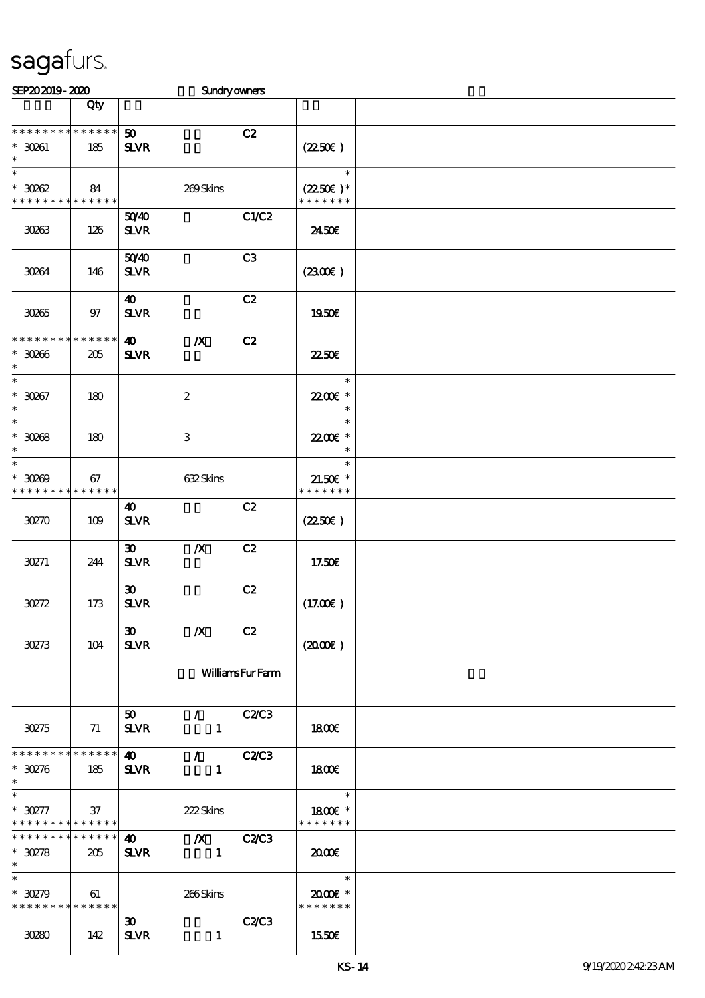| SEP202019-2020                                                   |                    |                                                         | Sundryowners                  |                        |                                                      |  |
|------------------------------------------------------------------|--------------------|---------------------------------------------------------|-------------------------------|------------------------|------------------------------------------------------|--|
|                                                                  | Qty                |                                                         |                               |                        |                                                      |  |
| * * * * * * * * * * * * * *<br>$*$ 30261<br>$\ast$               | 185                | 50<br><b>SLVR</b>                                       |                               | C2                     | $(2250\varepsilon)$                                  |  |
| $\ast$<br>$*3002$<br>* * * * * * * * <mark>* * * * * *</mark> *  | 84                 |                                                         | 269Skins                      |                        | $\ast$<br>$(2250\epsilon)^*$<br>* * * * * * *        |  |
| 30263                                                            | 126                | 5040<br>${\bf S\!L}\!{\bf V\!R}$                        |                               | C1/C2                  | 2450E                                                |  |
| 30264                                                            | 146                | 5040<br><b>SLVR</b>                                     |                               | C3                     | (2300)                                               |  |
| 30265                                                            | 97                 | 40<br><b>SLVR</b>                                       |                               | C2                     | 1950€                                                |  |
| * * * * * * * *<br>$*30066$<br>$\ast$                            | * * * * * *<br>205 | $\boldsymbol{\omega}$<br>$S\!L\!V\!R$                   | $\boldsymbol{X}$              | C2                     | 2250E                                                |  |
| $\ast$<br>$*30057$<br>$\ast$                                     | 180                |                                                         | $\boldsymbol{2}$              |                        | $\ast$<br>2200E *<br>$\ast$                          |  |
| $\ast$<br>$^\ast$ 30268<br>$\ast$                                | 180                |                                                         | $\ensuremath{\mathsf{3}}$     |                        | $\ast$<br>22.00E *<br>$\ast$                         |  |
| $\ast$<br>$*3000$<br>* * * * * * * * * * * * * *                 | 67                 |                                                         | 632Skins                      |                        | $\ast$<br>$21.50E$ *<br>* * * * * * *                |  |
| 30270                                                            | 109                | 40<br>$S\!L\!V\!R$                                      |                               | C2                     | $(2250\varepsilon)$                                  |  |
| 30271                                                            | 244                | $\boldsymbol{\mathfrak{D}}$<br>$S\!L\!V\!R$             | $\boldsymbol{X}$              | C2                     | 17.50€                                               |  |
| 30272                                                            | 173                | $\boldsymbol{\mathfrak{D}}$<br>${\bf S\!L}\!{\bf V\!R}$ |                               | C2                     | (17.00)                                              |  |
| 30273                                                            | 104                | $30-1$<br><b>SLVR</b>                                   | $\boldsymbol{X}$              | C2                     | (200)                                                |  |
|                                                                  |                    |                                                         |                               | <b>WilliamsFurFarm</b> |                                                      |  |
| 30275                                                            | 71                 | 50<br><b>SLVR</b>                                       | $\sqrt{C2}$<br>$\mathbf{1}$   |                        | 1800                                                 |  |
| * * * * * * * * * * * * * * *<br>$*30276$<br>$\ast$              | 185                | $\boldsymbol{40}$<br><b>SLVR</b>                        | $\angle$ C2C3<br>$\mathbf{1}$ |                        | 1800                                                 |  |
| $\ast$<br>$*30277$<br>* * * * * * * * <mark>* * * * * * *</mark> | 37                 |                                                         | 222Skins                      |                        | $\overline{\phantom{a}}$<br>1800 £*<br>* * * * * * * |  |
| * * * * * * * * * * * * * * *<br>$*30278$<br>$\ast$              | 205                | $\boldsymbol{\omega}$<br><b>SLVR</b>                    | $X$ $C2/C3$<br>$\blacksquare$ |                        | 2000                                                 |  |
| $\overline{\ast}$<br>$*30279$<br>* * * * * * * * * * * * * *     | 61                 |                                                         | 266Skins                      |                        | $\ast$<br>$2000$ $*$<br>* * * * * * *                |  |
| 30280                                                            | 142                | 30 <sub>o</sub><br><b>SLVR</b>                          | $\mathbf{1}$                  | C2C3                   | 1550€                                                |  |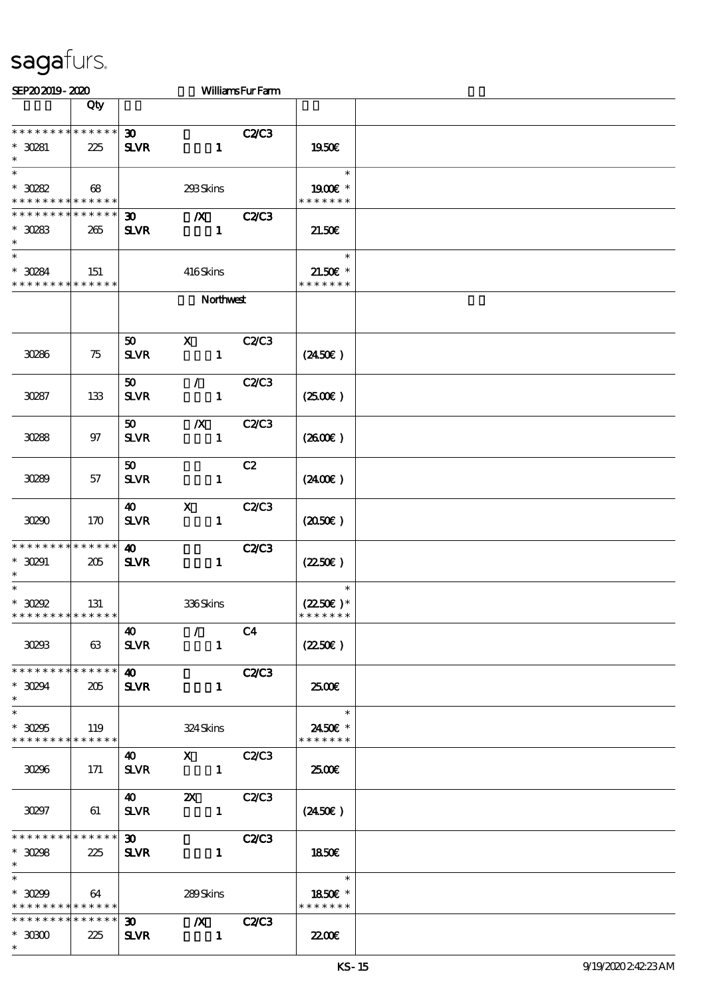| SEP202019-2020                                                                   |     |                                            |                                  | <b>WilliamsFurFam</b> |                                                                                                                      |  |
|----------------------------------------------------------------------------------|-----|--------------------------------------------|----------------------------------|-----------------------|----------------------------------------------------------------------------------------------------------------------|--|
|                                                                                  | Qty |                                            |                                  |                       |                                                                                                                      |  |
| **************<br>$* 30281$                                                      | 225 | $\boldsymbol{\mathfrak{D}}$<br><b>SLVR</b> | $\mathbf{1}$                     | <b>C2/C3</b>          | 1950E                                                                                                                |  |
| $\ast$<br>$^\ast$ 30282<br>* * * * * * * * * * * * * *                           | 68  |                                            | 293Skins                         |                       | $\ast$<br>1900€ *<br>* * * * * * *                                                                                   |  |
| * * * * * * * * * * * * * *<br>$*$ 30283<br>$\ast$                               | 265 | 30 <sup>°</sup><br><b>SLVR</b>             | $\boldsymbol{X}$<br>$\mathbf{1}$ | <b>C2/C3</b>          | 21.50E                                                                                                               |  |
| $\ast$<br>$*30284$<br>* * * * * * * * * * * * * *                                | 151 |                                            | 416Skins                         |                       | $\ast$<br>$21.50$ $\epsilon$ *<br>* * * * * * *                                                                      |  |
|                                                                                  |     |                                            | Northwest                        |                       |                                                                                                                      |  |
| 30286                                                                            | 75  | 50<br><b>SLVR</b>                          | $\mathbf{x}$<br>$\mathbf{1}$     | <b>C2/C3</b>          | $(2450\epsilon)$                                                                                                     |  |
| 30287                                                                            | 133 | 50 <sub>o</sub><br><b>SLVR</b>             | $\mathcal{L}$<br>$\mathbf{1}$    | <b>C2/C3</b>          | (250)                                                                                                                |  |
| 30288                                                                            | 97  | 50<br><b>SLVR</b>                          | $\boldsymbol{X}$<br>$\mathbf{1}$ | <b>C2/C3</b>          | (2600)                                                                                                               |  |
| 30289                                                                            | 57  | 50 <sub>o</sub><br><b>SLVR</b>             | $\mathbf{1}$                     | C2                    | $(2400\varepsilon)$                                                                                                  |  |
| 30290                                                                            | 170 | 40 <b>10</b><br><b>SLVR</b>                | $\mathbf{x}$<br>$\mathbf{1}$     | <b>C2/C3</b>          | (2050)                                                                                                               |  |
| * * * * * * * * * * * * * *<br>$*30291$<br>$\ast$                                | 205 | $\boldsymbol{\omega}$<br><b>SLVR</b>       | $\mathbf{1}$                     | <b>C2/C3</b>          | $(2250\epsilon)$                                                                                                     |  |
| $\ast$<br>$^*$ 30292 $\,$<br>* * * * * * * * <mark>* * * * * *</mark>            | 131 |                                            | 336Skins                         |                       | $\ast$<br>$(2250\varepsilon)^*$<br>* * * * * * *                                                                     |  |
| 30233                                                                            | 63  | 40<br><b>SLVR</b>                          | $\mathcal{L}$<br>$\mathbf{1}$    | C4                    | $(2250\varepsilon)$                                                                                                  |  |
| * * * * * * * * * * * * * * *<br>$*$ 30294<br>$\ast$                             | 205 | $\boldsymbol{\omega}$<br><b>SLVR</b>       | $\mathbf{1}$                     | <b>C2/C3</b>          | 2500                                                                                                                 |  |
| $\ast$<br>$*30295$<br>* * * * * * * * * * * * * * *                              | 119 |                                            | 324 Skins                        |                       | $\frac{1}{\sqrt{1+\frac{1}{2}}\sqrt{1+\frac{1}{2}}\left(\frac{1}{2}-\frac{1}{2}\right)}$<br>2450€ *<br>* * * * * * * |  |
| 30296                                                                            | 171 | $\boldsymbol{40}$<br><b>SLVR</b>           | $X$ $C2/C3$<br>$\sim$ $\sim$ 1   |                       | 2500E                                                                                                                |  |
| 30297                                                                            | 61  |                                            | $SLVR$ 1                         |                       | $(2450\epsilon)$                                                                                                     |  |
| * * * * * * * * * * * * * * *<br>$*30298$<br>$\ast$                              | 225 | $\boldsymbol{\mathfrak{D}}$<br><b>SLVR</b> | $\mathbf{1}$                     | C2C3                  | 1850E                                                                                                                |  |
| $\overline{\phantom{1}}$<br>$*30299$<br>* * * * * * * * <mark>* * * * * *</mark> | 64  |                                            | 289Skins                         |                       | 1850€ *<br>* * * * * * *                                                                                             |  |
| ******** <mark>*******</mark><br>$*$ 30800<br>$\ast$                             | 225 | $\infty$<br><b>SLVR</b>                    | $\chi$ $C2C3$<br>$\blacksquare$  |                       | 2200                                                                                                                 |  |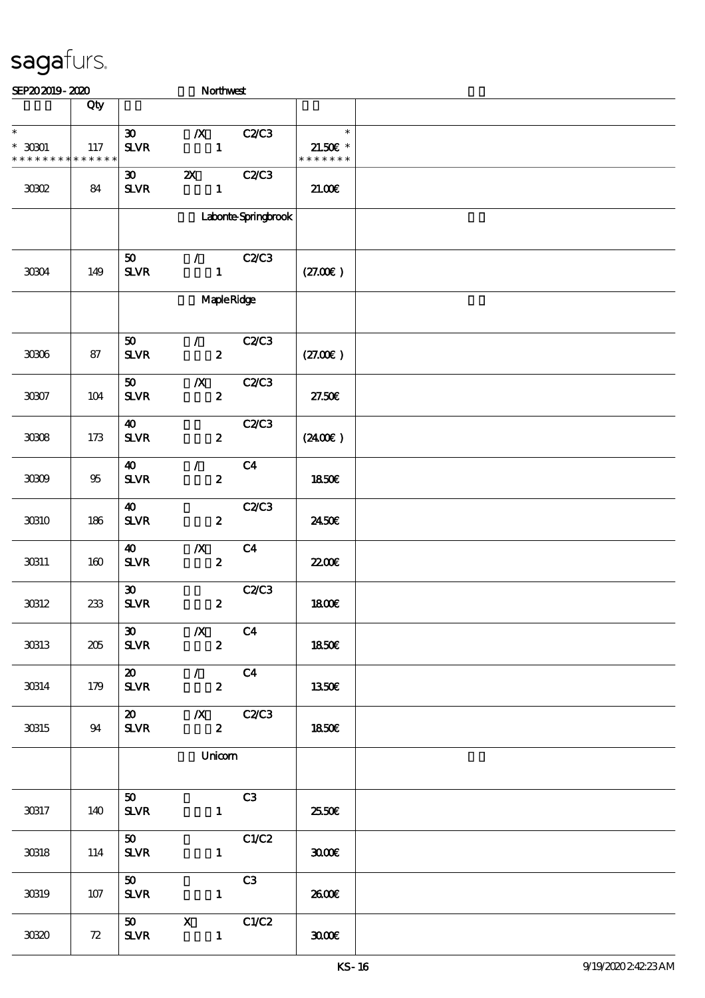| SEP202019-2020                                           |       |                                                         |                                                                       | Northwest           |                                       |  |
|----------------------------------------------------------|-------|---------------------------------------------------------|-----------------------------------------------------------------------|---------------------|---------------------------------------|--|
|                                                          | Qty   |                                                         |                                                                       |                     |                                       |  |
| $\ast$<br>$^*$ 30301 $\,$<br>* * * * * * * * * * * * * * | 117   | $\boldsymbol{\mathfrak{D}}$<br><b>SLVR</b>              | $\boldsymbol{X}$<br>$\mathbf{1}$                                      | <b>C2/C3</b>        | $\ast$<br>$21.50E$ *<br>* * * * * * * |  |
| 30802                                                    | 84    | $\boldsymbol{\mathfrak{D}}$<br>${\bf S\!L}\!{\bf V\!R}$ | $\boldsymbol{\mathsf{z}}$<br>$\mathbf{1}$                             | <b>C2/C3</b>        | 21.00E                                |  |
|                                                          |       |                                                         |                                                                       | Laborte Springbrook |                                       |  |
| 30304                                                    | 149   | 50<br><b>SLVR</b>                                       | $\mathcal{F}$<br>$\mathbf{1}$                                         | <b>C2/C3</b>        | (27.00)                               |  |
|                                                          |       |                                                         |                                                                       | MapleRidge          |                                       |  |
| $3006\,$                                                 | 87    | 50<br>$S\!L\!V\!R$                                      | $\mathcal{F}$<br>$\boldsymbol{z}$                                     | <b>C2/C3</b>        | (27.00)                               |  |
| $3007\,$                                                 | $104$ | 50<br>$S\!L\!V\!R$                                      | $\boldsymbol{X}$<br>$\boldsymbol{2}$                                  | <b>C2/C3</b>        | 27.50E                                |  |
| 3008                                                     | $173$ | $\boldsymbol{\omega}$<br>$S\!L\!V\!R$                   | $\boldsymbol{z}$                                                      | <b>C2/C3</b>        | (240E)                                |  |
| 3009                                                     | 95    | 40<br>$S\!L\!V\!R$                                      | $\mathcal{L}$<br>$\boldsymbol{z}$                                     | C <sub>4</sub>      | 1850E                                 |  |
| 30810                                                    | 186   | $\boldsymbol{\omega}$<br>$S\!L\!V\!R$                   | $\boldsymbol{z}$                                                      | <b>C2/C3</b>        | 2450E                                 |  |
| 30311                                                    | 160   | 40<br><b>SLVR</b>                                       | $\boldsymbol{X}$<br>$\boldsymbol{2}$                                  | C <sub>4</sub>      | 2200                                  |  |
| 30312                                                    | 233   | $\boldsymbol{\mathfrak{D}}$<br>${\bf S\!L}\!{\bf V\!R}$ | $\boldsymbol{2}$                                                      | C2C3                | <b>1800€</b>                          |  |
| 30313                                                    | 205   | $\boldsymbol{\mathfrak{D}}$<br><b>SLVR</b>              | $\overline{\phantom{a}}$ $\overline{\phantom{a}}$<br>$\boldsymbol{z}$ | C <sub>4</sub>      | 1850€                                 |  |
| 30314                                                    | 179   | <b>SLVR</b>                                             | $20$ /<br>$\mathbf{2}$                                                | C4                  | 1350E                                 |  |
| 30315                                                    | 94    | <b>SLVR</b>                                             | $\mathbf{z}$                                                          |                     | 1850E                                 |  |
|                                                          |       | Unicom                                                  |                                                                       |                     |                                       |  |
| 30317                                                    | 140   | 50<br><b>SLVR</b>                                       | $\mathbf{1}$                                                          | C3                  | 25.50E                                |  |
| 30318                                                    | 114   | 50<br><b>SLVR</b>                                       | $\mathbf{1}$                                                          | C1/C2               | 3000                                  |  |
| 30819                                                    | 107   | 50<br><b>SLVR</b>                                       | $\mathbf{1}$                                                          | C3                  | 2600E                                 |  |
| 3080                                                     | 72    | 50<br><b>SLVR</b>                                       | $\mathbf{X}$<br>$\mathbf{1}$                                          | C1/C2               | 3000                                  |  |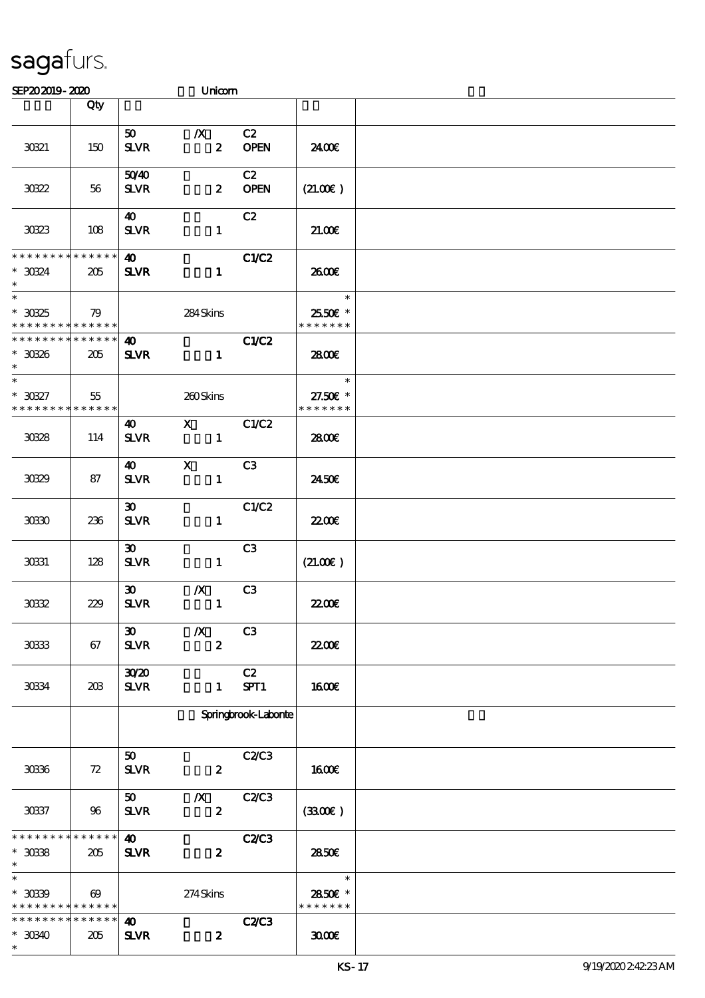| SEP202019-2020                                                 |                       |                                            | Unicom                               |                      |                                     |  |
|----------------------------------------------------------------|-----------------------|--------------------------------------------|--------------------------------------|----------------------|-------------------------------------|--|
|                                                                | Qty                   |                                            |                                      |                      |                                     |  |
| 30321                                                          | 150                   | 50 <sub>o</sub><br><b>SLVR</b>             | $\boldsymbol{X}$<br>$\boldsymbol{z}$ | C2<br><b>OPEN</b>    | 2400€                               |  |
| 30322                                                          | 56                    | 5040<br><b>SLVR</b>                        | $\boldsymbol{z}$                     | C2<br><b>OPEN</b>    | (21.00)                             |  |
| 30323                                                          | 108                   | 40<br><b>SLVR</b>                          | $\mathbf{1}$                         | C2                   | 21.006                              |  |
| * * * * * * * *<br>$*3034$<br>$\ast$                           | $******$<br>205       | $\boldsymbol{\omega}$<br><b>SLVR</b>       | $\mathbf{1}$                         | C1/C2                | 2600€                               |  |
| $^\ast$ 30325<br>* * * * * * * * * * * * * * *                 | 79                    |                                            | 284Skins                             |                      | $\ast$<br>2550€ *<br>* * * * * * *  |  |
| * * * * * * * * * * * * * *<br>$^\ast$ 30326<br>$\ast$         | 205                   | $\boldsymbol{\omega}$<br><b>SLVR</b>       | $\mathbf{1}$                         | C1/C2                | 2800€                               |  |
| $\ast$<br>$^*$ 30327 $\,$<br>* * * * * * * *                   | 55<br>* * * * * *     |                                            | 260Skins                             |                      | $\ast$<br>27.50€ *<br>* * * * * * * |  |
| 3038                                                           | 114                   | 40<br><b>SLVR</b>                          | $\mathbf{X}$<br>$\mathbf{1}$         | C1/C2                | 2800€                               |  |
| 3039                                                           | 87                    | $\boldsymbol{\omega}$<br><b>SLVR</b>       | $\mathbf{x}$<br>$\mathbf{1}$         | C <sub>3</sub>       | 2450E                               |  |
| 30330                                                          | 236                   | $\boldsymbol{\mathfrak{D}}$<br><b>SLVR</b> | $\mathbf{1}$                         | C1/C2                | <b>22006</b>                        |  |
| 30331                                                          | 128                   | $\boldsymbol{\mathfrak{D}}$<br><b>SLVR</b> | $\mathbf{1}$                         | C3                   | (21.00)                             |  |
| 3032                                                           | 229                   | $\boldsymbol{\mathfrak{D}}$<br><b>SLVR</b> | $\boldsymbol{X}$<br>$\mathbf{1}$     | C <sub>3</sub>       | <b>22006</b>                        |  |
| 30333                                                          | 67                    | 30 <sub>o</sub><br><b>SLVR</b>             | $\boldsymbol{X}$<br>$\boldsymbol{2}$ | C <sub>3</sub>       | <b>22006</b>                        |  |
| 30334                                                          | 20B                   | 3020<br><b>SLVR</b>                        | $\mathbf{1}$                         | C2<br>SPT1           | 1600€                               |  |
|                                                                |                       |                                            |                                      | Springbrook-Laborite |                                     |  |
| 30336                                                          | 72                    | 50<br><b>SLVR</b>                          | $\boldsymbol{z}$                     | <b>C2/C3</b>         | <b>1600€</b>                        |  |
| 30337                                                          | 96                    | 50<br><b>SLVR</b>                          | $\boldsymbol{X}$<br>$\boldsymbol{z}$ | <b>C2/C3</b>         | (3300)                              |  |
| * * * * * * * *<br>$*$ 3038<br>$\ast$                          | * * * * * *<br>205    | $\boldsymbol{\omega}$<br><b>SLVR</b>       | $\boldsymbol{z}$                     | <b>C2/C3</b>         | 2850E                               |  |
| $\ast$<br>$* 3039$<br>* * * * * * * * <mark>* * * * * *</mark> | $\boldsymbol{\omega}$ |                                            | 274Skins                             |                      | $\ast$<br>2850E *<br>* * * * * * *  |  |
| * * * * * * * *<br>$*30340$<br>$\ast$                          | * * * * * *<br>205    | 40<br><b>SLVR</b>                          | $\boldsymbol{z}$                     | <b>C2/C3</b>         | 3000                                |  |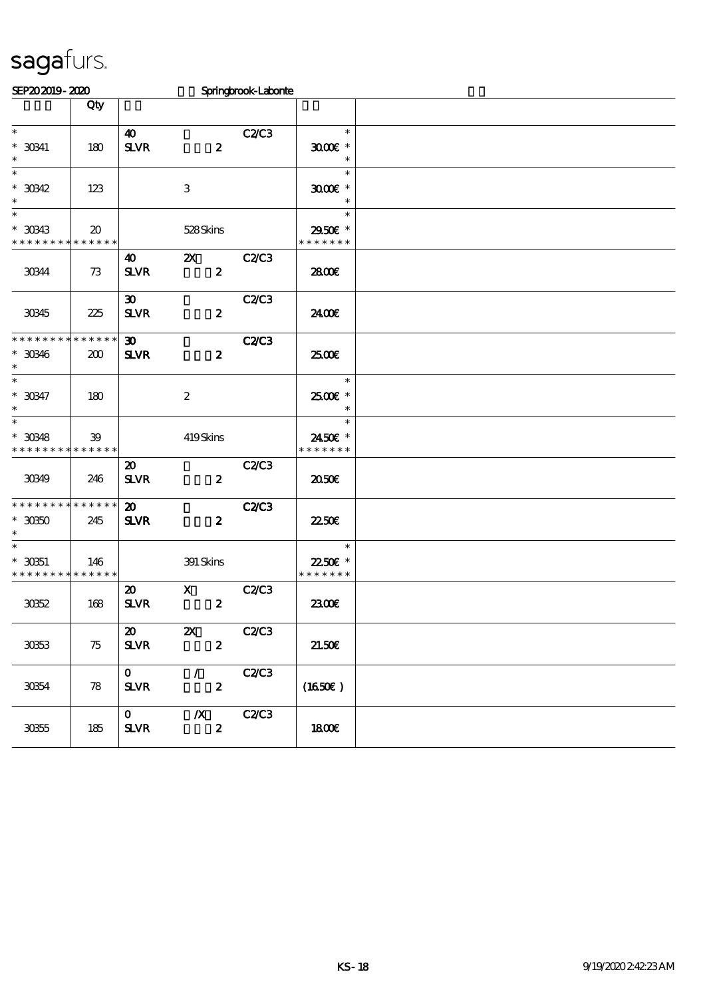| SEP202019-2020                                                            |                             |                                             |                                               | Springbrook-Laborne |                                     |  |
|---------------------------------------------------------------------------|-----------------------------|---------------------------------------------|-----------------------------------------------|---------------------|-------------------------------------|--|
|                                                                           | Qty                         |                                             |                                               |                     |                                     |  |
| $\ast$<br>$*$ 30341<br>$\ast$                                             | 180                         | 40<br>$S\!L\!V\!R$                          | $\boldsymbol{z}$                              | <b>C2/C3</b>        | $\ast$<br>$3000$ $*$<br>$\ast$      |  |
| $\ast$<br>$*30342$                                                        | 123                         |                                             | 3                                             |                     | $\ast$<br>$3000$ $*$<br>$\ast$      |  |
| $\overline{\ast}$<br>$*30343$<br>* * * * * * * * <mark>* * * * * *</mark> | $\boldsymbol{\mathfrak{D}}$ |                                             | 528Skins                                      |                     | $\ast$<br>2950€ *<br>* * * * * * *  |  |
| 30344                                                                     | 73                          | 40<br><b>SLVR</b>                           | $\boldsymbol{\mathsf{Z}}$<br>$\pmb{2}$        | <b>C2/C3</b>        | 2800E                               |  |
| 30345                                                                     | 225                         | $\boldsymbol{\mathfrak{D}}$<br><b>SLVR</b>  | $\boldsymbol{z}$                              | C2/C3               | 2400€                               |  |
| * * * * * * * * * * * * * *<br>$*30346$<br>$\ast$                         | 200                         | $\boldsymbol{\mathfrak{D}}$<br><b>SLVR</b>  | $\boldsymbol{z}$                              | <b>C2/C3</b>        | æœ                                  |  |
| $\overline{\ast}$<br>$*30347$<br>$\ast$                                   | 180                         |                                             | $\boldsymbol{z}$                              |                     | $\ast$<br>2500€ *                   |  |
| $\overline{\phantom{a}}$<br>$*$ 30348<br>* * * * * * * * * * * * * *      | 39                          |                                             | 419Skins                                      |                     | $\ast$<br>2450€ *<br>* * * * * * *  |  |
| 30349                                                                     | 246                         | $\boldsymbol{\mathfrak{D}}$<br><b>SLVR</b>  | $\boldsymbol{z}$                              | <b>C2/C3</b>        | 2050€                               |  |
| * * * * * * * * * * * * * *<br>$^\ast$ 30350<br>$\ast$                    | 245                         | $\boldsymbol{\mathfrak{D}}$<br><b>SLVR</b>  | $\boldsymbol{z}$                              | <b>C2/C3</b>        | 2250E                               |  |
| $\ast$<br>$*3051$<br>* * * * * * * * * * * * * *                          | 146                         |                                             | 391 Skins                                     |                     | $\ast$<br>22.50€ *<br>* * * * * * * |  |
| 3062                                                                      | 168                         | $\boldsymbol{\mathfrak{D}}$<br><b>SLVR</b>  | $\mathbf{x}$<br>$\boldsymbol{z}$              | <b>C2/C3</b>        | 2300E                               |  |
| 3063                                                                      | 75                          | $\boldsymbol{\mathfrak{D}}$<br>$S\!L\!V\!R$ | $\boldsymbol{\mathsf{z}}$<br>$\boldsymbol{z}$ | <b>C2/C3</b>        | 21.50E                              |  |
| 30354                                                                     | $\boldsymbol{\mathcal{R}}$  | $\mathbf O$<br><b>SLVR</b>                  | $\mathcal{T}$<br>$\boldsymbol{z}$             | C2C3                | (1650E)                             |  |
| $30\!5$                                                                   | 185                         | $\mathbf{O}$<br><b>SLVR</b>                 | $\boldsymbol{X}$<br>$\pmb{2}$                 | <b>C2/C3</b>        | <b>1800€</b>                        |  |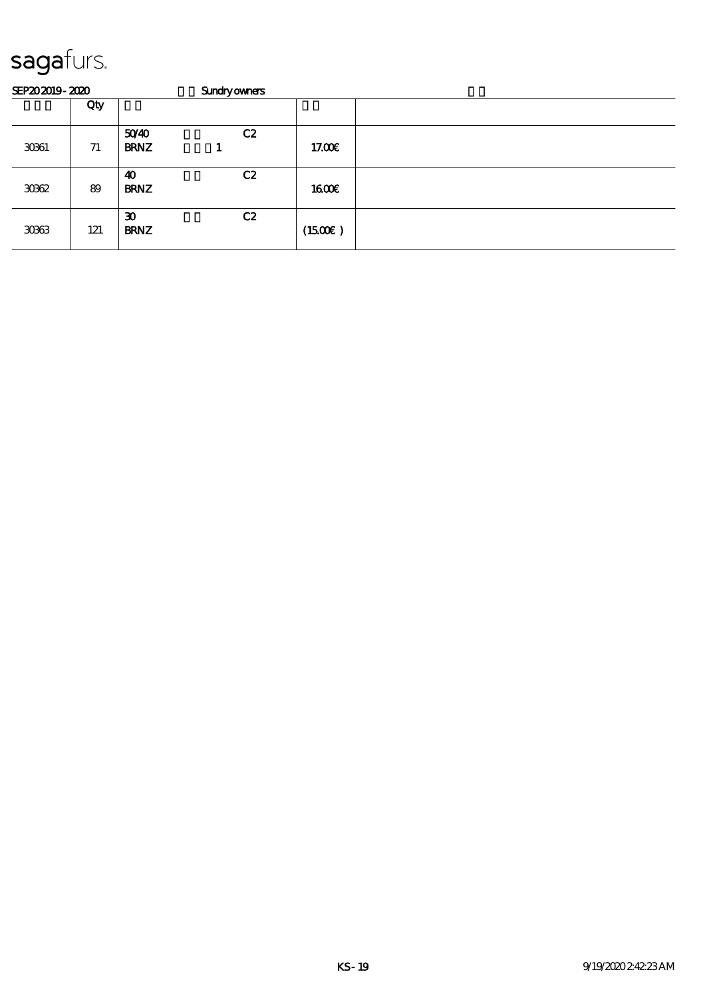| SEP202019-2020 |     |                                            | <b>Sundryowners</b> |                     |  |
|----------------|-----|--------------------------------------------|---------------------|---------------------|--|
|                | Qty |                                            |                     |                     |  |
| 3061           | 71  | 5040<br><b>BRNZ</b>                        | C2                  | 17.00 <sub>E</sub>  |  |
| 3062           | 89  | 40<br><b>BRNZ</b>                          | C2                  | 1600E               |  |
| 3063           | 121 | $\boldsymbol{\mathfrak{D}}$<br><b>BRNZ</b> | C2                  | $(1500\varepsilon)$ |  |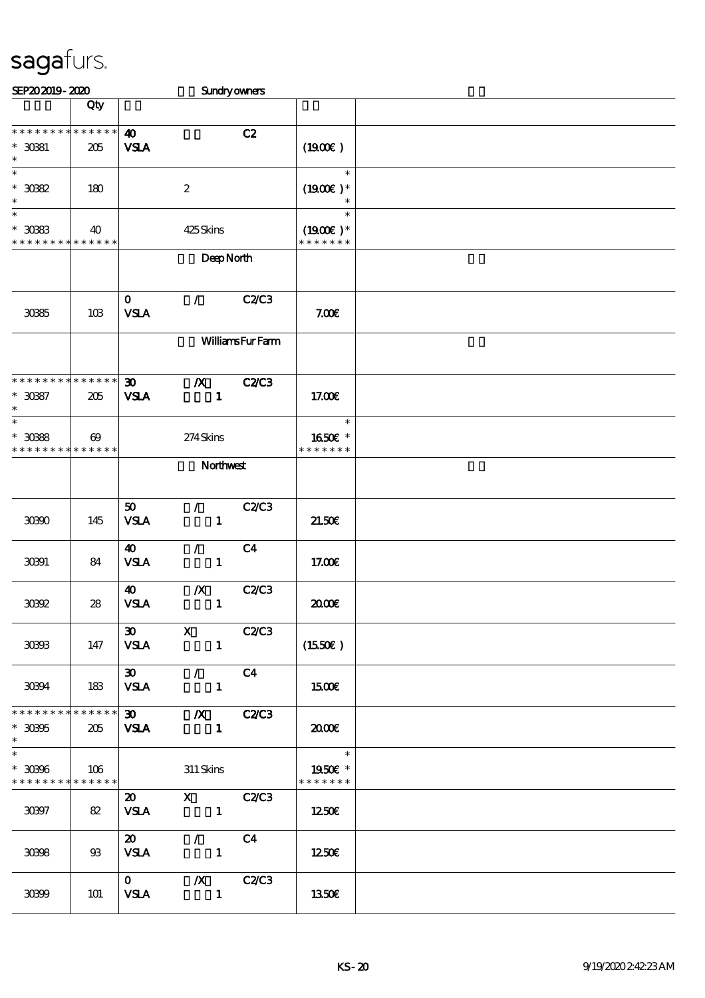| SEP202019-2020                                      |                       |                                            |                                                      | Sundryowners                |                                       |  |
|-----------------------------------------------------|-----------------------|--------------------------------------------|------------------------------------------------------|-----------------------------|---------------------------------------|--|
|                                                     | Qty                   |                                            |                                                      |                             |                                       |  |
| * * * * * * * * * * * * * *<br>$*$ 3081<br>$\ast$   | 205                   | $\boldsymbol{\omega}$<br><b>VSLA</b>       |                                                      | C2                          | (1900)                                |  |
| $\ast$<br>$^\ast$ 3082<br>$\ast$                    | 180                   |                                            | $\boldsymbol{2}$                                     |                             | $\ast$<br>$(1900E)*$<br>$\ast$        |  |
| $\ast$<br>$^*$ 3083<br>* * * * * * * *              | 40<br>* * * * * *     |                                            | 425Skins                                             |                             | $\ast$<br>$(1900E)*$<br>* * * * * * * |  |
|                                                     |                       |                                            | DeepNorth                                            |                             |                                       |  |
| 3085                                                | 10B                   | $\mathbf{o}$<br><b>VSLA</b>                | $\mathcal{L}$                                        | <b>C2/C3</b>                | 7.00E                                 |  |
|                                                     |                       |                                            |                                                      | <b>WilliamsFurFarm</b>      |                                       |  |
| * * * * * * * * * * * * * *<br>$*3087$<br>$\ast$    | 205                   | $\boldsymbol{\mathfrak{D}}$<br><b>VSLA</b> | $\boldsymbol{X}$<br>$\mathbf{1}$                     | <b>C2/C3</b>                | 17.00E                                |  |
| $\ast$<br>$*3088$<br>* * * * * * * * * * * * * *    | $\boldsymbol{\omega}$ |                                            | 274Skins                                             |                             | $\ast$<br>1650E *<br>* * * * * * *    |  |
|                                                     | Northwest             |                                            |                                                      |                             |                                       |  |
| 30300                                               | 145                   | 50<br><b>VSLA</b>                          | $\mathcal{L}_{\mathbb{R}}$<br>$\mathbf{1}$           | <b>C2/C3</b>                | 21.50E                                |  |
| 30391                                               | 84                    | 40<br><b>VSLA</b>                          | $\mathcal{L}$<br>$\mathbf{1}$                        | C <sub>4</sub>              | 17.00E                                |  |
| 30892                                               | 28                    | $\boldsymbol{\omega}$<br><b>VSLA</b>       | $\boldsymbol{X}$<br>$\mathbf{1}$                     | <b>C2/C3</b>                | æœ                                    |  |
| 30333                                               | 147                   | <b>VSLA</b>                                | $\infty$ x<br>$\mathbf{1}$                           | C2/C3                       | (1550E)                               |  |
| 30394                                               | 183                   | $\boldsymbol{\mathfrak{D}}$<br><b>VSLA</b> | $\mathcal{L} = \mathcal{L}$<br>$\blacksquare$        | C4                          | 1500€                                 |  |
| * * * * * * * * * * * * * * *<br>$*30305$<br>$\ast$ | 205                   | <b>VSLA</b>                                | $\blacksquare$                                       |                             | 2000                                  |  |
| $\ast$<br>$* 30906$<br>******** <mark>******</mark> | 106                   |                                            | 311 Skins                                            |                             | 1950E *<br>* * * * * * *              |  |
| 30397                                               | 82                    | 20<br><b>VSLA</b>                          | X C2/C3<br>$\sim$ $\sim$ $\sim$ $\sim$ $\sim$ $\sim$ |                             | 1250E                                 |  |
| 30398                                               | $\mathfrak{B}$        | $\boldsymbol{\mathsf{20}}$<br><b>VSLA</b>  | $\sqrt{C4}$<br>$\sim$ 1.                             |                             | 1250E                                 |  |
| 30399                                               | 101                   | $\mathbf{0}$<br><b>VSLA</b>                | $\blacksquare$                                       | $\chi$ C <sub>2</sub> $C_3$ | <b>1350€</b>                          |  |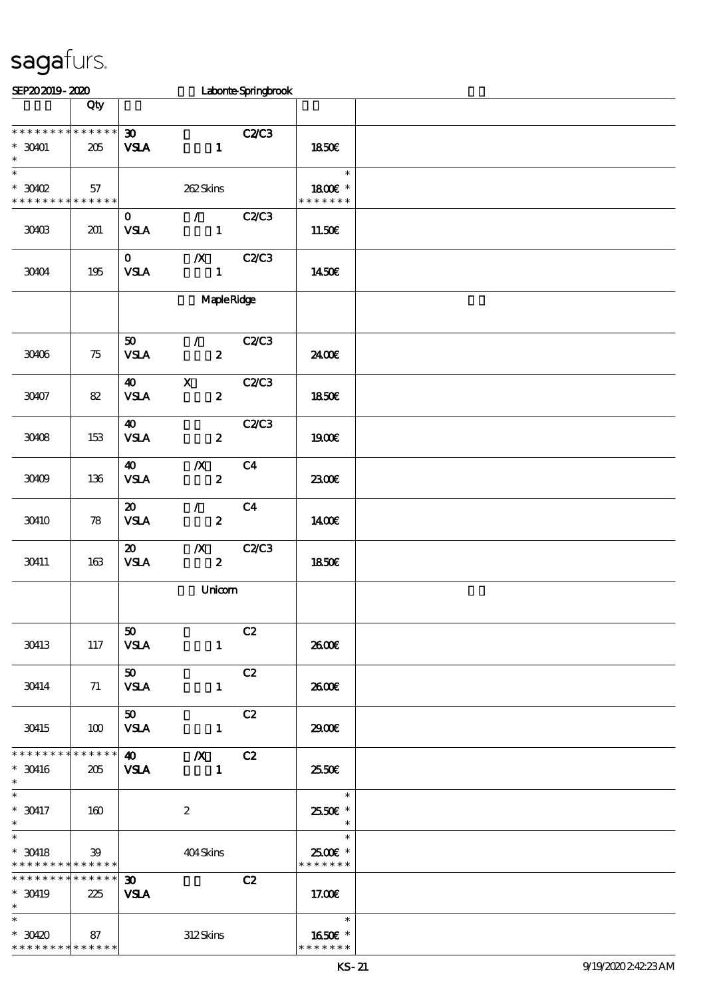| SEP202019-2020                                                               |     |                                                                                  |                                             | Laborte Springbrook |                                    |  |
|------------------------------------------------------------------------------|-----|----------------------------------------------------------------------------------|---------------------------------------------|---------------------|------------------------------------|--|
|                                                                              | Qty |                                                                                  |                                             |                     |                                    |  |
| * * * * * * * * * * * * * *<br>$*$ 30401<br>$\ast$                           | 205 | $\boldsymbol{\mathfrak{D}}$<br><b>VSLA</b>                                       | $\mathbf{1}$                                | C2C3                | 1850€                              |  |
| $\overline{\ast}$<br>$*3002$<br>* * * * * * * * <mark>* * * * * *</mark>     | 57  |                                                                                  | 262Skins                                    |                     | $\ast$<br>1800€ *<br>* * * * * * * |  |
| 30403                                                                        | 201 | $\mathbf{O}$<br>$\ensuremath{\mathsf{VSA}}$                                      | $\mathcal{L}^{\mathcal{L}}$<br>$\mathbf{1}$ | C2C3                | 11.50€                             |  |
| 30404                                                                        | 195 | $\mathbf{O}$<br><b>VSLA</b>                                                      | $\mathbf{X}$<br>$\mathbf{1}$                | C2C3                | 1450€                              |  |
|                                                                              |     |                                                                                  | <b>Maple Ridge</b>                          |                     |                                    |  |
| 30406                                                                        | 75  | 50<br><b>VSLA</b>                                                                | $\mathcal{L}$<br>$\boldsymbol{z}$           | C2C3                | 2400€                              |  |
| 30407                                                                        | 82  | $\boldsymbol{\omega}$<br>$\ensuremath{\mathbf{V}\mathbf{S}}\mathbf{I}\mathbf{A}$ | $\mathbf x$<br>$\boldsymbol{z}$             | C2/C3               | <b>1850€</b>                       |  |
| 30408                                                                        | 153 | $\boldsymbol{\omega}$<br><b>VSLA</b>                                             | $\boldsymbol{z}$                            | <b>C2/C3</b>        | 1900E                              |  |
| 30409                                                                        | 136 | $\boldsymbol{\omega}$<br><b>VSLA</b>                                             | $\boldsymbol{X}$<br>$\boldsymbol{z}$        | C <sub>4</sub>      | 2300E                              |  |
| 30410                                                                        | 78  | $\boldsymbol{\mathfrak{D}}$<br><b>VSLA</b>                                       | $\mathcal{L}$<br>$\boldsymbol{z}$           | C <sub>4</sub>      | <b>140€</b>                        |  |
| 30411                                                                        | 163 | $\boldsymbol{\mathfrak{D}}$<br><b>VSLA</b>                                       | $\boldsymbol{X}$<br>$\boldsymbol{z}$        | <b>C2/C3</b>        | 1850E                              |  |
|                                                                              |     |                                                                                  | Unicom                                      |                     |                                    |  |
| 30413                                                                        | 117 | 50<br><b>VSLA</b>                                                                | $\mathbf{1}$                                | C2                  | 2600E                              |  |
| 30414                                                                        | 71  | 50<br><b>VSLA</b>                                                                | $\mathbf{1}$                                | C2                  | 2600E                              |  |
| 30415                                                                        | 100 | 50<br><b>VSLA</b>                                                                | $\mathbf{1}$                                | C2                  | 2900                               |  |
| **************<br>$^*$ 30416 $\,$<br>$\ast$                                  | 205 | $\boldsymbol{\omega}$<br><b>VSLA</b>                                             | $\boldsymbol{X}$<br>$\mathbf{1}$            | C2                  | 25.50E                             |  |
| $\overline{\phantom{0}}$<br>$*$ 30417<br>$\ast$                              | 160 |                                                                                  | $\boldsymbol{2}$                            |                     | $\ast$<br>2550€ *<br>$\ast$        |  |
| $\overline{\ast}$<br>$*$ 30418<br>* * * * * * * * <mark>* * * * * *</mark> * | 39  |                                                                                  | 404Skins                                    |                     | $\ast$<br>2500€ *<br>* * * * * * * |  |
| * * * * * * * * * * * * * *<br>$*$ 30419<br>$\ast$                           | 225 | $\boldsymbol{\mathfrak{D}}$<br><b>VSLA</b>                                       |                                             | C2                  | 17.00E                             |  |
| $\overline{\ast}$<br>$*30420$<br>* * * * * * * * * * * * * *                 | 87  |                                                                                  | 312Skins                                    |                     | $\ast$<br>1650E *<br>* * * * * * * |  |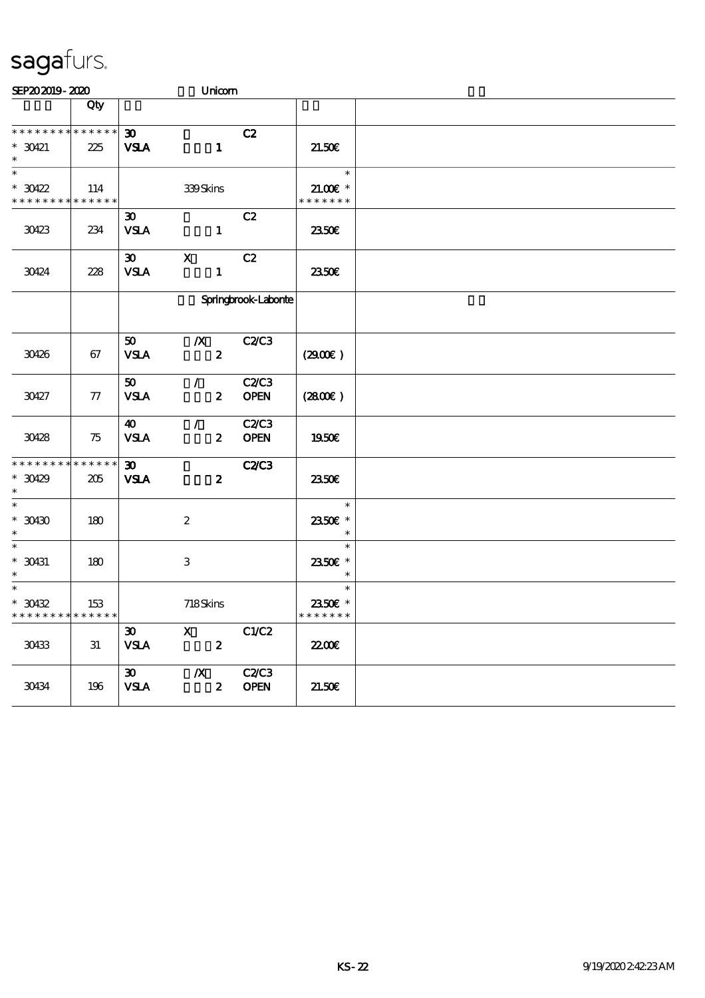| SEP202019-2020                               |     |                             |                  | Unicom                          |                             |  |
|----------------------------------------------|-----|-----------------------------|------------------|---------------------------------|-----------------------------|--|
|                                              | Qty |                             |                  |                                 |                             |  |
| * * * * * * * * * * * * * *                  |     | 30 <sub>o</sub>             |                  | C2                              |                             |  |
| $* 30421$<br>$\ast$                          | 225 | <b>VSLA</b>                 |                  | $\mathbf{1}$                    | 21.50E                      |  |
| $\ast$                                       |     |                             |                  |                                 | $\ast$                      |  |
| $*30422$<br>* * * * * * * * * * * * * *      | 114 |                             | 339Skins         |                                 | $21.00E$ *<br>* * * * * * * |  |
|                                              |     | $\boldsymbol{\mathfrak{D}}$ |                  | C2                              |                             |  |
| 30423                                        | 234 | <b>VSLA</b>                 |                  | $\mathbf{1}$                    | 2350E                       |  |
|                                              |     | $\boldsymbol{\mathfrak{D}}$ | $\mathbf{X}$     | C2                              |                             |  |
| 30424                                        | 228 | <b>VSLA</b>                 |                  | $\mathbf{1}$                    | 2350E                       |  |
|                                              |     | Springbrook-Laborite        |                  |                                 |                             |  |
|                                              |     | 50                          | $\boldsymbol{X}$ | C2C3                            |                             |  |
| 30426                                        | 67  | <b>VSLA</b>                 |                  | $\boldsymbol{z}$                | (2900)                      |  |
|                                              |     | 50                          | $\mathcal{F}$    | <b>C2/C3</b>                    |                             |  |
| 30427                                        | 77  | <b>VSLA</b>                 |                  | <b>OPEN</b><br>$\boldsymbol{z}$ | (280)                       |  |
|                                              |     | $\boldsymbol{\omega}$       | $\mathcal{L}$    | <b>C2/C3</b>                    |                             |  |
| 30428                                        | 75  | <b>VSLA</b>                 |                  | <b>OPEN</b><br>$\boldsymbol{2}$ | 1950E                       |  |
| * * * * * * * * * * * * * *                  |     | $\boldsymbol{\mathfrak{D}}$ |                  | <b>C2C3</b>                     |                             |  |
| $*30429$<br>$\ast$                           | 205 | <b>VSLA</b>                 |                  | $\boldsymbol{z}$                | 2350E                       |  |
| $\ast$                                       |     |                             |                  |                                 | $\ast$                      |  |
| $*$ 30430<br>$\ast$                          | 180 |                             | $\boldsymbol{2}$ |                                 | 2350€ *<br>$\ast$           |  |
| $\ast$                                       |     |                             |                  |                                 | $\ast$                      |  |
| $*$ 30431<br>$\ast$                          | 180 |                             | 3                |                                 | 2350€ *<br>$\ast$           |  |
| $\ast$                                       |     |                             |                  |                                 | $\ast$                      |  |
| $^\ast$ 30432<br>* * * * * * * * * * * * * * | 153 |                             | 718Skins         |                                 | 2350€ *<br>* * * * * * *    |  |
|                                              |     | 30 <sub>o</sub>             |                  | $X$ $C1/C2$                     |                             |  |
| 30433                                        | 31  | <b>VSLA</b>                 |                  | $\mathbf{2}$                    | 2200                        |  |
|                                              |     | $\boldsymbol{\mathfrak{D}}$ | $\boldsymbol{X}$ | C2C3                            |                             |  |
| 30434                                        | 196 | <b>VSLA</b>                 |                  | 2 OPEN                          | 21.50E                      |  |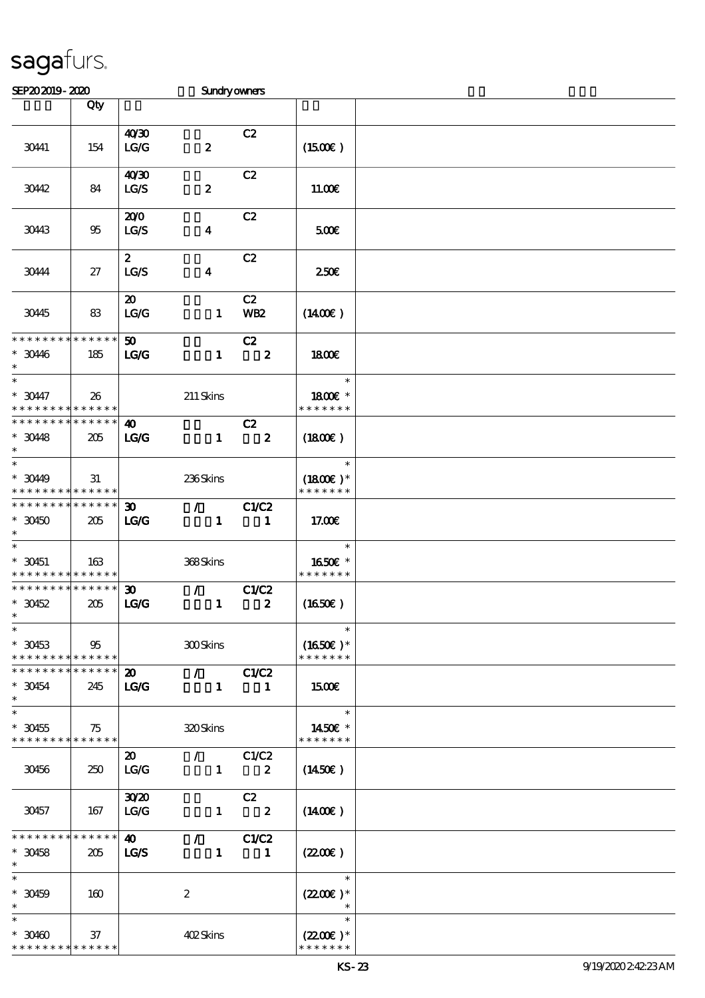| SEP202019-2020                                                     |     |                                                        | Sundryowners                  |                               |                                                  |  |
|--------------------------------------------------------------------|-----|--------------------------------------------------------|-------------------------------|-------------------------------|--------------------------------------------------|--|
|                                                                    | Qty |                                                        |                               |                               |                                                  |  |
| 30441                                                              | 154 | 40'30<br>LG/G                                          | $\pmb{2}$                     | C2                            | (1500E)                                          |  |
| 30442                                                              | 84  | 40'30<br>LG/S                                          | $\pmb{2}$                     | C2                            | 11.00E                                           |  |
| 30443                                                              | 95  | 200<br><b>LG/S</b>                                     | $\boldsymbol{4}$              | C2                            | 500€                                             |  |
| 30444                                                              | 27  | $\boldsymbol{z}$<br>LGS                                | $\boldsymbol{4}$              | C2                            | 250E                                             |  |
| 30445                                                              | 83  | $\boldsymbol{\mathfrak{D}}$<br>$\mathbf{LG}\mathbf{G}$ | $\mathbf{1}$                  | C2<br><b>WB2</b>              | $(1400\varepsilon)$                              |  |
| * * * * * * * * * * * * * *<br>$* 3046$<br>$\ast$                  | 185 | 50 <sub>o</sub><br>LG                                  | $\mathbf{1}$                  | C2<br>$\overline{\mathbf{2}}$ | 1800E                                            |  |
| $\ast$<br>$* 30447$<br>* * * * * * * * <mark>* * * * * *</mark>    | 26  |                                                        | $211$ Skins                   |                               | $\ast$<br>1800€ *<br>* * * * * * *               |  |
| * * * * * * * * * * * * * *<br>$*3048$<br>$\ast$                   | 205 | $\boldsymbol{\omega}$<br>LG                            | $\mathbf{1}$                  | C2<br>$\overline{\mathbf{2}}$ | (1800)                                           |  |
| $\overline{\phantom{0}}$<br>$*3049$<br>* * * * * * * * * * * * * * | 31  |                                                        | 236Skins                      |                               | $\ast$<br>$(1800)$ *<br>* * * * * * *            |  |
| * * * * * * * * * * * * * *<br>$*30450$<br>$\ast$                  | 205 | $\boldsymbol{\mathfrak{D}}$<br>LG                      | $\mathcal{L}$<br>$\mathbf{1}$ | <b>C1/C2</b><br>$\mathbf{1}$  | 17.00E                                           |  |
| $\ast$<br>$*$ 30451<br>* * * * * * * * <mark>* * * * * *</mark>    | 163 |                                                        | 368Skins                      |                               | $\ast$<br>1650€ *<br>* * * * * * *               |  |
| * * * * * * * * * * * * * *<br>$*30452$<br>$*$                     | 205 | $\boldsymbol{\mathfrak{D}}$<br>LG                      | $\mathcal{L}$<br>$\mathbf{1}$ | C1/C2<br>$\boldsymbol{z}$     | (1650)                                           |  |
| $\ast$<br>$*30453$<br>* * * * * * * * <mark>* * * * * *</mark>     | 95  |                                                        | <b>300Skins</b>               |                               | $\ast$<br>$(1650)$ *<br>* * * * * * *            |  |
| * * * * * * * * * * * * * *<br>$*30454$<br>$\ast$                  | 245 | $\boldsymbol{\mathsf{20}}$<br><b>LG/G</b>              | $\sqrt{C1/C2}$                | $1 \quad 1$                   | 1500                                             |  |
| $\ast$<br>$*30455$<br>* * * * * * * * <mark>* * * * * * *</mark>   | 75  |                                                        | 320Skins                      |                               | $\ast$<br>1450€ *<br>* * * * * * *               |  |
| 30456                                                              | 250 | $\boldsymbol{\mathfrak{D}}$<br>LG/G                    | $\sqrt{C1/C2}$<br>$1 \t 2$    |                               | $(1450\epsilon)$                                 |  |
| 30457                                                              | 167 | 30 <sup>20</sup><br>LG                                 |                               | C2<br>$1 \t 2$                | $(1400\varepsilon)$                              |  |
| **************<br>$*30458$<br>$\ast$                               | 205 | $\boldsymbol{\omega}$<br><b>LG/S</b>                   | $\sqrt{C1/C2}$                | $1 \quad 1$                   | $(2200\varepsilon)$                              |  |
| $\ast$<br>$* 30459$<br>$\ast$                                      | 160 |                                                        | $\boldsymbol{2}$              |                               | $\ast$<br>$(2200)$ *<br>$\overline{\phantom{a}}$ |  |
| $\ast$<br>$*30400$<br>* * * * * * * * * * * * * *                  | 37  |                                                        | 402Skins                      |                               | $\ast$<br>$(2200\varepsilon)^*$<br>* * * * * * * |  |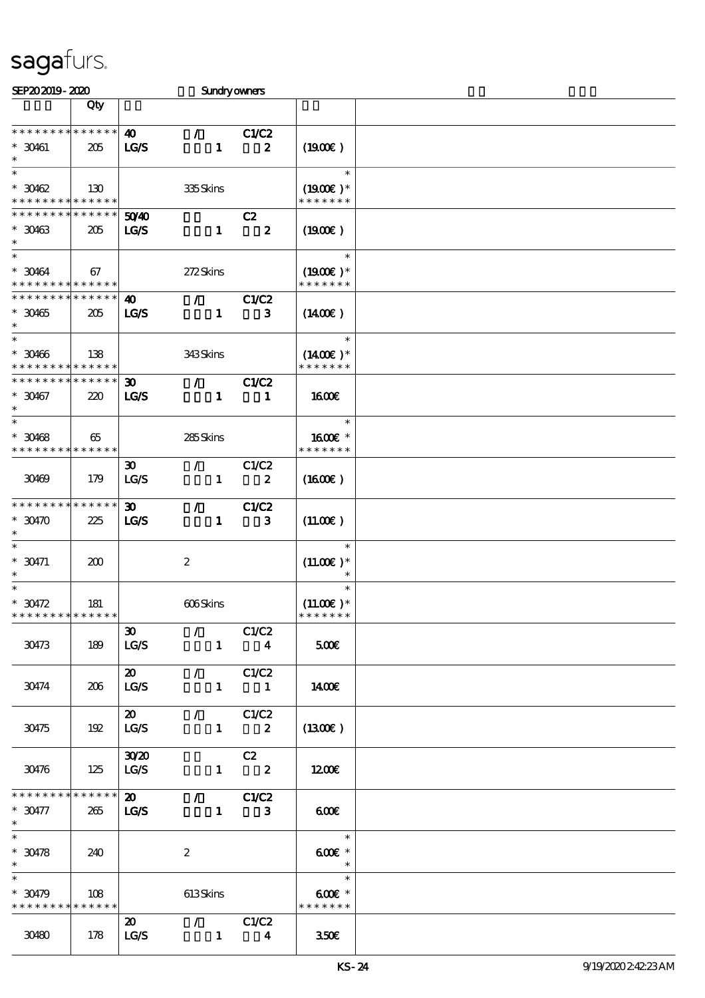| SEP202019-2020                           |                 |                             | <b>Sundryowners</b>             |                         |                          |  |
|------------------------------------------|-----------------|-----------------------------|---------------------------------|-------------------------|--------------------------|--|
|                                          | Qty             |                             |                                 |                         |                          |  |
|                                          |                 |                             |                                 |                         |                          |  |
| * * * * * * * * * * * * * *              |                 | $\boldsymbol{\omega}$       | $\mathcal{L}$                   | C1/C2                   |                          |  |
| $*$ 30461                                | 205             | LGS                         | $\mathbf{1}$                    | $\boldsymbol{z}$        | (1900)                   |  |
| $\ast$                                   |                 |                             |                                 |                         |                          |  |
| $\ast$                                   |                 |                             |                                 |                         | $\ast$                   |  |
| $*30462$                                 | 130             |                             | 335Skins                        |                         | $(1900E)^*$              |  |
| * * * * * * * * <mark>* * * * * *</mark> |                 |                             |                                 |                         | * * * * * * *            |  |
| * * * * * * * *                          | * * * * * *     | 5040                        |                                 | C2                      |                          |  |
| $*30463$                                 | 205             | <b>LG/S</b>                 | $\mathbf{1}$                    | $\overline{\mathbf{2}}$ | (1900E)                  |  |
| $\ast$                                   |                 |                             |                                 |                         |                          |  |
| $\ast$                                   |                 |                             |                                 |                         | $\ast$                   |  |
| $* 30464$                                | 67              |                             | 272Skins                        |                         | $(1900E)*$               |  |
| * * * * * * * * * * * * * *              |                 |                             |                                 |                         | * * * * * * *            |  |
| * * * * * * * * * * * * * *              |                 | $\boldsymbol{\omega}$       | $\bar{Z}$                       | <b>C1/C2</b>            |                          |  |
| $*30465$                                 | 205             | LGS                         | $\mathbf{1}$                    | $\mathbf{3}$            | $(1400\varepsilon)$      |  |
| $\ast$                                   |                 |                             |                                 |                         |                          |  |
| $\ast$                                   |                 |                             |                                 |                         | $\ast$                   |  |
| $* 30466$                                | 138             |                             | 343Skins                        |                         | $(1400\varepsilon)*$     |  |
| * * * * * * * * <mark>* * * * * *</mark> |                 |                             |                                 |                         | * * * * * * *            |  |
| * * * * * * * * * * * * * *              |                 | $\boldsymbol{\mathfrak{D}}$ | $\mathcal{L}$                   | C1/C2                   |                          |  |
| $*30467$                                 | 220             | LCS                         | $\mathbf{1}$                    | $\mathbf{1}$            | <b>1600€</b>             |  |
| $\ast$                                   |                 |                             |                                 |                         |                          |  |
| $\ast$                                   |                 |                             |                                 |                         | $\ast$                   |  |
| $* 30468$                                | 65              |                             | 285Skins                        |                         | 1600 £*                  |  |
| * * * * * * * * * * * * * *              |                 |                             |                                 |                         | * * * * * * *            |  |
|                                          |                 | $\boldsymbol{\mathfrak{D}}$ | $\mathcal{F}$                   | C1/C2                   |                          |  |
| 30469                                    | 179             | LG/S                        | $\mathbf{1}$                    | $\boldsymbol{z}$        | $(1600\varepsilon)$      |  |
|                                          |                 |                             |                                 |                         |                          |  |
| * * * * * * * *                          | * * * * * *     | $\boldsymbol{\mathfrak{D}}$ | $\mathcal{L}$                   | C1/C2                   |                          |  |
| $*$ 30470                                | 225             | LGS                         | $\mathbf{1}$                    | $\mathbf{3}$            | $(11.00\varepsilon)$     |  |
| $\ast$                                   |                 |                             |                                 |                         |                          |  |
| $\ast$                                   |                 |                             |                                 |                         | $\ast$                   |  |
| $^*$ 30471                               | 200             |                             | $\boldsymbol{2}$                |                         | $(11.00E)*$              |  |
| $\ast$                                   |                 |                             |                                 |                         |                          |  |
| $\ast$                                   |                 |                             |                                 |                         | $\ast$                   |  |
| $^*$ 30472 $\,$                          | 181             |                             | 606Skins                        |                         | $(11.00)$ *              |  |
| **************                           |                 |                             |                                 |                         | * * * * * * *            |  |
|                                          |                 | 30 <sup>2</sup>             | $\mathcal{F}$ and $\mathcal{F}$ | C1/C2                   |                          |  |
| 30473                                    | 189             | LG/S                        |                                 | $1 \quad 4$             | 500€                     |  |
|                                          |                 |                             |                                 |                         |                          |  |
|                                          |                 | $\boldsymbol{\mathsf{20}}$  | $\sqrt{C1/C2}$                  |                         |                          |  |
| 30474                                    | 206             | LG/S                        |                                 | $1 \quad 1$             | 1400E                    |  |
|                                          |                 |                             |                                 |                         |                          |  |
|                                          |                 | $\boldsymbol{\mathsf{20}}$  |                                 |                         |                          |  |
| 30475                                    | 192             | LG/S                        | $\sqrt{C1/C2}$                  | $1 \t 2$                | (1300)                   |  |
|                                          |                 |                             |                                 |                         |                          |  |
|                                          |                 | 30 <sup>20</sup>            |                                 |                         |                          |  |
|                                          |                 |                             |                                 | C2                      |                          |  |
| 30476                                    | 125             | LG/S                        |                                 | $1 \t 2$                | 1200E                    |  |
| * * * * * * * *                          | $* * * * * * *$ |                             |                                 |                         |                          |  |
|                                          |                 | $\boldsymbol{\mathfrak{D}}$ | $\sqrt{C1/C2}$                  |                         |                          |  |
| $* 30477$                                | 265             | <b>LG/S</b>                 |                                 | $1 \qquad 3$            | 600                      |  |
| $\ast$                                   |                 |                             |                                 |                         |                          |  |
|                                          |                 |                             |                                 |                         |                          |  |
| $^*$ 30478 $\,$                          | 240             |                             | $\boldsymbol{2}$                |                         | $600E$ *                 |  |
| $*$ $-$                                  |                 |                             |                                 |                         | $\overline{\phantom{a}}$ |  |
| $\ast$                                   |                 |                             |                                 |                         | $\ast$                   |  |
| $*30479$                                 | 108             |                             | 613Skins                        |                         | $600E$ *                 |  |
| * * * * * * * * <mark>* * * * * *</mark> |                 |                             |                                 |                         | * * * * * * *            |  |
|                                          |                 | $\boldsymbol{\mathsf{20}}$  | $\sqrt{C1/C2}$                  |                         |                          |  |
| 30480                                    | 178             | LG/S                        | $\overline{\phantom{a}}$        | $\overline{\mathbf{4}}$ | 350E                     |  |
|                                          |                 |                             |                                 |                         |                          |  |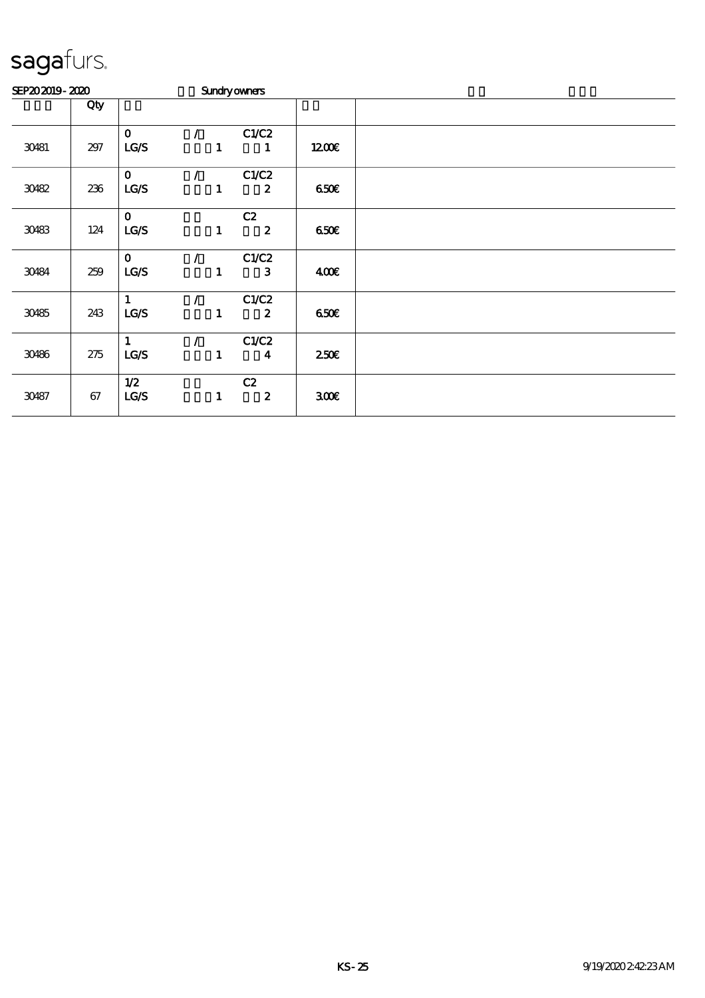| SEP202019-2020 |         |              | <b>Sundryowners</b> |              |                  |                  |  |
|----------------|---------|--------------|---------------------|--------------|------------------|------------------|--|
|                | Qty     |              |                     |              |                  |                  |  |
|                |         | $\mathbf 0$  | $\mathcal{L}$       |              | C1/C2            |                  |  |
| 30481          | 297     | LG/S         |                     | $\mathbf{1}$ | 1                | 1200             |  |
|                |         | $\mathbf 0$  |                     |              | C1/C2            |                  |  |
| 30482          | 236     | LG/S         |                     | $\mathbf{1}$ | $\boldsymbol{z}$ | 650E             |  |
|                |         | $\mathbf{O}$ |                     |              | C2               |                  |  |
| 30483          | 124     | LG/S         |                     | $\mathbf{1}$ | $\boldsymbol{z}$ | 650E             |  |
|                |         | $\mathbf 0$  |                     |              | C1/C2            |                  |  |
| 30484          | 259     | LG/S         |                     | $\mathbf{1}$ | $\mathbf{3}$     | 400              |  |
|                |         | 1            |                     |              | C1/C2            |                  |  |
| 30485          | 243     | LG/S         |                     | $\mathbf{1}$ | $\boldsymbol{z}$ | 650E             |  |
|                |         | 1            | $\mathcal{L}$       |              | C1/C2            |                  |  |
| 30486          | $275\,$ | LG/S         |                     | $\mathbf{1}$ | $\boldsymbol{4}$ | 250E             |  |
|                |         | 1/2          |                     |              | C2               |                  |  |
| 30487          | 67      | LG/S         |                     | $\mathbf{1}$ | $\boldsymbol{z}$ | 300 <sup>2</sup> |  |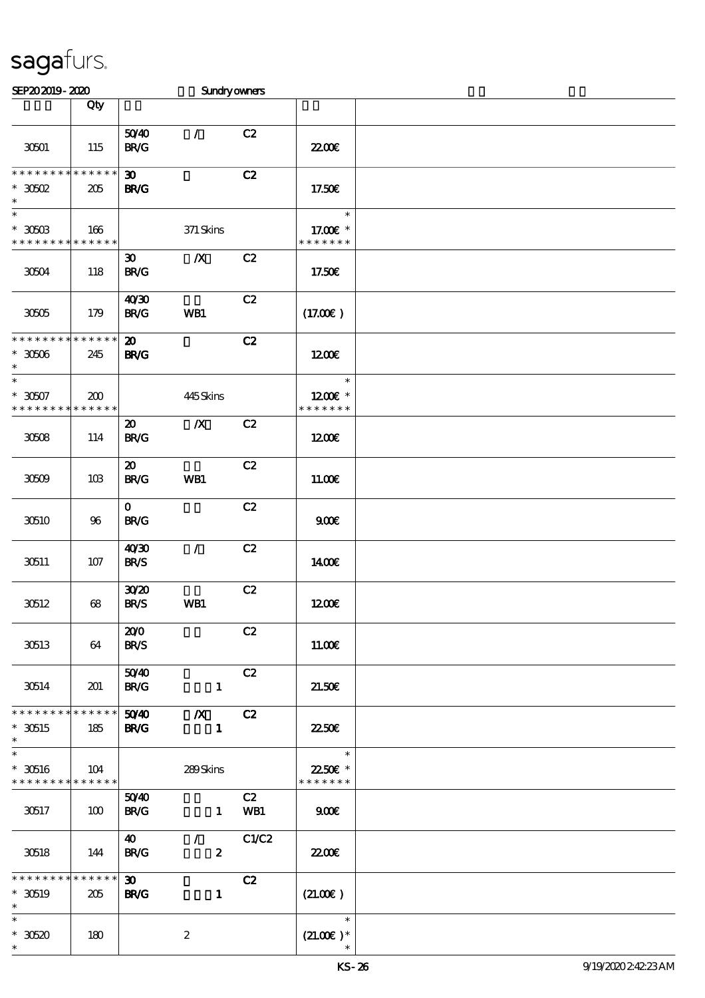| SEP202019-2020                                      |                    |                                            | Sundryowners                                |           |                                                     |  |
|-----------------------------------------------------|--------------------|--------------------------------------------|---------------------------------------------|-----------|-----------------------------------------------------|--|
|                                                     | Qty                |                                            |                                             |           |                                                     |  |
| 30501                                               | 115                | 5040<br><b>BR/G</b>                        | $\mathcal{L}$                               | C2        | <b>2200</b> €                                       |  |
| $*********$<br>$*30502$<br>$\ast$                   | * * * * * *<br>205 | $\boldsymbol{\mathfrak{D}}$<br><b>BR/G</b> |                                             | C2        | 17.50€                                              |  |
| $\overline{\ast}$<br>$*$ 30503<br>* * * * * * * *   | 166<br>* * * * * * |                                            | 371 Skins                                   |           | $\ast$<br>17.00 £*<br>* * * * * * *                 |  |
| 30504                                               | 118                | $\boldsymbol{\mathfrak{D}}$<br><b>BR/G</b> | $\boldsymbol{X}$                            | C2        | 17.50€                                              |  |
| 30505                                               | 179                | 40'30<br><b>BR/G</b>                       | WB1                                         | C2        | (17.00)                                             |  |
| * * * * * * * * * * * * * *<br>$*30506$<br>$\ast$   | 245                | $\boldsymbol{\mathfrak{D}}$<br><b>BR/G</b> |                                             | C2        | 1200E                                               |  |
| $\ast$<br>$* 30507$<br>* * * * * * * *              | 200<br>* * * * * * |                                            | 445Skins                                    |           | $\ast$<br>$1200E$ *<br>* * * * * * *                |  |
| 30508                                               | 114                | $\boldsymbol{\mathfrak{D}}$<br><b>BR/G</b> | $\boldsymbol{X}$                            | C2        | 1200E                                               |  |
| 30509                                               | 10B                | $\boldsymbol{\mathfrak{D}}$<br><b>BR/G</b> | WB1                                         | C2        | 11.00E                                              |  |
| 30510                                               | 96                 | $\mathbf{0}$<br><b>BR/G</b>                |                                             | C2        | 900E                                                |  |
| 30511                                               | 107                | 40'30<br><b>BR/S</b>                       | $\mathcal{L}$                               | C2        | 1400E                                               |  |
| 30512                                               | 68                 | 3020<br><b>BR/S</b>                        | WB1                                         | C2        | 1200                                                |  |
| 30513                                               | 64                 | 200<br><b>BR/S</b>                         |                                             | C2        | 11.00E                                              |  |
| 30514                                               | 201                | 5040<br><b>BR/G</b>                        | $\mathbf{1}$                                | C2        | 21.50E                                              |  |
| * * * * * * * * * * * * * * *<br>$*30515$<br>$\ast$ | 185                | 50 <sup>/4</sup> 0<br><b>BR/G</b>          | $\mathbb{X}$ C <sub>2</sub><br>$\mathbf{1}$ |           | <b>2250E</b>                                        |  |
| $\ast$<br>$*$ 30516<br>* * * * * * * * * * * * * *  | 104                |                                            | 289Skins                                    |           | $\overline{\mathbf{r}}$<br>2250E *<br>* * * * * * * |  |
| 30517                                               | 100                | 5040<br><b>BR/G</b>                        | $\mathbf{1}$                                | C2<br>WB1 | 900                                                 |  |
| 30518                                               | 144                | $\boldsymbol{\omega}$<br><b>BR/G</b>       | $\mathcal{F}$<br>$\boldsymbol{z}$           | C1/C2     | 2200                                                |  |
| * * * * * * * *<br>$*30519$<br>$\ast$               | * * * * * *<br>205 | $\infty$<br><b>BR/G</b>                    | $\mathbf{1}$                                | C2        | (21.00)                                             |  |
| $\ast$<br>$*30520$<br>$\ast$                        | 180                |                                            | $\boldsymbol{z}$                            |           | $\ast$<br>$(21.00)$ *                               |  |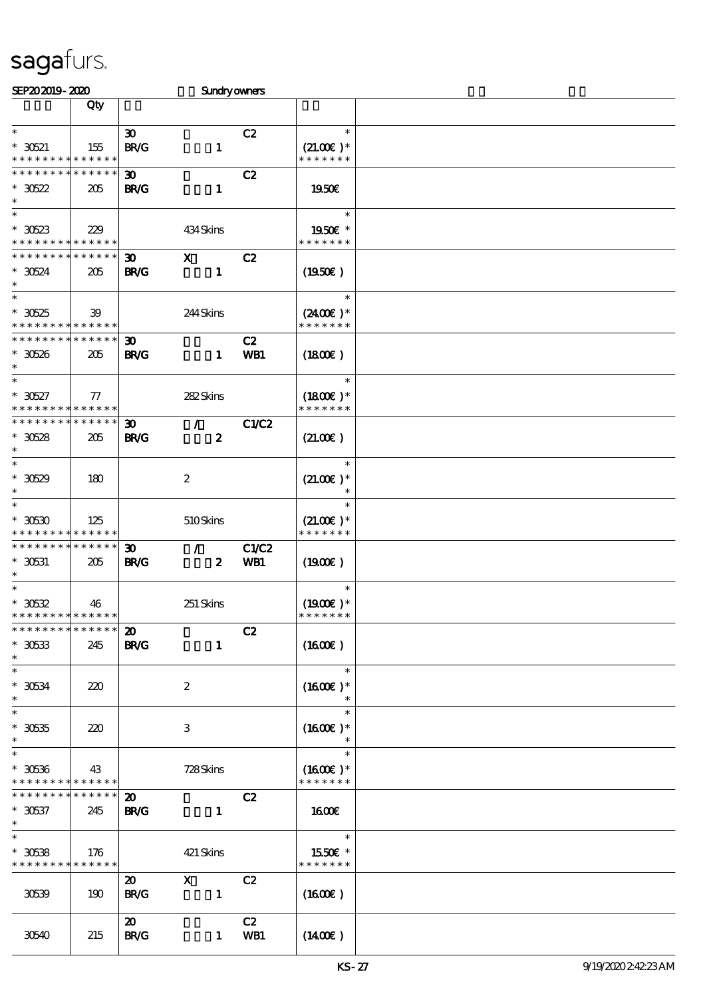| SEP202019-2020                           |              |                             | <b>Sundryowners</b> |              |                              |  |
|------------------------------------------|--------------|-----------------------------|---------------------|--------------|------------------------------|--|
|                                          | Qty          |                             |                     |              |                              |  |
|                                          |              |                             |                     |              |                              |  |
| $\ast$                                   |              | $\boldsymbol{\mathfrak{D}}$ |                     | C2           | $\ast$                       |  |
| $^*$ 30521 $\,$                          | 155          | BRC                         | $\mathbf{1}$        |              | $(21.00)$ *                  |  |
| * * * * * * * * * * * * * *              |              |                             |                     |              | * * * * * * *                |  |
| * * * * * * * * * * * * * *              |              | $\boldsymbol{\mathfrak{D}}$ |                     | C2           |                              |  |
| $*30522$                                 | 205          | <b>BR/G</b>                 | $\mathbf{1}$        |              | 1950€                        |  |
| $\ast$                                   |              |                             |                     |              |                              |  |
| $\ast$                                   |              |                             |                     |              | $\ast$                       |  |
|                                          |              |                             |                     |              |                              |  |
| $*30523$                                 | 229          |                             | 434Skins            |              | 1950E *                      |  |
| * * * * * * * * * * * * * *              |              |                             |                     |              | * * * * * * *                |  |
| * * * * * * * * * * * * * *              |              | $\boldsymbol{\mathfrak{D}}$ | $\mathbf{x}$        | C2           |                              |  |
| $*30524$                                 | 205          | <b>BR/G</b>                 | $\mathbf{1}$        |              | (1950)                       |  |
| $\ast$                                   |              |                             |                     |              |                              |  |
| $\overline{\ast}$                        |              |                             |                     |              | $\ast$                       |  |
| $*30525$                                 | 39           |                             | 244 Skins           |              | $(2400)$ *                   |  |
| * * * * * * * * * * * * * *              |              |                             |                     |              | * * * * * * *                |  |
| * * * * * * * * * * * * * *              |              | 30 <sub>o</sub>             |                     | C2           |                              |  |
| $*30526$                                 | 205          | <b>BR/G</b>                 | $\mathbf{1}$        | WB1          |                              |  |
| $\ast$                                   |              |                             |                     |              | $(1800\varepsilon)$          |  |
| $\ast$                                   |              |                             |                     |              | $\ast$                       |  |
|                                          |              |                             |                     |              |                              |  |
| $* 30527$                                | ${\bf \tau}$ |                             | 282Skins            |              | $(1800)$ *                   |  |
| * * * * * * * * * * * * * *              |              |                             |                     |              | * * * * * * *                |  |
| * * * * * * * * * * * * * *              |              | $\boldsymbol{\mathfrak{D}}$ | $\mathcal{L}$       | C1/C2        |                              |  |
| $*30528$                                 | 205          | <b>BR/G</b>                 | $\boldsymbol{z}$    |              | (21.00)                      |  |
| $\ast$                                   |              |                             |                     |              |                              |  |
| $\ast$                                   |              |                             |                     |              | $\ast$                       |  |
| $*30529$                                 | 180          |                             | $\boldsymbol{2}$    |              | $(21.00)$ *                  |  |
| $\ast$                                   |              |                             |                     |              | $\ast$                       |  |
| $\ast$                                   |              |                             |                     |              |                              |  |
|                                          |              |                             |                     |              |                              |  |
| $*$ 30630                                | 125          |                             | 510Skins            |              | $(21.00)$ *<br>* * * * * * * |  |
| * * * * * * * * * * * * * *              |              |                             |                     |              |                              |  |
| * * * * * * * *                          | * * * * * *  | $\boldsymbol{\mathfrak{D}}$ | $\mathcal{L}$       | <b>C1/C2</b> |                              |  |
| $*$ 30531                                | 205          | <b>BR/G</b>                 | $\boldsymbol{z}$    | WB1          | $(1900\epsilon)$             |  |
| $\ast$                                   |              |                             |                     |              |                              |  |
| $\ast$                                   |              |                             |                     |              | $\ast$                       |  |
| $^*$ 30532                               | 46           |                             | 251 Skins           |              | $(1900E)*$                   |  |
| **************                           |              |                             |                     |              | * * * * * * *                |  |
| * * * * * * * * * * * * * *              |              | $\boldsymbol{\mathfrak{D}}$ |                     | C2           |                              |  |
| $*30533$                                 | 245          | <b>BR/G</b>                 | $\mathbf{1}$        |              | (1600E)                      |  |
| $\ast$                                   |              |                             |                     |              |                              |  |
| $\ast$                                   |              |                             |                     |              | $\ast$                       |  |
| $^\ast$ 30534                            | 220          |                             | $\boldsymbol{z}$    |              | $(1600E)*$                   |  |
| $\ast$                                   |              |                             |                     |              | $\ast$                       |  |
| $\ast$                                   |              |                             |                     |              | $\ast$                       |  |
|                                          |              |                             |                     |              |                              |  |
| $^\ast$ 30535                            | 220          |                             | 3                   |              | $(1600E)*$                   |  |
| $\ast$                                   |              |                             |                     |              |                              |  |
| $\ast$                                   |              |                             |                     |              | $\ast$                       |  |
| $*30536$                                 | 43           |                             | 728Skins            |              | $(1600E)*$                   |  |
| * * * * * * * * <mark>* * * * * *</mark> |              |                             |                     |              | * * * * * * *                |  |
| * * * * * * * *                          | * * * * * *  | $\boldsymbol{\mathfrak{D}}$ |                     | C2           |                              |  |
| $* 30537$                                | 245          | <b>BR/G</b>                 | $\mathbf{1}$        |              | 1600                         |  |
| $\ast$                                   |              |                             |                     |              |                              |  |
| $\ast$                                   |              |                             |                     |              | $\ast$                       |  |
| $*30538$                                 |              |                             |                     |              |                              |  |
| * * * * * * * * * * * * * *              | 176          |                             | 421 Skins           |              | 1550€ *<br>* * * * * * *     |  |
|                                          |              |                             |                     |              |                              |  |
|                                          |              | $\boldsymbol{\mathfrak{D}}$ | $\mathbf{X}$        | C2           |                              |  |
| 30539                                    | 190          | <b>BR/G</b>                 | $\mathbf{1}$        |              | (1600E)                      |  |
|                                          |              |                             |                     |              |                              |  |
|                                          |              | $\boldsymbol{\mathfrak{D}}$ |                     | C2           |                              |  |
| 30540                                    | 215          | <b>BR/G</b>                 | $\mathbf{1}$        | WB1          | $(1400\varepsilon)$          |  |
|                                          |              |                             |                     |              |                              |  |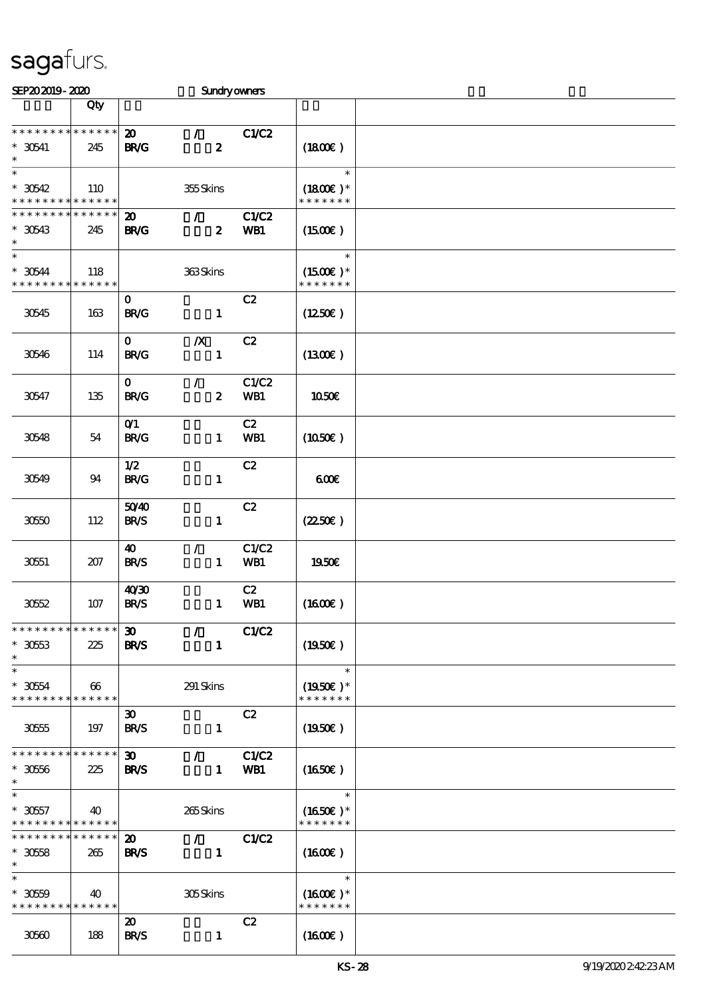| SEP202019-2020                                                |                        |                                            | <b>Sundryowners</b>                           |                     |                                       |  |
|---------------------------------------------------------------|------------------------|--------------------------------------------|-----------------------------------------------|---------------------|---------------------------------------|--|
|                                                               | Qty                    |                                            |                                               |                     |                                       |  |
| * * * * * * * * * * * * * *<br>$*30541$<br>$\ast$             | 245                    | $\boldsymbol{\mathfrak{D}}$<br><b>BR/G</b> | $\mathcal{L}$<br>$\boldsymbol{z}$             | C1/C2               | (1800)                                |  |
| $\ast$<br>$*30542$<br>* * * * * * * * * * * * * *             | 110                    |                                            | 355Skins                                      |                     | $\ast$<br>$(1800E)*$<br>* * * * * * * |  |
| * * * * * * * * * * * * * *<br>$*30543$<br>$\ast$             | 245                    | $\boldsymbol{\mathfrak{D}}$<br><b>BR/G</b> | $\mathcal{F}$<br>$\boldsymbol{z}$             | <b>C1/C2</b><br>WB1 | $(1500\varepsilon)$                   |  |
| $\ast$<br>$*30544$<br>* * * * * * * *                         | 118<br>* * * * * *     |                                            | 363Skins                                      |                     | $\ast$<br>$(1500E)*$<br>* * * * * * * |  |
| 30545                                                         | 163                    | $\mathbf 0$<br>B R/G                       | $\mathbf{1}$                                  | C2                  | (1250E)                               |  |
| 30546                                                         | 114                    | $\mathbf{O}$<br><b>BR/G</b>                | $\boldsymbol{X}$<br>$\mathbf{1}$              | C2                  | (1300E)                               |  |
| 30547                                                         | 135                    | $\mathbf{o}$<br><b>BR/G</b>                | $\mathcal{L}$<br>$\boldsymbol{z}$             | C1/C2<br>WB1        | <b>1050€</b>                          |  |
| 30548                                                         | 54                     | O(1)<br><b>BR/G</b>                        | $\mathbf{1}$                                  | C2<br>WB1           | $(1050\varepsilon)$                   |  |
| 30549                                                         | 94                     | 1/2<br><b>BR/G</b>                         | $\mathbf{1}$                                  | C2                  | 600                                   |  |
| 3050                                                          | 112                    | 5040<br><b>BR/S</b>                        | $\mathbf{1}$                                  | C2                  | (2250)                                |  |
| 30551                                                         | 207                    | 40<br><b>BR/S</b>                          | $\mathcal{L}$<br>$\mathbf{1}$                 | C1/C2<br>WB1        | 1950E                                 |  |
| 3052                                                          | 107                    | 40'30<br><b>BR/S</b>                       | $\mathbf{1}$                                  | C2<br>WB1           | $(1600\varepsilon)$                   |  |
| * * * * * * * * * * * * * *<br>$*3053$<br>$\ast$              | 225                    | 30 <sup>2</sup><br><b>BR/S</b>             | $\mathcal{L}$<br>$\mathbf{1}$                 | C1/C2               | (1950)                                |  |
| $\ast$<br>$*3054$<br>* * * * * * * * * * * * * *              | $\boldsymbol{\omega}$  |                                            | 291 Skins                                     |                     | $\ast$<br>$(1950E)*$<br>* * * * * * * |  |
| 30555                                                         | 197                    | $\boldsymbol{\mathfrak{D}}$<br><b>BR/S</b> | $\mathbf{1}$                                  | C2                  | $(1950\epsilon)$                      |  |
| * * * * * * * * * * * * * *<br>$*30566$                       | 225                    | $\boldsymbol{\mathfrak{D}}$<br><b>BR/S</b> | $\mathcal{L}$<br>$\mathbf{1}$                 | C1/C2<br>WB1        | $(1650\epsilon)$                      |  |
| $*3057$<br>* * * * * * * * <mark>* * * * * *</mark>           | 40                     |                                            | 265Skins                                      |                     | $*$<br>$(1650)$ *<br>* * * * * * *    |  |
| * * * * * * * *<br>$*3058$<br>$\ast$                          | $* * * * * * *$<br>265 | $\boldsymbol{\mathfrak{D}}$<br><b>BR/S</b> | $\mathcal{T}^{\mathcal{A}}$<br>$\blacksquare$ | C1/C2               | $(1600\varepsilon)$                   |  |
| $\ast$<br>$*3050$<br>* * * * * * * * <mark>* * * * * *</mark> | 40                     |                                            | 305Skins                                      |                     | $\ast$<br>$(1600E)*$<br>* * * * * * * |  |
| 30660                                                         | 188                    | $\boldsymbol{\mathfrak{D}}$<br><b>BR/S</b> | $\mathbf{1}$                                  | C2                  | $(1600\varepsilon)$                   |  |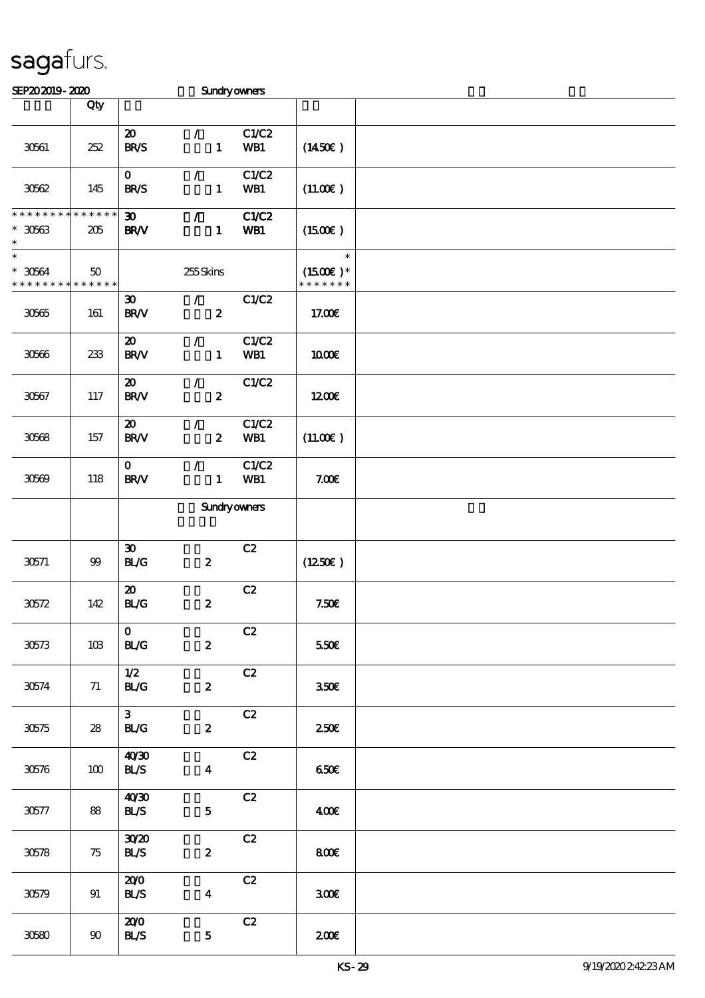| SEP202019-2020                             |                    |                                                      | <b>Sundryowners</b>                            |                     |                                       |  |
|--------------------------------------------|--------------------|------------------------------------------------------|------------------------------------------------|---------------------|---------------------------------------|--|
|                                            | Qty                |                                                      |                                                |                     |                                       |  |
| 30561                                      | 252                | $\boldsymbol{\mathsf{20}}$<br><b>BR/S</b>            | $\mathcal{L}$<br>$\mathbf{1}$                  | C1/C2<br>WB1        | (1450E)                               |  |
| 3062                                       | 145                | $\mathbf{O}$<br><b>BR/S</b>                          | $\mathcal{L}$<br>$\mathbf{1}$                  | C1/C2<br>WB1        | (11.00)                               |  |
| * * * * * * * *<br>$^\ast$ 30563<br>$\ast$ | * * * * * *<br>205 | $\boldsymbol{\mathfrak{D}}$<br><b>BR/V</b>           | $\mathcal{L}$<br>$\mathbf{1}$                  | C1/C2<br>WB1        | (1500E)                               |  |
| $\ast$<br>$^\ast$ 30564<br>* * * * * * * * | 50<br>* * * * * *  |                                                      | 255Skins                                       |                     | $\ast$<br>$(1500E)*$<br>* * * * * * * |  |
| $30565\,$                                  | 161                | $\boldsymbol{\mathfrak{D}}$<br><b>BR/V</b>           | $\mathcal{F}^{\mathbb{Z}}$<br>$\boldsymbol{2}$ | C1/C2               | 17.00€                                |  |
| 30566                                      | 233                | $\boldsymbol{\mathfrak{D}}$<br><b>BR/V</b>           | $\mathcal{L}$<br>$\mathbf{1}$                  | C1/C2<br>WB1        | 1000E                                 |  |
| 30567                                      | $117\,$            | $\boldsymbol{\mathsf{20}}$<br>$\text{BR}\mathcal{N}$ | $\mathcal{L}$<br>$\boldsymbol{z}$              | C1/C2               | 1200E                                 |  |
| 30568                                      | 157                | $\boldsymbol{\mathfrak{D}}$<br>BRV                   | $\mathcal{L}$<br>$\boldsymbol{z}$              | C1/C2<br>WB1        | (11.00)                               |  |
| 30609                                      | 118                | $\mathbf O$<br>$\text{BR}\text{V}$                   | $\mathcal{L}$<br>$\mathbf{1}$                  | C1/C2<br>WB1        | 7.00E                                 |  |
|                                            |                    |                                                      |                                                | <b>Sundryowners</b> |                                       |  |
| 30571                                      | $9\hskip-2.5pt9$   | $\boldsymbol{\mathfrak{D}}$<br>BLG                   | $\boldsymbol{z}$                               | C2                  | (1250E)                               |  |
| $30572$                                    | 142                | $\boldsymbol{\mathfrak{D}}$<br>BLG                   | $\boldsymbol{2}$                               | C2                  | 7.50E                                 |  |
| 30573                                      | 10B                | $\mathbf{O}$<br><b>BL/G</b>                          | $\boldsymbol{z}$                               | C2                  | 550€                                  |  |
| 30574                                      | 71                 | 1/2<br><b>BL/G</b>                                   | $\boldsymbol{z}$                               | C2                  | 350 <sup>2</sup>                      |  |
| 30575                                      | 28                 | 3 <sup>7</sup><br><b>BL/G</b>                        | $\boldsymbol{z}$                               | C2                  | 250 <sup>2</sup>                      |  |
| $305\%$                                    | 100                | 40'30<br><b>BL/S</b>                                 | $\overline{\mathbf{4}}$                        | C2                  | 650E                                  |  |
| 30577                                      | 88                 | 40'30<br><b>BLS</b>                                  | $\mathbf 5$                                    | C2                  | 400                                   |  |
| 30578                                      | 75                 | 3020<br><b>BLS</b>                                   | $\pmb{2}$                                      | C2                  | 800                                   |  |
| 30579                                      | 91                 | 200<br><b>BL/S</b>                                   | $\boldsymbol{4}$                               | C2                  | 300 <sup>2</sup>                      |  |
| 30580                                      | 90                 | 200<br><b>BL/S</b>                                   | $\mathbf 5$                                    | C2                  | 200                                   |  |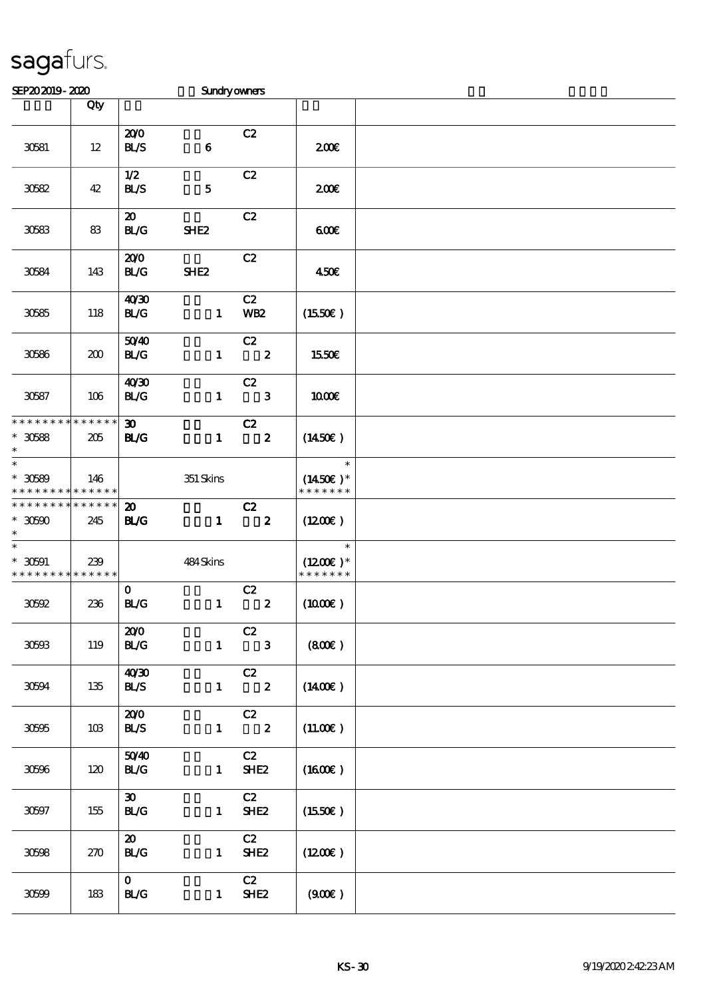| SEP202019-2020                                         |                    |                                            | <b>Sundryowners</b> |                                  |                                       |  |
|--------------------------------------------------------|--------------------|--------------------------------------------|---------------------|----------------------------------|---------------------------------------|--|
|                                                        | Qty                |                                            |                     |                                  |                                       |  |
| 30581                                                  | 12                 | 200<br><b>BL/S</b>                         | $\bf 6$             | C2                               | 200E                                  |  |
| 30582                                                  | 42                 | 1/2<br><b>BL/S</b>                         | ${\bf 5}$           | C2                               | 200E                                  |  |
| 30583                                                  | 83                 | $\boldsymbol{\mathfrak{D}}$<br>BLG         | SHE <sub>2</sub>    | C2                               | 600                                   |  |
| 30584                                                  | 143                | 200<br>BLG                                 | SHE <sub>2</sub>    | C2                               | 450E                                  |  |
| 30585                                                  | 118                | 40'30<br><b>BL/G</b>                       | $\mathbf{1}$        | C2<br><b>WB2</b>                 | (1550E)                               |  |
| 30586                                                  | 200                | 5040<br>BLG                                | $\mathbf{1}$        | C2<br>$\overline{\phantom{a}}$ 2 | 1550€                                 |  |
| 30587                                                  | 106                | 40'30<br>BLG                               | $\mathbf{1}$        | C2<br>$\mathbf{3}$               | 1000E                                 |  |
| * * * * * * * * * * * * * *<br>$^\ast$ 30588<br>$\ast$ | 205                | $\boldsymbol{\mathfrak{D}}$<br><b>BL/G</b> | $\mathbf{1}$        | C2<br>$\overline{\mathbf{2}}$    | (1450E)                               |  |
| $\ast$<br>$*30589$<br>* * * * * * * *                  | 146<br>* * * * * * |                                            | $351$ Skins         |                                  | $\ast$<br>$(1450E)*$<br>* * * * * * * |  |
| * * * * * * * *<br>$*30500$<br>$\ast$                  | * * * * * *<br>245 | $\boldsymbol{\mathfrak{D}}$<br><b>BL/G</b> | $\mathbf{1}$        | C2<br>$\overline{\mathbf{2}}$    | $(1200\varepsilon)$                   |  |
| $\ast$<br>$*30591$<br>* * * * * * * *                  | 239<br>* * * * * * |                                            | 484Skins            |                                  | $\ast$<br>$(1200E)*$<br>* * * * * * * |  |
| $30502\,$                                              | 236                | $\mathbf 0$<br>BLG                         | $\mathbf{1}$        | C2<br>$\boldsymbol{z}$           | $(1000\varepsilon)$                   |  |
| 30603                                                  | 119                | 200<br>BLG                                 | $\mathbf{1}$        | C2<br>$\overline{\mathbf{3}}$    | (800)                                 |  |
| 30594                                                  | 135                | 40'30<br><b>BL/S</b>                       | $\mathbf{1}$        | C2<br>$\overline{\mathbf{2}}$    | $(1400\varepsilon)$                   |  |
| 30595                                                  | 10B                | 200<br><b>BLS</b>                          | $\mathbf{1}$        | C2<br>$\overline{\mathbf{2}}$    | (11.00)                               |  |
| 30596                                                  | 120                | 5040<br><b>BL/G</b>                        | $\mathbf{1}$        | C2<br>SHE <sub>2</sub>           | $(1600\epsilon)$                      |  |
| 30597                                                  | 155                | $\boldsymbol{\mathfrak{D}}$<br><b>BL/G</b> | $\mathbf{1}$        | C2<br>SHE <sub>2</sub>           | (1550E)                               |  |
| 30598                                                  | 270                | $\boldsymbol{\mathsf{20}}$<br>BLG          | $\mathbf{1}$        | C2<br>SHE <sub>2</sub>           | $(1200\varepsilon)$                   |  |
| 30699                                                  | 183                | $\mathbf{0}$<br><b>BL/G</b>                | $\mathbf{1}$        | C2<br>SHE <sub>2</sub>           | (900)                                 |  |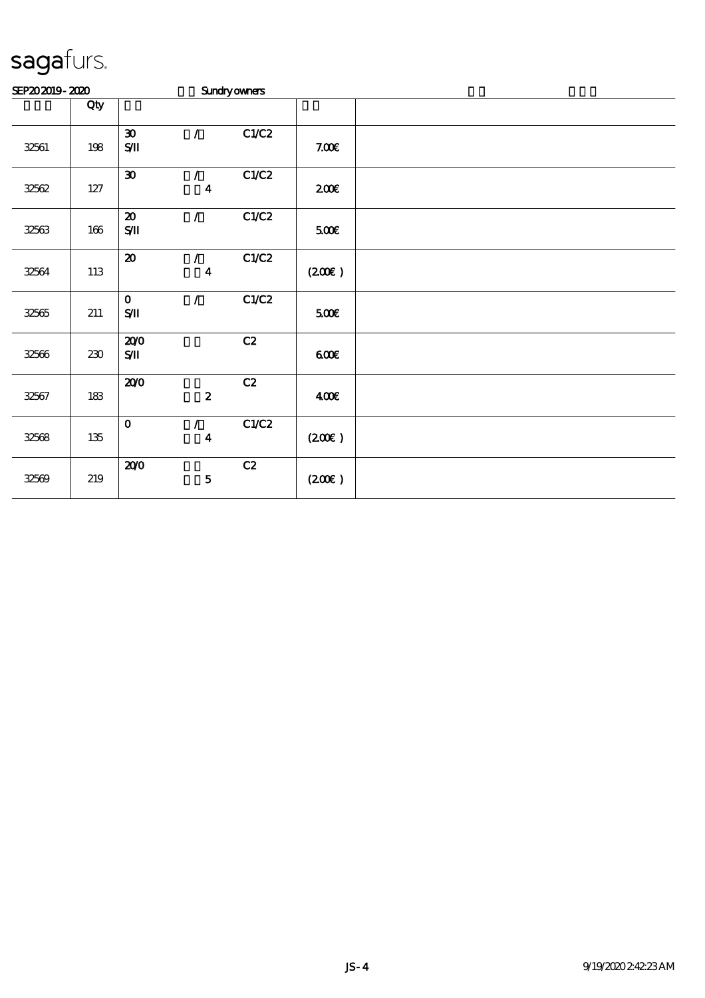| SEP202019-2020 |         |                                                         |                                   | <b>Sundryowners</b> |                    |  |
|----------------|---------|---------------------------------------------------------|-----------------------------------|---------------------|--------------------|--|
|                | Qty     |                                                         |                                   |                     |                    |  |
| 32561          | 198     | $\boldsymbol{\mathfrak{D}}$<br>$\mathbf{S}\mathbf{\Pi}$ | $\mathcal{L}$                     | C1/C2               | 7.00E              |  |
| 32562          | $127\,$ | $\pmb{\mathfrak{D}}$                                    | $\mathcal{L}$<br>$\boldsymbol{4}$ | C1/C2               | 200E               |  |
| 32563          | $166\,$ | $\boldsymbol{\mathfrak{D}}$<br>$\mathbf{S}\mathbf{\Pi}$ | $\mathcal{L}$                     | C1/C2               | 500€               |  |
| 32564          | 113     | $\pmb{\mathcal{D}}$                                     | $\mathcal{L}$<br>$\boldsymbol{4}$ | C1/C2               | $(200\varepsilon)$ |  |
| 32565          | 211     | $\mathbf 0$<br>$S/\!\! \Pi$                             | $\mathcal{L}$                     | C1/C2               | 500€               |  |
| 32566          | $230\,$ | 200<br>$\mathbf{S}/\mathbf{I}$                          |                                   | C2                  | 600                |  |
| 32567          | 183     | 200                                                     | $\pmb{2}$                         | C2                  | 400€               |  |
| 32568          | $135\,$ | $\mathbf{o}$                                            | $\mathcal{L}$<br>$\boldsymbol{4}$ | C1/C2               | $(200\varepsilon)$ |  |
| 32569          | 219     | 200                                                     | ${\bf 5}$                         | C2                  | $(200\varepsilon)$ |  |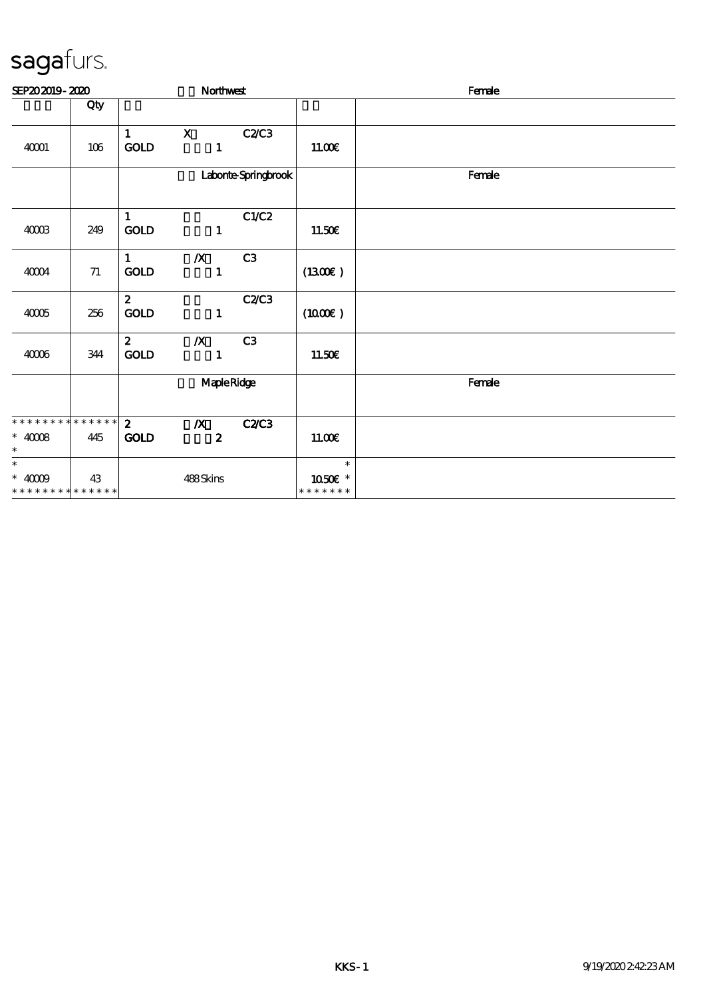| SEP202019-2020                                                    |        |                             | Northwest                            |                     |                                    | Female |
|-------------------------------------------------------------------|--------|-----------------------------|--------------------------------------|---------------------|------------------------------------|--------|
|                                                                   | Qty    |                             |                                      |                     |                                    |        |
| 40001                                                             | 106    | $\mathbf{1}$<br><b>GOLD</b> | $\mathbf X$<br>$\mathbf{1}$          | <b>C2/C3</b>        | 11.00E                             |        |
|                                                                   |        |                             |                                      | Laborte Springbrook |                                    | Female |
| 40003                                                             | 249    | $\mathbf{1}$<br>GOLD        | $\mathbf{1}$                         | C1/C2               | 11.50€                             |        |
| 40004                                                             | $71\,$ | 1<br>GOLD                   | $\boldsymbol{X}$<br>$\mathbf{1}$     | C3                  | (1300)                             |        |
| $4005$                                                            | 256    | 2 <sup>1</sup><br>GOLD      | $\mathbf{1}$                         | C2C3                | (1000E)                            |        |
| $4006$                                                            | 344    | $\mathbf{2}$<br><b>GOLD</b> | $\boldsymbol{X}$<br>$\mathbf{1}$     | C3                  | 11.50E                             |        |
|                                                                   |        |                             | MapleRidge                           |                     |                                    | Female |
| * * * * * * * * * * * * * * *<br>$*$ 40008 $\,$<br>$\ast$         | 445    | $\mathbf{2}$<br><b>GOLD</b> | $\boldsymbol{X}$<br>$\boldsymbol{z}$ | <b>C2/C3</b>        | 11.00E                             |        |
| $\ast$<br>$\hspace{0.1cm}^*$ 40009<br>* * * * * * * * * * * * * * | 43     |                             | 488Skins                             |                     | $\ast$<br>1050€ *<br>* * * * * * * |        |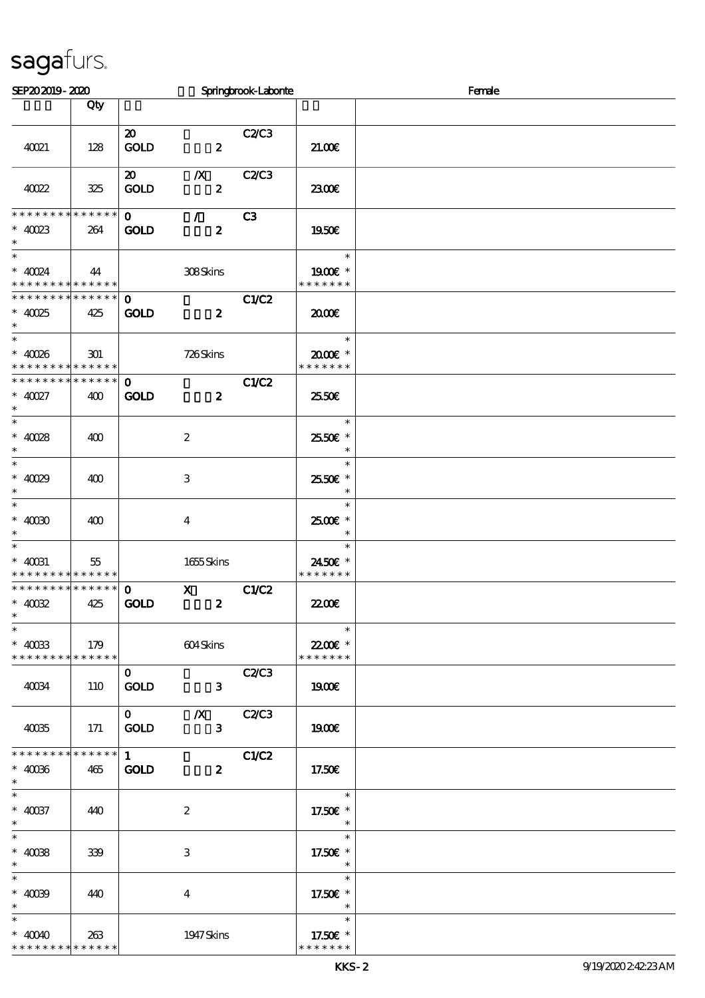| SEP202019-2020                           |     |                                           |                                 | Springbrook-Laborite |                             | Female |
|------------------------------------------|-----|-------------------------------------------|---------------------------------|----------------------|-----------------------------|--------|
|                                          | Qty |                                           |                                 |                      |                             |        |
|                                          |     | $\boldsymbol{\mathfrak{D}}$               |                                 | C2C3                 |                             |        |
| 40021                                    | 128 | <b>GOLD</b>                               | $\overline{\mathbf{2}}$         |                      | 21.00                       |        |
| 40022                                    | 325 | $\boldsymbol{\mathsf{20}}$<br><b>GOLD</b> | $X$ $C2/C3$<br>$\boldsymbol{z}$ |                      | 2300E                       |        |
| **************                           |     | $\mathbf{O}$                              | $\mathcal{L}$                   | C <sub>3</sub>       |                             |        |
| $* 40023$<br>$\ast$<br>$\ast$            | 264 | <b>GOLD</b>                               | $\boldsymbol{z}$                |                      | 1950E<br>$\ast$             |        |
| $*$ 40024<br>* * * * * * * * * * * * * * | 44  |                                           | 308Skins                        |                      | 1900E *<br>* * * * * * *    |        |
| * * * * * * * * * * * * * *              |     | $\mathbf{O}$                              |                                 | C1/C2                |                             |        |
| $*$ 40025<br>$\ast$                      | 425 | <b>GOLD</b>                               | $\boldsymbol{z}$                |                      | 2000                        |        |
| $\overline{\phantom{0}}$<br>$* 40086$    |     |                                           |                                 |                      | $\ast$<br>2000E*            |        |
| * * * * * * * * * * * * * *              | 301 |                                           | 726Skins                        |                      | * * * * * * *               |        |
| * * * * * * * * * * * * * *              |     | $\mathbf{O}$                              |                                 | C1/C2                |                             |        |
| $* 40027$<br>$\ast$                      | 400 | <b>GOLD</b>                               | $\boldsymbol{z}$                |                      | 25.50E                      |        |
| $\overline{\ast}$<br>$* 40028$           |     |                                           |                                 |                      | $\ast$<br>2550€ *           |        |
| $\ast$<br>$\overline{\phantom{0}}$       | 400 |                                           | $\boldsymbol{2}$                |                      | $\ast$                      |        |
| $* 40029$<br>$\ast$                      | 400 |                                           | 3                               |                      | $\ast$<br>2550€ *<br>$\ast$ |        |
| $\overline{\ast}$                        |     |                                           |                                 |                      | $\ast$                      |        |
| $*$ 40080 $\,$<br>$\ast$                 | 400 |                                           | $\overline{\mathbf{4}}$         |                      | 2500€ *<br>$\ast$           |        |
| $\ast$<br>$*$ 40031                      | 55  |                                           | 1655 Skins                      |                      | $\ast$<br>2450E *           |        |
| * * * * * * * * * * * * * *              |     |                                           |                                 |                      | * * * * * * *               |        |
| * * * * * * * * * * * * * *              |     | $\mathbf{o}$                              | $\mathbf X$                     | C1/C2                |                             |        |
| $*$ 40082<br>$\ast$                      | 425 | <b>GOLD</b>                               | $\boldsymbol{z}$                |                      | <b>22006</b>                |        |
| $\overline{\phantom{0}}$<br>$* 40033$    | 179 |                                           |                                 |                      | $\ast$<br>22.00€ *          |        |
| **************                           |     |                                           | 604Skins                        |                      | * * * * * * *               |        |
|                                          |     | $\mathbf{O}$                              |                                 | C2C3                 |                             |        |
| 40034                                    | 110 | <b>GOLD</b>                               | $\mathbf{3}$                    |                      | 1900E                       |        |
|                                          |     | $\mathbf{O}$                              | $\boldsymbol{X}$                | C2C3                 |                             |        |
| 40035                                    | 171 | <b>GOLD</b>                               | $\mathbf{3}$                    |                      | 1900                        |        |
| **************                           |     | $1$ $\overline{\phantom{0}}$              |                                 | C1/C2                |                             |        |
| $\hspace{0.1cm}^*$ 40086<br>$\ast$       | 465 | <b>GOLD</b>                               | $\boldsymbol{z}$                |                      | 17.50E                      |        |
| $\ast$                                   |     |                                           |                                 |                      | $\ast$                      |        |
| $* 40037$<br>$\ast$                      | 440 |                                           | $\boldsymbol{2}$                |                      | 17.50 £*<br>$\ast$          |        |
| $\ast$                                   |     |                                           |                                 |                      | $\ast$                      |        |
| $* 4008$<br>$\ast$                       | 339 |                                           | 3                               |                      | 17.50€ *<br>$\ast$          |        |
| $\overline{\phantom{a}}$                 |     |                                           |                                 |                      | $\ast$                      |        |
| $* 4009$<br>$\ast$                       | 440 |                                           | 4                               |                      | 17.50 £*<br>$\ast$          |        |
| $\ast$                                   |     |                                           |                                 |                      | $\ast$                      |        |
| $* 4000$<br>* * * * * * * * * * * * * *  | 263 |                                           | 1947 Skins                      |                      | 17.50€ *<br>* * * * * * *   |        |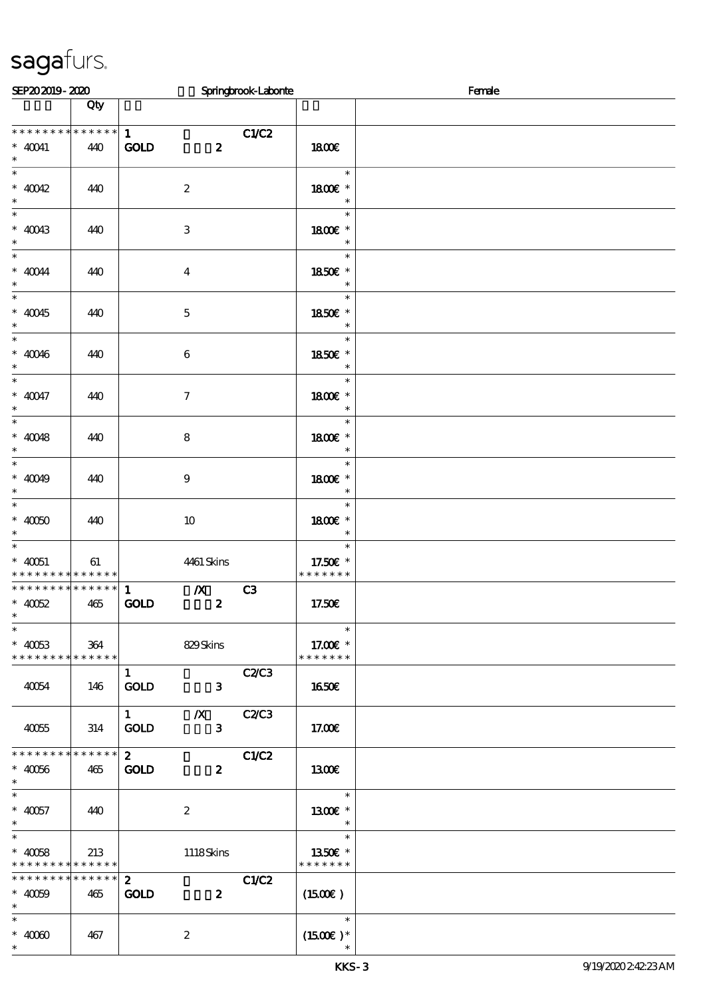| SEP202019-2020                                 |                 |                                                 | Springbrook-Laborite |                      | Female |
|------------------------------------------------|-----------------|-------------------------------------------------|----------------------|----------------------|--------|
|                                                | Qty             |                                                 |                      |                      |        |
|                                                |                 |                                                 |                      |                      |        |
| * * * * * * * *                                | $******$        | 1                                               | C1/C2                |                      |        |
| $*$ 40041<br>$\ast$                            | 440             | <b>GOLD</b><br>$\boldsymbol{z}$                 |                      | 1800E                |        |
| $\overline{\phantom{0}}$                       |                 |                                                 |                      | $\ast$               |        |
| $* 40042$                                      | 440             | $\boldsymbol{2}$                                |                      | 1800 £*              |        |
| $\ast$                                         |                 |                                                 |                      | $\ast$               |        |
| $\ast$                                         |                 |                                                 |                      | $\ast$               |        |
| $* 40043$                                      | 440             | $\,3$                                           |                      | 1800 £*              |        |
| $\ast$<br>$\ast$                               |                 |                                                 |                      | $\ast$<br>$\ast$     |        |
| $\hspace{0.1cm}^*$ 40044                       | 440             | $\overline{\mathbf{4}}$                         |                      | 1850E *              |        |
| $\ast$                                         |                 |                                                 |                      | $\ast$               |        |
| $\overline{\phantom{0}}$                       |                 |                                                 |                      | $\ast$               |        |
| $* 40045$                                      | 440             | $\mathbf 5$                                     |                      | 1850€ *              |        |
| $\ast$<br>$\overline{\ast}$                    |                 |                                                 |                      | $\ast$<br>$\ast$     |        |
| $* 40046$                                      | 440             | $\boldsymbol{6}$                                |                      | 1850E *              |        |
| $\ast$                                         |                 |                                                 |                      | $\ast$               |        |
| $\overline{\phantom{0}}$                       |                 |                                                 |                      | $\ast$               |        |
| $* 40047$                                      | 440             | $\boldsymbol{7}$                                |                      | 1800E *              |        |
| $\ast$<br>$\overline{\phantom{0}}$             |                 |                                                 |                      | $\ast$               |        |
| $* 40048$                                      |                 |                                                 |                      | $\ast$               |        |
| $\ast$                                         | 440             | 8                                               |                      | 1800 £*<br>$\ast$    |        |
| $*$                                            |                 |                                                 |                      | $\ast$               |        |
| $* 40049$                                      | 440             | $\boldsymbol{9}$                                |                      | 1800 £*              |        |
| $\ast$                                         |                 |                                                 |                      | $\ast$               |        |
| $\overline{\ast}$                              |                 |                                                 |                      | $\ast$               |        |
| $*$ 40050<br>$\ast$                            | 440             | 10                                              |                      | 1800 £*<br>$\ast$    |        |
| $\overline{\phantom{0}}$                       |                 |                                                 |                      | $\ast$               |        |
| $* 40051$                                      | 61              | 4461 Skins                                      |                      | 17.50 £*             |        |
| * * * * * * * * <mark>* * * * * * *</mark>     |                 |                                                 |                      | * * * * * * *        |        |
| * * * * * * * * * * * * * * *                  |                 | $\mathbb{Z}$<br>$\mathbf{1}$                    | C3                   |                      |        |
| $* 40052$<br>$\ast$                            | 465             | <b>GOLD</b><br>$\boldsymbol{z}$                 |                      | 17.50€               |        |
| $\overline{\phantom{a}^*}$                     |                 |                                                 |                      | $\ast$               |        |
| $* 40053$                                      | 364             | 829Skins                                        |                      | 17.00€ *             |        |
| * * * * * * * * * * * * * *                    |                 |                                                 |                      | * * * * * * *        |        |
|                                                |                 | $\mathbf{1}$                                    | C2C3                 |                      |        |
| 40054                                          | 146             | <b>GOLD</b><br>$\mathbf{3}$                     |                      | <b>1650€</b>         |        |
|                                                |                 | $\boldsymbol{X}$<br>$\mathbf{1}$                | C2C3                 |                      |        |
| 40055                                          | 314             | <b>GOLD</b><br>$\mathbf{3}$                     |                      | 17.00E               |        |
|                                                |                 |                                                 |                      |                      |        |
| * * * * * * * * * * * * * *                    |                 | $2^{\circ}$                                     | C1/C2                |                      |        |
| $^*$ 40056 $\,$                                | 465             | <b>GOLD</b><br>$\boldsymbol{z}$                 |                      | 1300E                |        |
| $\ast$<br>$\ast$                               |                 |                                                 |                      | $\ast$               |        |
| $* 40057$                                      | 440             | $\boldsymbol{z}$                                |                      | 1300E *              |        |
| $\ast$                                         |                 |                                                 |                      | $\ast$               |        |
| $\overline{\ast}$                              |                 |                                                 |                      | $\ast$               |        |
| $* 40058$                                      | 213             | 1118Skins                                       |                      | 1350€ *              |        |
| * * * * * * * * * * * * * *<br>* * * * * * * * | $* * * * * * *$ |                                                 |                      | * * * * * * *        |        |
| $* 40059$                                      | 465             | $\mathbf{2}$<br><b>GOLD</b><br>$\boldsymbol{z}$ | C1/C2                | $(1500\varepsilon)$  |        |
| $\ast$                                         |                 |                                                 |                      |                      |        |
| $\ast$                                         |                 |                                                 |                      | $\ast$               |        |
| $*$ 4000                                       | 467             | $\boldsymbol{z}$                                |                      | $(1500\varepsilon)*$ |        |
| $\ast$                                         |                 |                                                 |                      |                      |        |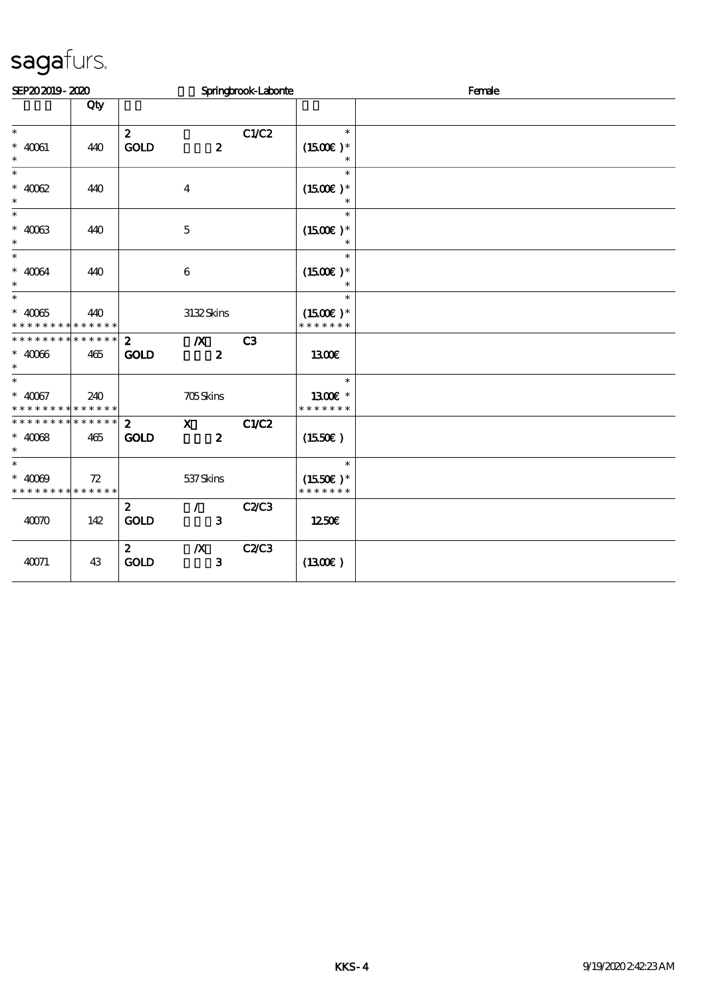| SEP202019-2020                                     |                    |                             |                                      | Springbrook-Laborie |                                       | Female |
|----------------------------------------------------|--------------------|-----------------------------|--------------------------------------|---------------------|---------------------------------------|--------|
|                                                    | Qty                |                             |                                      |                     |                                       |        |
| $\ast$<br>$* 40061$                                | 440                | $\mathbf{z}$<br><b>GOLD</b> | $\boldsymbol{z}$                     | C1/C2               | $\ast$<br>$(1500E)*$                  |        |
| $\ast$<br>$\ast$<br>$* 4002$<br>$\ast$             | 440                |                             | $\overline{4}$                       |                     | $\ast$<br>$(1500E)*$<br>$\ast$        |        |
| $\overline{\phantom{0}}$<br>$* 4003$<br>$\ast$     | 440                |                             | $\bf 5$                              |                     | $\ast$<br>$(1500E)*$<br>$\ast$        |        |
| $\ast$<br>$\hspace{0.1cm}^*$ 40064<br>$\ast$       | 440                |                             | $\boldsymbol{6}$                     |                     | $\ast$<br>$(1500E)*$<br>$\ast$        |        |
| $\ast$<br>$* 40065$<br>* * * * * * * * * * * * * * | 440                |                             | 3132Skins                            |                     | $\ast$<br>$(1500E)*$<br>* * * * * * * |        |
| * * * * * * * *<br>$* 4006$<br>$\ast$              | * * * * * *<br>465 | $2^{\circ}$<br><b>GOLD</b>  | $\boldsymbol{X}$<br>$\boldsymbol{z}$ | C3                  | <b>1300€</b>                          |        |
| $\ast$<br>$* 40067$<br>* * * * * * * * * * * * * * | 240                |                             | 705Skins                             |                     | $\ast$<br>1300€ *<br>* * * * * * *    |        |
| ******** <mark>******</mark><br>$* 4008$<br>$\ast$ | 465                | $2^{\circ}$<br><b>GOLD</b>  | $\mathbf{X}$<br>$\boldsymbol{z}$     | C1/C2               | (1550E)                               |        |
| $\ast$<br>$* 4000$<br>* * * * * * * * * * * * * *  | 72                 |                             | 537Skins                             |                     | $\ast$<br>$(1550E)*$<br>* * * * * * * |        |
| 4000                                               | 142                | $\mathbf{z}$<br><b>GOLD</b> | $\mathcal{L}$<br>$\mathbf{3}$        | C2/C3               | 1250E                                 |        |
| 40071                                              | 43                 | $\mathbf{2}$<br><b>GOLD</b> | $\boldsymbol{X}$<br>$\mathbf{3}$     | <b>C2/C3</b>        | (1300)                                |        |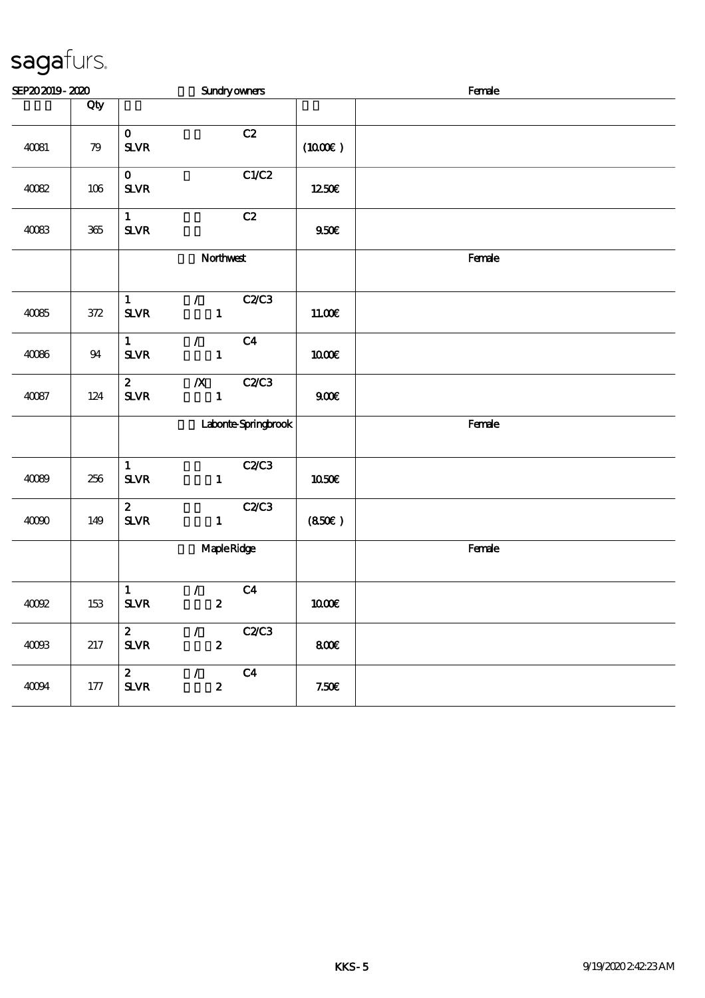| SEP202019-2020 |         | <b>Sundryowners</b>                                                                         |                     | Female |  |  |
|----------------|---------|---------------------------------------------------------------------------------------------|---------------------|--------|--|--|
|                | Qty     |                                                                                             |                     |        |  |  |
| 40081          | 79      | C2<br>$\mathbf{o}$<br>${\bf S\!L}\!{\bf V\!R}$                                              | $(1000\varepsilon)$ |        |  |  |
| 40082          | $106\,$ | C1/C2<br>$\mathbf{O}$<br>${\bf S\!L}\!{\bf V\!R}$                                           | 1250E               |        |  |  |
| 40083          | $365\,$ | C2<br>$\mathbf{1}$<br>${\bf S\!L}\!{\bf V\!R}$                                              | 950E                |        |  |  |
|                |         | Northwest                                                                                   |                     | Female |  |  |
| 40085          | $372\,$ | C2/C3<br>$\mathbf 1$<br>$\mathcal{T}$<br>$\mathbf{1}$<br>${\bf S\!L}\!{\bf V\!R}$           | 11.00E              |        |  |  |
| 40086          | $9\!4$  | $\mathbf{1}$<br>C <sub>4</sub><br>$\mathcal{L}$<br>$\mathbf{1}$<br>${\bf S\!L}\!{\bf V\!R}$ | $1000E$             |        |  |  |
| 40087          | 124     | $\mathbf{z}$<br>C2/C3<br>$\boldsymbol{X}$<br>$\mathbf{1}$<br>${\bf S\!L}\!{\bf V\!R}$       | 900E                |        |  |  |
|                |         | Laborte Springbrook                                                                         |                     | Female |  |  |
| 40089          | 256     | $\mathbf 1$<br>C2C3<br>${\bf S\!L}\!{\bf V\!R}$<br>$\mathbf{1}$                             | 1050€               |        |  |  |
| 40000          | 149     | $\boldsymbol{z}$<br>C2/C3<br>$S\!L\!V\!R$<br>$\mathbf{1}$                                   | (850)               |        |  |  |
|                |         | MapleRidge                                                                                  |                     | Female |  |  |
| 40002          | 153     | C <sub>4</sub><br>$\mathbf{1}$<br>$\mathcal{L}$<br>${\bf S\!L}\!{\bf V\!R}$<br>$\pmb{2}$    | $1000E$             |        |  |  |
| 4008           | $217\,$ | C2/C3<br>$\mathbf{z}$<br>$\mathcal{L}$<br>$\boldsymbol{2}$<br>${\bf S\!L}\!{\bf V\!R}$      | 800                 |        |  |  |
| 40094          | 177     | $\mathbf{z}$<br>C <sub>4</sub><br>$\mathcal{L}$<br>$\boldsymbol{2}$<br>$S\!L\!V\!R$         | 7.50E               |        |  |  |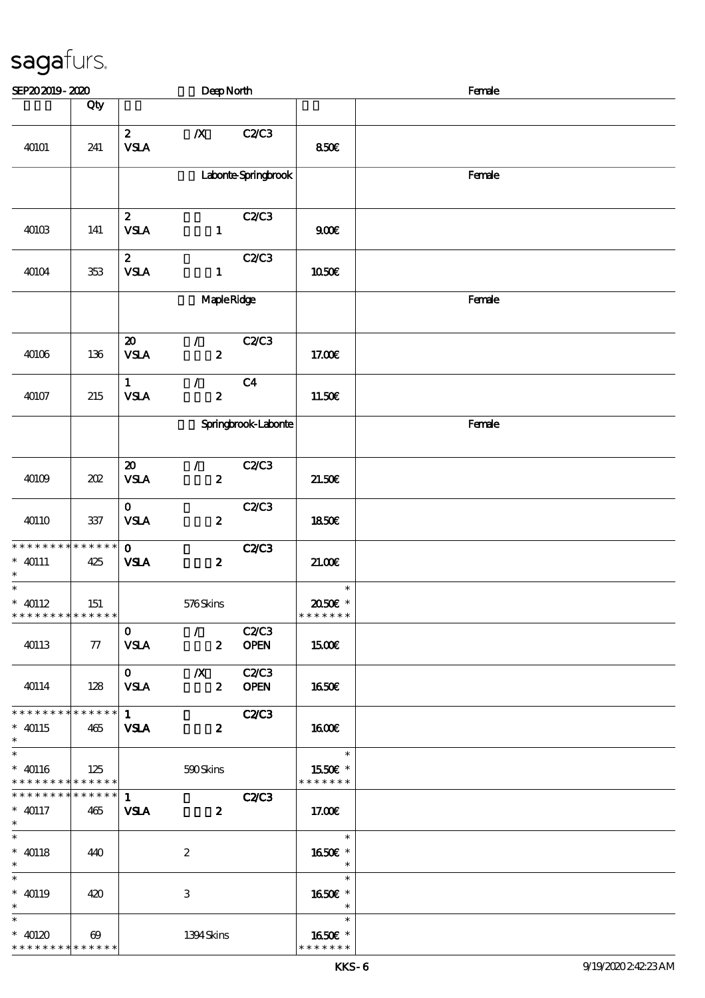| SEP202019-2020                                                |                        |                                                        | DeepNorth                         |                      |                                    | Female |  |  |
|---------------------------------------------------------------|------------------------|--------------------------------------------------------|-----------------------------------|----------------------|------------------------------------|--------|--|--|
|                                                               | Qty                    |                                                        |                                   |                      |                                    |        |  |  |
| 40101                                                         | 241                    | $\boldsymbol{2}$<br>${\bf VSA}$                        | $\boldsymbol{X}$                  | C2/C3                | 850E                               |        |  |  |
|                                                               |                        |                                                        |                                   | Laborite Springbrook |                                    | Female |  |  |
| 40103                                                         | 141                    | $\mathbf{z}$<br><b>VSLA</b>                            | $\mathbf{1}$                      | C2C3                 | 900E                               |        |  |  |
| 40104                                                         | 353                    | $\mathbf{z}$<br>${\bf VSA}$                            | $\mathbf{1}$                      | C2/C3                | 1050€                              |        |  |  |
|                                                               |                        |                                                        | MapleRidge                        |                      |                                    | Female |  |  |
| 40106                                                         | 136                    | $\boldsymbol{\boldsymbol{\mathrm{20}}}$<br><b>VSLA</b> | $\mathcal{F}$<br>$\boldsymbol{z}$ | C2C3                 | 17.00€                             |        |  |  |
| 40107                                                         | 215                    | $\mathbf{1}$<br><b>VSLA</b>                            | $\mathcal{F}$<br>$\boldsymbol{z}$ | C <sub>4</sub>       | 11.50E                             |        |  |  |
|                                                               |                        |                                                        |                                   | Springbrook-Laborite |                                    | Female |  |  |
| 40109                                                         | 202                    | $\boldsymbol{\mathbf{z}}$<br><b>VSLA</b>               | $\mathcal{L}$<br>$\boldsymbol{z}$ | C2C3                 | 21.50E                             |        |  |  |
| 40110                                                         | 337                    | $\mathbf{o}$<br><b>VSLA</b>                            | $\boldsymbol{z}$                  | C2/C3                | <b>1850€</b>                       |        |  |  |
| * * * * * * * * * * * * * *<br>$*$ 40111<br>$\ast$            | 425                    | $\mathbf{o}$<br><b>VSLA</b>                            | $\boldsymbol{z}$                  | <b>C2/C3</b>         | 21.00E                             |        |  |  |
| $\overline{\ast}$<br>$* 40112$<br>* * * * * * * * * * * * * * | 151                    |                                                        | 576Skins                          |                      | $\ast$<br>2050E *<br>* * * * * * * |        |  |  |
| 40113                                                         | $\tau$                 | $\mathbf{O}$<br><b>VSLA</b>                            | $\mathcal{L}$<br>$\mathbf{2}$     | C2/C3<br><b>OPEN</b> | 1500€                              |        |  |  |
| 40114                                                         | 128                    | $\mathbf{O}$<br><b>VSLA</b>                            | $\mathbf{X}$<br>$\mathbf{2}$      | C2C3<br><b>OPEN</b>  | 1650€                              |        |  |  |
| * * * * * * * * * * * * * * *<br>$*$ 40115<br>$\ast$          | 465                    | $1 -$<br><b>VSLA</b>                                   | $\boldsymbol{z}$                  | <b>C2/C3</b>         | 1600                               |        |  |  |
| $\ast$<br>$* 40116$<br>* * * * * * * * * * * * * * *          | 125                    |                                                        | 590Skins                          |                      | $\ast$<br>1550E *<br>* * * * * * * |        |  |  |
| * * * * * * * *<br>$* 40117$<br>$\ast$                        | $* * * * * * *$<br>465 | 1<br><b>VSLA</b>                                       | $\boldsymbol{z}$                  | <b>C2/C3</b>         | 17.00€                             |        |  |  |
| $\overline{\ast}$<br>$* 40118$<br>$\ast$                      | 440                    |                                                        | $\boldsymbol{2}$                  |                      | $\ast$<br>1650E *<br>$\ast$        |        |  |  |
| $\ast$<br>$* 40119$<br>$\ast$                                 | 420                    |                                                        | 3                                 |                      | $\ast$<br>1650E *<br>$\ast$        |        |  |  |
| $\ast$<br>$*$ 40120<br>* * * * * * * * * * * * * *            | $\boldsymbol{\omega}$  |                                                        | 1394Skins                         |                      | $\ast$<br>1650E *<br>* * * * * * * |        |  |  |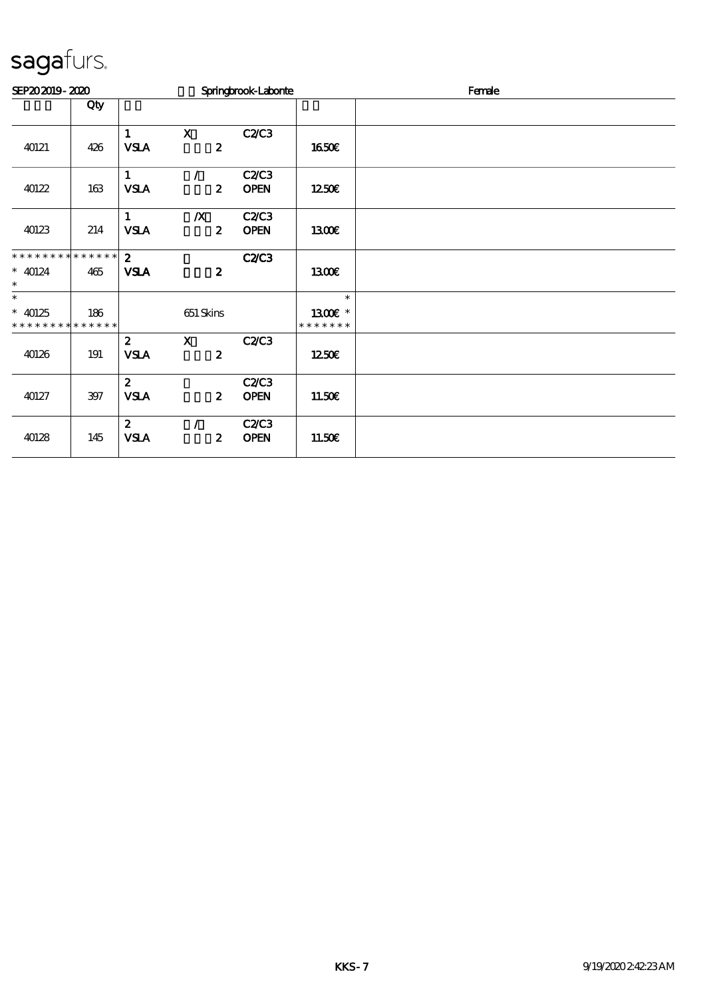| SEP202019-2020              |         |                |                  | Springbrook-Laborne |               | Female |
|-----------------------------|---------|----------------|------------------|---------------------|---------------|--------|
|                             | Qty     |                |                  |                     |               |        |
|                             |         | $\mathbf{1}$   | $\mathbf x$      | C2C3                |               |        |
| 40121                       | 426     | <b>VSLA</b>    | $\boldsymbol{z}$ |                     | <b>1650€</b>  |        |
|                             |         | $\mathbf{1}$   | $\mathcal{L}$    | C2C3                |               |        |
| 40122                       | $163\,$ | <b>VSLA</b>    | $\boldsymbol{z}$ | <b>OPEN</b>         | 1250          |        |
|                             |         | $\mathbf{1}$   | $\boldsymbol{X}$ | C2C3                |               |        |
| 40123                       | 214     | <b>VSLA</b>    | $\boldsymbol{z}$ | <b>OPEN</b>         | 1300E         |        |
| * * * * * * * * * * * * * * |         | 2 <sup>1</sup> |                  | <b>C2/C3</b>        |               |        |
| $* 40124$<br>$\ast$         | 465     | <b>VSLA</b>    | $\boldsymbol{z}$ |                     | 1300E         |        |
| $\ast$                      |         |                |                  |                     | $\ast$        |        |
| $* 40125$                   | 186     |                | 651 Skins        |                     | 1300€ *       |        |
| * * * * * * * * * * * * * * |         |                |                  |                     | * * * * * * * |        |
|                             |         | $\mathbf{z}$   | $\mathbf{X}$     | C2C3                |               |        |
| 40126                       | 191     | <b>VSLA</b>    | $\boldsymbol{z}$ |                     | 1250          |        |
|                             |         | $\mathbf{z}$   |                  | C2/C3               |               |        |
| 40127                       | $397$   | <b>VSLA</b>    | $\boldsymbol{z}$ | <b>OPEN</b>         | 11.50E        |        |
|                             |         | $\mathbf{z}$   | $\mathcal{L}$    | C2C3                |               |        |
| 40128                       | 145     | <b>VSLA</b>    | $\boldsymbol{z}$ | <b>OPEN</b>         | 11.50E        |        |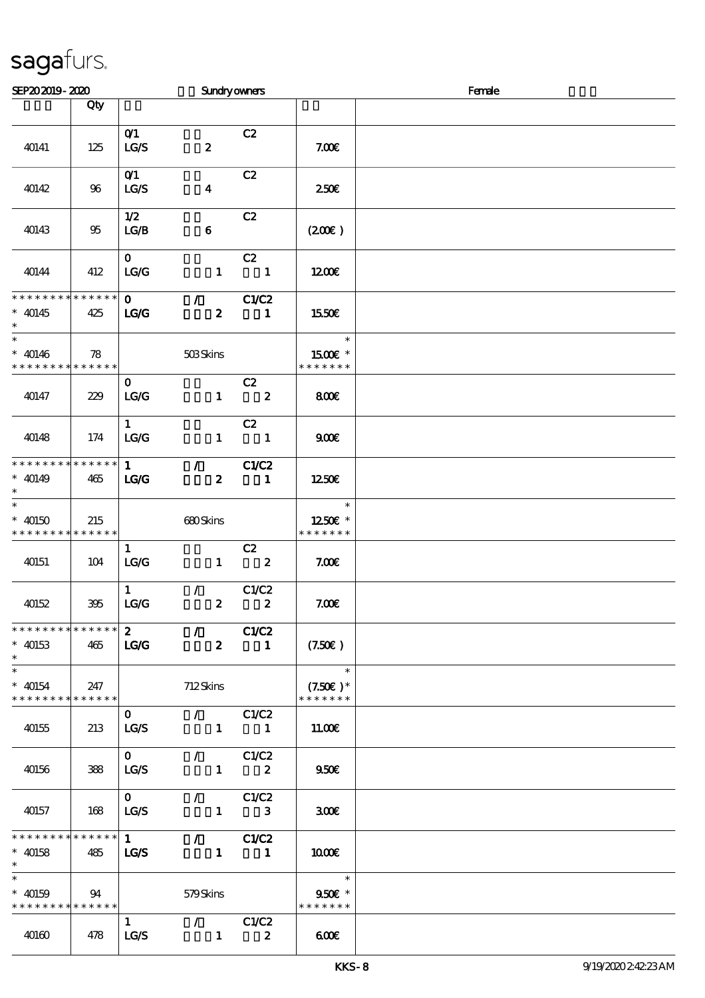| SEP202019-2020                                                |                    |                                         | <b>Sundryowners</b>                                 |                                  |                                                         | Female |
|---------------------------------------------------------------|--------------------|-----------------------------------------|-----------------------------------------------------|----------------------------------|---------------------------------------------------------|--------|
|                                                               | Qty                |                                         |                                                     |                                  |                                                         |        |
| 40141                                                         | 125                | O(1)<br>LG/S                            | $\boldsymbol{z}$                                    | C2                               | 7.00E                                                   |        |
| 40142                                                         | 96                 | O(1)<br>LG/S                            | $\boldsymbol{4}$                                    | C2                               | 250€                                                    |        |
| 40143                                                         | 95                 | 1/2<br>LG/B                             | $\bf 6$                                             | C2                               | (200)                                                   |        |
| 40144                                                         | 412                | $\mathbf{O}$<br>LG/G                    | $\mathbf{1}$                                        | C2<br>$\blacksquare$             | 1200                                                    |        |
| * * * * * * * *<br>$* 40145$<br>$\ast$                        | $******$<br>425    | $\mathbf{O}$<br>LG                      | $\mathcal{F}$ and $\mathcal{F}$<br>$\boldsymbol{z}$ | C1/C2<br>$\mathbf{1}$            | 1550€                                                   |        |
| $\overline{\ast}$<br>$* 40146$<br>* * * * * * * * * * * * * * | 78                 |                                         | 503Skins                                            |                                  | $\ast$<br>1500€ *<br>* * * * * * *                      |        |
| 40147                                                         | 229                | $\mathbf{O}$<br>LC                      | $\mathbf{1}$                                        | C2<br>$\overline{\mathbf{2}}$    | 800€                                                    |        |
| 40148                                                         | 174                | $\mathbf{1}$<br>$\mathbf{LG}\mathbf{G}$ | $\mathbf{1}$                                        | C2<br>$\overline{\phantom{a}}$ 1 | 900                                                     |        |
| * * * * * * * * * * * * * * *<br>$* 40149$<br>$\ast$          | 465                | 1<br>LG                                 | $\mathcal{L}$<br>$\boldsymbol{z}$                   | C1/C2<br>$\blacksquare$          | 1250E                                                   |        |
| $\ast$<br>$* 40150$<br>* * * * * * * *                        | 215<br>******      |                                         | 680Skins                                            |                                  | $\ast$<br>1250E *<br>* * * * * * *                      |        |
| 40151                                                         | 104                | $\mathbf{1}$<br>LG/G                    | $\mathbf{1}$                                        | C2<br>$\overline{\mathbf{2}}$    | 7.006                                                   |        |
| 40152                                                         | 395                | $\mathbf{1}$<br>LG/G                    | $\mathcal{L}$<br>$\boldsymbol{z}$                   | C1/C2<br>$\boldsymbol{z}$        | 7.00E                                                   |        |
| * * * * * * * * * * * * * *<br>$* 40153$<br>$\ast$            | 465                | $\mathbf{2}$<br><b>LG/G</b>             | $\mathcal{L}$<br>$\boldsymbol{2}$                   | <b>C1/C2</b><br>$\blacksquare$   | (7.50)                                                  |        |
| $\ast$<br>$* 40154$<br>* * * * * * * *                        | 247<br>* * * * * * |                                         | 712Skins                                            |                                  | $\overline{\phantom{a}}$<br>$(7.50)$ *<br>* * * * * * * |        |
| 40155                                                         | 213                | $\mathbf{O}$<br>LG/S                    | $\mathcal{L}$ and $\mathcal{L}$                     | C1/C2<br>$1 \quad 1$             | 11.00E                                                  |        |
| 40156                                                         | 388                | $\mathbf{O}$<br>LG/S                    | $\mathcal{F}$ and $\mathcal{F}$<br>$\mathbf{1}$     | C1/C2<br>$\overline{\mathbf{2}}$ | 950E                                                    |        |
| 40157                                                         | 168                | $\mathbf{O}$<br>LG/S                    | $\mathcal{L}$ and $\mathcal{L}$<br>$\mathbf{1}$     | C1/C2<br>3                       | 300E                                                    |        |
| * * * * * * * * * * * * * * *<br>$*$ 40158<br>$\ast$          | 485                | $\mathbf{1}$<br><b>LG/S</b>             | $\mathcal{L}$ and $\mathcal{L}$                     | C1/C2<br>$1 \quad 1$             | 1000                                                    |        |
| $* 40159$<br>* * * * * * * * * * * * * *                      | 94                 |                                         | 579Skins                                            |                                  | $\ast$<br>950€ *<br>* * * * * * *                       |        |
| 40160                                                         | 478                | $\mathbf{1}$<br>LG/S                    | $\sqrt{C1/C2}$<br>$\mathbf{1}$                      | $\boldsymbol{2}$                 | 600                                                     |        |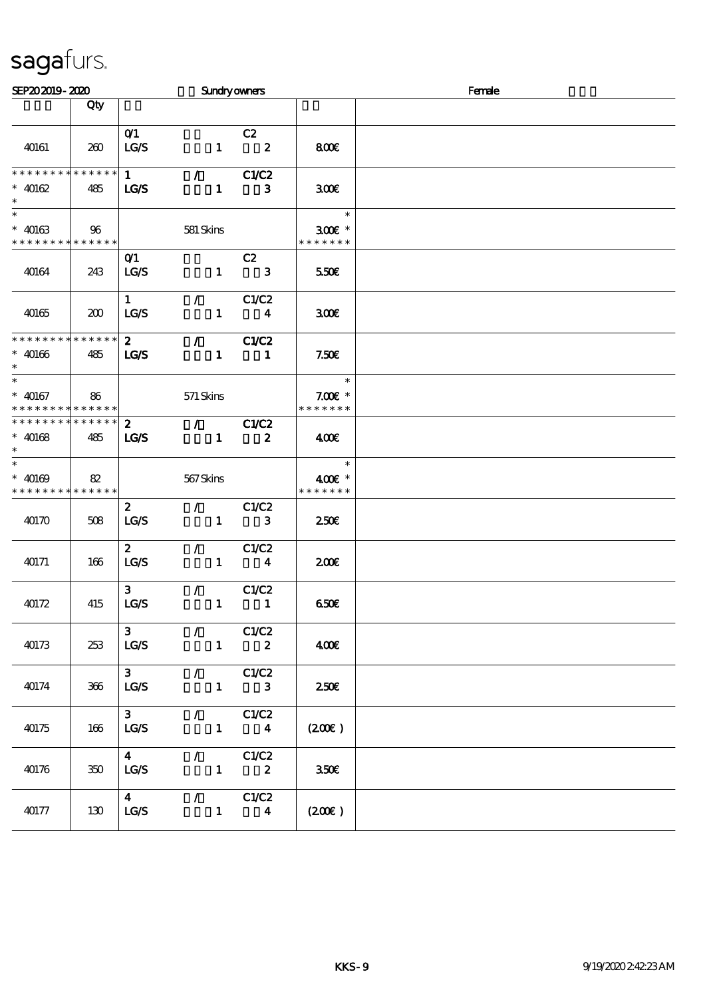| SEP202019-2020                                                         |     |                                 |               |                                                 | <b>Sundryowners</b>              |                                      | Female |
|------------------------------------------------------------------------|-----|---------------------------------|---------------|-------------------------------------------------|----------------------------------|--------------------------------------|--------|
|                                                                        | Qty |                                 |               |                                                 |                                  |                                      |        |
| 40161                                                                  | 260 | O(1)<br>LG/S                    |               |                                                 | C2<br>$1 \t 2$                   | 800€                                 |        |
| * * * * * * * * * * * * * *<br>$* 40162$<br>$\ast$                     | 485 | $\mathbf{1}$<br><b>LG/S</b>     |               | $\mathcal{L}$ and $\mathcal{L}$<br>$\mathbf{1}$ | C1/C2<br>3                       | 300E                                 |        |
| $\ast$<br>$* 40163$<br>* * * * * * * * * * * * * *                     | 96  |                                 | 581 Skins     |                                                 |                                  | $\ast$<br>$300$ £ *<br>* * * * * * * |        |
| 40164                                                                  | 243 | O(1)<br>LCS                     |               | $\mathbf{1}$                                    | C2<br>$\mathbf{3}$               | 550€                                 |        |
| 40165                                                                  | 200 | $\mathbf{1}$<br><b>LG/S</b>     | $\mathcal{L}$ | $\mathbf{1}$                                    | C1/C2<br>$\overline{\mathbf{4}}$ | 300E                                 |        |
| * * * * * * * * * * * * * *<br>$* 40166$<br>$\ast$                     | 485 | $2^{\circ}$<br><b>LG/S</b>      |               | $\mathcal{L} = \mathcal{L}$<br>$\mathbf{1}$     | C1/C2<br>$\blacksquare$          | 7.50E                                |        |
| $\ast$<br>$* 40167$<br>* * * * * * * * * * * * * *                     | 86  |                                 | 571 Skins     |                                                 |                                  | $\ast$<br>$7.00E$ *<br>* * * * * * * |        |
| * * * * * * * * * * * * * *<br>$* 40168$<br>$\ast$                     | 485 | $\mathbf{2}$<br><b>LG/S</b>     |               | $\mathcal{L}$ and $\mathcal{L}$<br>$\mathbf{1}$ | C1/C2<br>$\boldsymbol{z}$        | 400                                  |        |
| $\overline{\phantom{a}^*}$<br>$* 40169$<br>* * * * * * * * * * * * * * | 82  |                                 | 567Skins      |                                                 |                                  | $\ast$<br>400€ *<br>* * * * * * *    |        |
| 40170                                                                  | 508 | $\mathbf{z}$<br><b>LC/S</b>     | $\mathcal{L}$ | $\mathbf{1}$                                    | C1/C2<br>$\mathbf{3}$            | $250$ £                              |        |
| 40171                                                                  | 166 | $\mathbf{2}$<br>LG/S            | $\mathcal{L}$ | $\mathbf{1}$                                    | C1/C2<br>$\overline{\mathbf{4}}$ | 200E                                 |        |
| 40172                                                                  | 415 | 3 <sup>1</sup><br>LG/S          | $\mathcal{L}$ | $\mathbf{1}$                                    | C1/C2<br>$\blacksquare$          | 650E                                 |        |
| 40173                                                                  | 253 | 3 <sup>1</sup><br>LG/S          |               |                                                 | $\sqrt{C1/C2}$<br>$1 \t 2$       | 400€                                 |        |
| 40174                                                                  | 366 | 3 <sup>1</sup><br>LG/S          |               | $\mathcal{L}$ and $\mathcal{L}$<br>$\mathbf{1}$ | C1/C2<br>$\mathbf{3}$            | 250E                                 |        |
| 40175                                                                  | 166 | 3 <sup>7</sup><br>LG/S          |               | $\mathcal{L} = \mathcal{L}$<br>$\mathbf{1}$     | C1/C2<br>$\boldsymbol{4}$        | (200)                                |        |
| 40176                                                                  | 350 | $\overline{\mathbf{4}}$<br>LG/S |               |                                                 | $\sqrt{C1/C2}$<br>$1 \t 2$       | 350E                                 |        |
| 40177                                                                  | 130 | $\overline{\mathbf{4}}$<br>LG/S |               | $\mathcal{T} = \mathcal{I}$<br>$\mathbf{1}$     | C1/C2<br>$\boldsymbol{4}$        | (200)                                |        |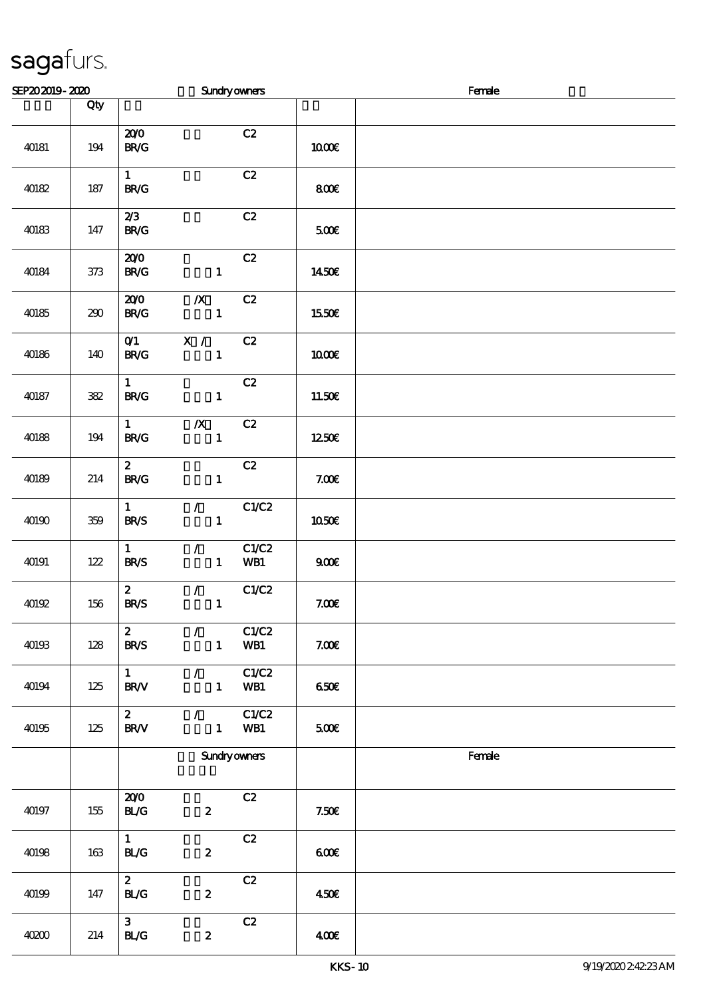| SEP202019-2020 |                             |                                                    | <b>Sundryowners</b>                         |              |                   | Female |
|----------------|-----------------------------|----------------------------------------------------|---------------------------------------------|--------------|-------------------|--------|
|                | Qty                         |                                                    |                                             |              |                   |        |
| 40181          | 194                         | 200<br>$\mathbf{B}\mathbf{R}/\mathbf{G}$           |                                             | C2           | 1000€             |        |
| 40182          | $187\,$                     | $\mathbf{1}$<br>$\mathbf{B}\mathbf{R}/\mathbf{G}$  |                                             | C2           | 800€              |        |
| 40183          | 147                         | 2/3<br>BR/G                                        |                                             | C2           | 500E              |        |
| 40184          | $373$                       | 200<br><b>BR/G</b>                                 | $\mathbf{1}$                                | C2           | 1450€             |        |
| 40185          | 290                         | 200<br><b>BR/G</b>                                 | $\boldsymbol{X}$<br>$\mathbf{1}$            | C2           | 1550€             |        |
| 40186          | 140                         | O(1)<br>B R/G                                      | X /<br>$\mathbf{1}$                         | C2           | 1000E             |        |
| 40187          | $3\hskip-2pt 3\hskip-2pt 2$ | $\mathbf{1}$<br>BRC                                | $\mathbf{1}$                                | C2           | 11.50E            |        |
| 40188          | $194$                       | $\mathbf{1}$<br><b>BR/G</b>                        | $\boldsymbol{X}$<br>$\mathbf{1}$            | C2           | 1250E             |        |
| 40189          | 214                         | $\mathbf{2}$<br>B R / G                            | $\mathbf{1}$                                | C2           | 7.00 <sub>E</sub> |        |
| 40190          | 359                         | $\mathbf{1}$<br><b>BR/S</b>                        | $\mathcal{L}$<br>$\mathbf{1}$               | C1/C2        | <b>1050€</b>      |        |
| 40191          | $122$                       | $\mathbf{1}$<br><b>BR/S</b>                        | $\mathcal{L}$<br>$\mathbf{1}$               | C1/C2<br>WB1 | 900E              |        |
| 40192          | 156                         | $\boldsymbol{z}$<br><b>BR/S</b>                    | $\mathcal{L} = \mathcal{L}$<br>$\mathbf{1}$ | C1/C2        | 7.00E             |        |
| 40193          | 128                         | $\boldsymbol{z}$<br><b>BR/S</b>                    | $\mathcal{L}$<br>$\mathbf{1}$               | C1/C2<br>WB1 | 7.00E             |        |
| 40194          | 125                         | 1<br><b>BR/V</b>                                   | $\mathcal{L}$<br>$\mathbf{1}$               | C1/C2<br>WB1 | 650E              |        |
| 40195          | 125                         | $2^{\circ}$<br><b>BR/V</b>                         | $\mathcal{L}$<br>$\mathbf{1}$               | C1/C2<br>WB1 | 500€              |        |
|                |                             | Sundryowners                                       |                                             |              |                   | Female |
| 40197          | $155\,$                     | 200<br>BLG                                         | $\boldsymbol{2}$                            | C2           | 7.50E             |        |
| 40198          | 163                         | $\mathbf{1}$<br>BLG                                | $\boldsymbol{z}$                            | C2           | 600               |        |
| 40199          | 147                         | $\mathbf{2}$<br><b>BL/G</b>                        | $\pmb{2}$                                   | C2           | 450E              |        |
| 40200          | 214                         | 3 <sup>1</sup><br>$\mathbf{B}\mathbf{L}\mathbf{G}$ | $\boldsymbol{z}$                            | C2           | 400               |        |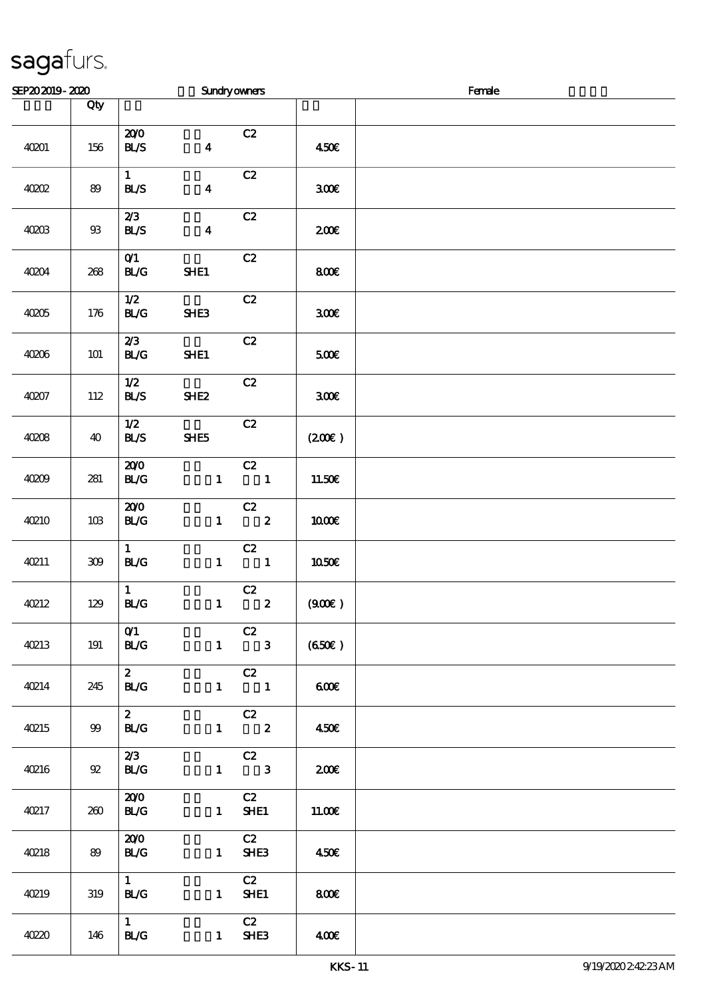| SEP202019-2020 |                 |                             | Sundryowners            |                                           |                  | Female |
|----------------|-----------------|-----------------------------|-------------------------|-------------------------------------------|------------------|--------|
|                | Qty             |                             |                         |                                           |                  |        |
| 40201          | 156             | 200<br>BLS                  | $\overline{\mathbf{4}}$ | C2                                        | 450€             |        |
| 40002          | 89              | $\mathbf{1}$<br><b>BL/S</b> | $\boldsymbol{4}$        | C2                                        | 300E             |        |
| 40203          | ${\mathfrak B}$ | 2/3<br>BLS                  | $\boldsymbol{4}$        | C2                                        | 200E             |        |
| 40204          | 268             | O(1)<br>BLG                 | SHE1                    | $\mathbf{C2}$                             | 800E             |        |
| 40205          | 176             | 1/2<br><b>BL/G</b>          | SHE3                    | C2                                        | 300 <sup>2</sup> |        |
| 40206          | $101$           | 2/3<br><b>BL/G</b>          | SHE1                    | C2                                        | 500E             |        |
| 40207          | 112             | 1/2<br>BLS                  | <b>SHE2</b>             | C2                                        | 300E             |        |
| 4008           | 40              | 1/2<br>BLS                  | SHE5                    | C2                                        | (200)            |        |
| 40209          | 281             | 200<br>BLG                  | $\mathbf{1}$            | C2<br>$\overline{\mathbf{1}}$             | 11.50E           |        |
| <b>40210</b>   | $10B$           | 200<br>BLG                  | $\mathbf{1}$            | C2<br>$\overline{\mathbf{z}}$             | 1000E            |        |
| 40211          | $309\,$         | $\mathbf{1}$<br><b>BL/G</b> | $\mathbf{1}$            | C2<br>$\overline{\phantom{a}}$            | 1050E            |        |
| 40212          | 129             | $\mathbf{1}$<br>BLG         | $\mathbf{1}$            | $\overline{c}$<br>$\overline{\mathbf{2}}$ | (900)            |        |
| <b>40213</b>   | 191             | O(1)<br>BLG                 |                         | C2<br>$1 \qquad 3$                        | (650)            |        |
| 40214          | 245             | $\mathbf{2}$<br><b>BL/G</b> |                         | C2<br>$1 \qquad \qquad 1$                 | 600              |        |
| <b>40215</b>   | 99              | $\mathbf{z}$<br><b>BL/G</b> |                         | C2<br>$1 \t 2$                            | 450€             |        |
| 40216          | 92              | 2/3<br><b>BL/G</b>          |                         | C2<br>$1 \qquad 3$                        | 200              |        |
| 40217          | 260             | 200<br><b>BL/G</b>          |                         | C2<br>$1$ SHE1                            | 11.00E           |        |
| <b>40218</b>   | 89              | 200<br><b>BL/G</b>          | $\mathbf{1}$            | C2<br>SHE <sub>3</sub>                    | 450              |        |
| 40219          | 319             | 1<br><b>BL/G</b>            | $1 \quad$               | C2<br>SHE1                                | <b>800€</b>      |        |
| 40220          | 146             | $1 \quad$<br><b>BL/G</b>    |                         | C2<br>$1$ SHE3                            | 400              |        |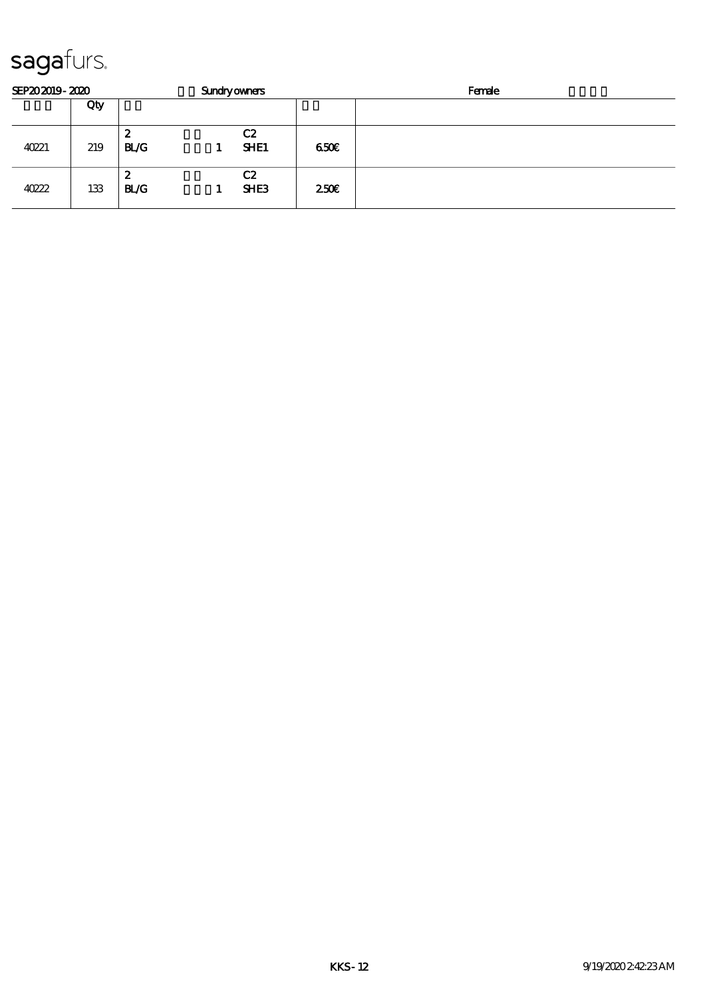| SEP202019-2020 |     |                  | <b>Sundryowners</b> |                        |                  | Female |  |  |
|----------------|-----|------------------|---------------------|------------------------|------------------|--------|--|--|
|                | Qty |                  |                     |                        |                  |        |  |  |
| 40221          | 219 | 2<br><b>BL/G</b> |                     | C2<br><b>SHE1</b>      | 650E             |        |  |  |
| 40222          | 133 | 2<br><b>BL/G</b> |                     | C2<br>SHE <sub>3</sub> | 250 <sup>2</sup> |        |  |  |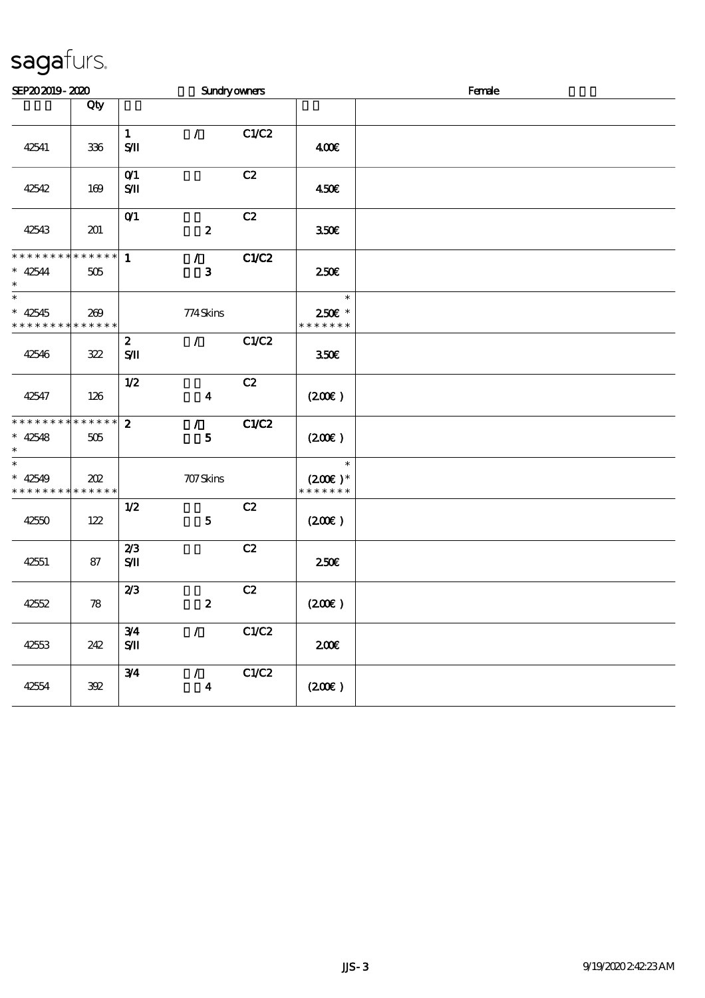| SEP202019-2020                 |             |                                | Sundryowners     |              |                               | Female |
|--------------------------------|-------------|--------------------------------|------------------|--------------|-------------------------------|--------|
|                                | Qty         |                                |                  |              |                               |        |
|                                |             |                                |                  |              |                               |        |
| 42541                          |             | $\mathbf{1}$<br>$S/\mathbf{I}$ | $\mathcal{L}$    | C1/C2        | 400€                          |        |
|                                | 336         |                                |                  |              |                               |        |
|                                |             | O(1)                           |                  | C2           |                               |        |
| 42542                          | 169         | SЛ                             |                  |              | 450E                          |        |
|                                |             |                                |                  |              |                               |        |
|                                |             | O(1)                           |                  | C2           |                               |        |
| 42543                          | 201         |                                | $\pmb{2}$        |              | 350€                          |        |
| * * * * * * * * * * * * * * *  |             | $\mathbf{1}$                   | $\mathcal{L}$    | <b>C1/C2</b> |                               |        |
| $* 42544$                      | 505         |                                | $\bf{3}$         |              | 250 <sup>2</sup>              |        |
| $\ast$                         |             |                                |                  |              | $\ast$                        |        |
| $* 42545$                      | 269         |                                | 774Skins         |              | 250€ *                        |        |
| * * * * * * * * * * * * * *    |             |                                |                  |              | * * * * * * *                 |        |
|                                |             | $\boldsymbol{z}$               | $\mathcal{L}$    | C1/C2        |                               |        |
| 42546                          | 322         | $S$ II                         |                  |              | 350€                          |        |
|                                |             |                                |                  |              |                               |        |
|                                |             | 1/2                            |                  | C2           |                               |        |
| 42547                          | 126         |                                | $\boldsymbol{4}$ |              | (200)                         |        |
| **************                 |             | $\boldsymbol{z}$               | $\mathcal{L}$    | C1/C2        |                               |        |
| $* 42548$                      | 505         |                                | 5                |              | (200E)                        |        |
| $\ast$<br>$\ast$               |             |                                |                  |              |                               |        |
| $* 42549$                      | 202         |                                | 707 Skins        |              | $\ast$<br>$(200\varepsilon)*$ |        |
| * * * * * * * * <mark>*</mark> | * * * * * * |                                |                  |              | * * * * * * *                 |        |
|                                |             | 1/2                            |                  | C2           |                               |        |
| 42550                          | 122         |                                | ${\bf 5}$        |              | $(200\varepsilon)$            |        |
|                                |             |                                |                  |              |                               |        |
|                                |             | 2/3                            |                  | C2           |                               |        |
| 42551                          | 87          | $S$ $I$                        |                  |              | 250€                          |        |
|                                |             | 2/3                            |                  | C2           |                               |        |
| 42552                          | 78          |                                | $\pmb{2}$        |              | (200)                         |        |
|                                |             |                                |                  |              |                               |        |
|                                |             | 3/4                            | $\mathcal{L}$    | C1/C2        |                               |        |
| 42553                          | 242         | $S/\!\!{\rm I}$                |                  |              | 200E                          |        |
|                                |             | 3/4                            | $\mathcal{L}$    | C1/C2        |                               |        |
| 42554                          | $392\,$     |                                | $\boldsymbol{4}$ |              | $(200\varepsilon)$            |        |
|                                |             |                                |                  |              |                               |        |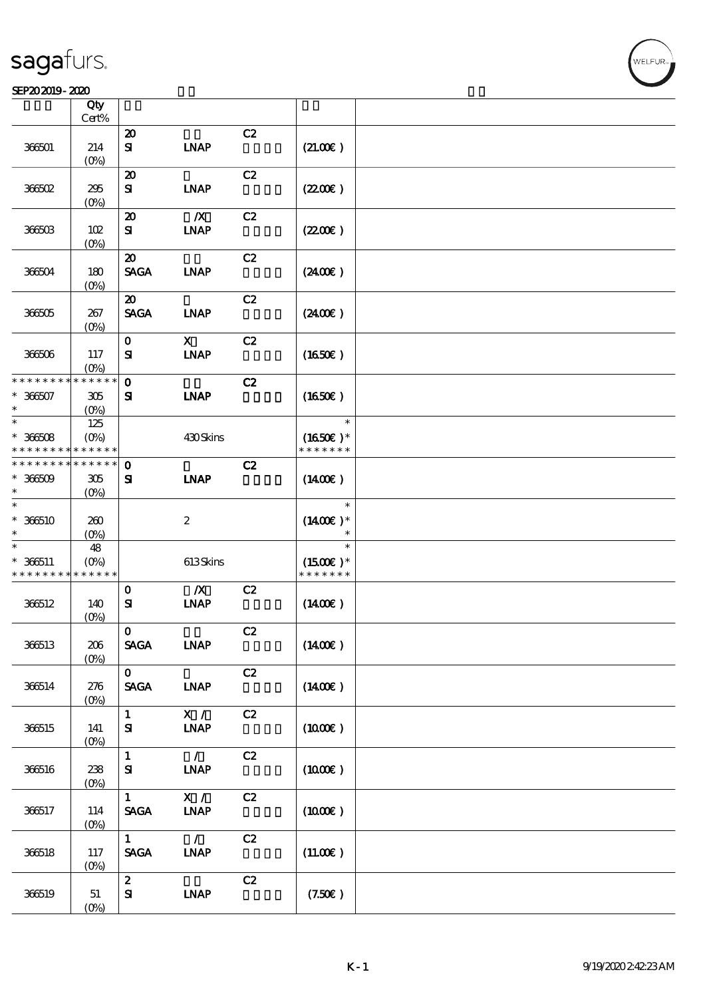#### SEP202019-2020

|                                         | Qty<br>Cert%                             |                                                |                                          |    |                                       |  |
|-----------------------------------------|------------------------------------------|------------------------------------------------|------------------------------------------|----|---------------------------------------|--|
| 366501                                  | 214<br>(O <sub>0</sub> )                 | $\boldsymbol{\mathbf{z}}$<br>${\bf s}$         | <b>INAP</b>                              | C2 | (21.00)                               |  |
| 36602                                   | 295<br>$(0\%)$                           | $\boldsymbol{\mathfrak{D}}$<br>${\bf s}$       | <b>LNAP</b>                              | C2 | (220E)                                |  |
| 366503                                  | 102<br>$(0\%)$                           | $\boldsymbol{\mathbf{z}}$<br>${\bf s}$         | $\boldsymbol{X}$<br><b>INAP</b>          | C2 | (220E)                                |  |
| 366504                                  | 180<br>$(O\%)$                           | $\boldsymbol{\mathfrak{D}}$<br><b>SAGA</b>     | $\ensuremath{\mathbf{INAP}}$             | C2 | (2400)                                |  |
| 36605                                   | 267<br>(O <sub>0</sub> )                 | $\boldsymbol{\mathfrak{D}}$<br><b>SAGA</b>     | <b>LNAP</b>                              | C2 | (240E)                                |  |
| 366506                                  | 117<br>(O <sub>0</sub> )                 | $\mathbf{o}$<br>${\bf s}$                      | $\boldsymbol{\mathrm{X}}$<br><b>INAP</b> | C2 | (1650)                                |  |
| * * * * * * * *<br>$* 36607$<br>$\ast$  | * * * * * *<br>305<br>$(O\%)$            | $\mathbf{o}$<br>${\bf s}$                      | <b>INAP</b>                              | C2 | (1650)                                |  |
| $\ast$<br>$* 36608$<br>* * * * * * * *  | 125<br>$(O\!/\!\!\delta)$<br>* * * * * * |                                                | 430Skins                                 |    | $\ast$<br>$(1650)$ *<br>* * * * * * * |  |
| * * * * * * * *<br>$* 36609$<br>$\ast$  | * * * * * *<br>305<br>$(O\!/\!\!\delta)$ | $\mathbf 0$<br>${\bf s}$                       | <b>INAP</b>                              | C2 | $(1400\varepsilon)$                   |  |
| $\ast$<br>$*366510$<br>$\ast$           | 260<br>$(O\%)$                           |                                                | $\boldsymbol{2}$                         |    | $\ast$<br>$(1400E)^*$                 |  |
| $\ast$<br>$* 366511$<br>* * * * * * * * | 48<br>$(O\%)$<br>* * * * * *             |                                                | 613Skins                                 |    | $\ast$<br>$(1500E)*$<br>* * * * * * * |  |
| 366512                                  | 140<br>$(0\%)$                           | $\mathbf{o}$<br>${\bf s}$                      | $\boldsymbol{X}$<br><b>INAP</b>          | C2 | $(1400\varepsilon)$                   |  |
| 366513                                  | 206<br>$(0\%)$                           | $\mathbf 0$<br><b>SAGA</b>                     | <b>INAP</b>                              | C2 | $(1400\varepsilon)$                   |  |
| 366514                                  | 276<br>$(0\%)$                           | $\mathbf{O}$<br>$\pmb{\text{SAGA}}$            | <b>INAP</b>                              | C2 | $(1400\varepsilon)$                   |  |
| 366515                                  | 141<br>(0%)                              | $\mathbf{1}$<br>${\bf s}$                      | X /<br><b>INAP</b>                       | C2 | $(1000\varepsilon)$                   |  |
| 366516                                  | 238<br>$(0\%)$                           | $\mathbf{1}$<br>${\bf s}$                      | $\mathcal{L}$<br><b>INAP</b>             | C2 | $(1000\varepsilon)$                   |  |
| 366517                                  | 114<br>$(0\%)$                           | $\mathbf{1}$<br>$\operatorname{\mathsf{SAGA}}$ | X /<br><b>INAP</b>                       | C2 | $(1000\varepsilon)$                   |  |
| 366518                                  | 117<br>$(0\%)$                           | $\mathbf{1}$<br>$\ensuremath{\mathsf{SAGA}}$   | $\mathcal{L}$<br>INAP                    | C2 | (11.00)                               |  |
| 366519                                  | 51<br>$(0\%)$                            | $\mathbf{z}$<br>${\bf s}$                      | <b>INAP</b>                              | C2 | (7.50)                                |  |

**NELFUR**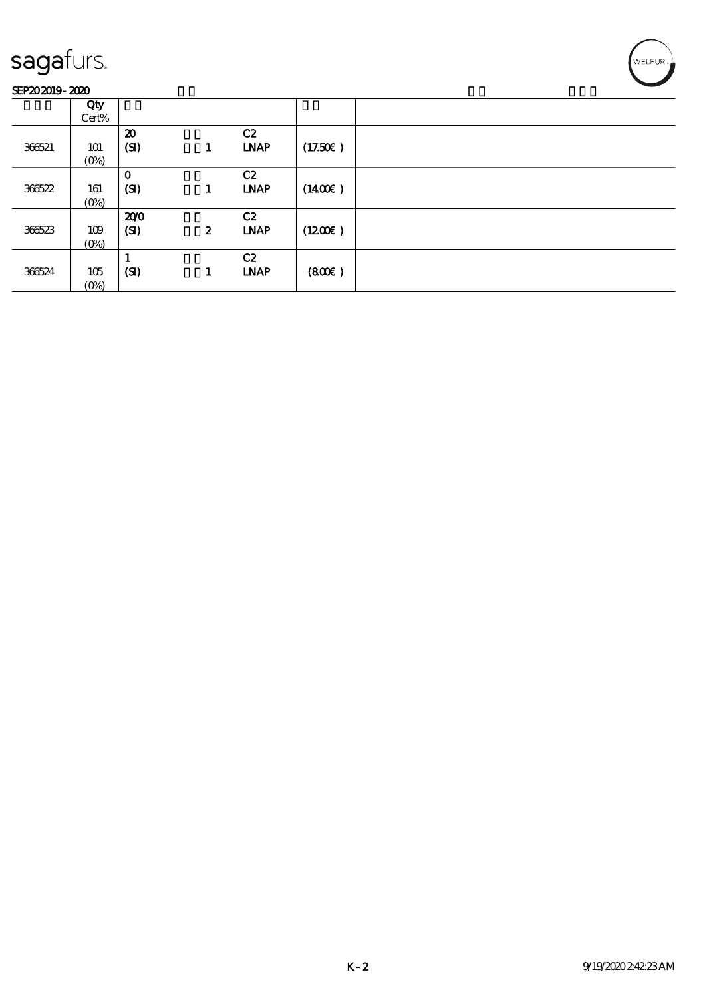#### SEP202019-2020

| -------- |                |                                   |                  |                   |         |  |
|----------|----------------|-----------------------------------|------------------|-------------------|---------|--|
|          | Qty<br>Cert%   |                                   |                  |                   |         |  |
| 366521   | 101<br>$(O\%)$ | $\boldsymbol{\mathbf{z}}$<br>(SI) | 1                | C2<br><b>LNAP</b> | (17.50) |  |
| 366522   | 161<br>$(O\%)$ | $\mathbf 0$<br>(SI)               | 1                | C2<br><b>LNAP</b> | (1400E) |  |
| 366523   | 109<br>$(O\%)$ | 200<br>(SI)                       | $\boldsymbol{z}$ | C2<br><b>LNAP</b> | (1200E) |  |
| 366524   | 105<br>$(O\%)$ | (SI)                              | 1                | C2<br><b>LNAP</b> | (800)   |  |

WELFUR-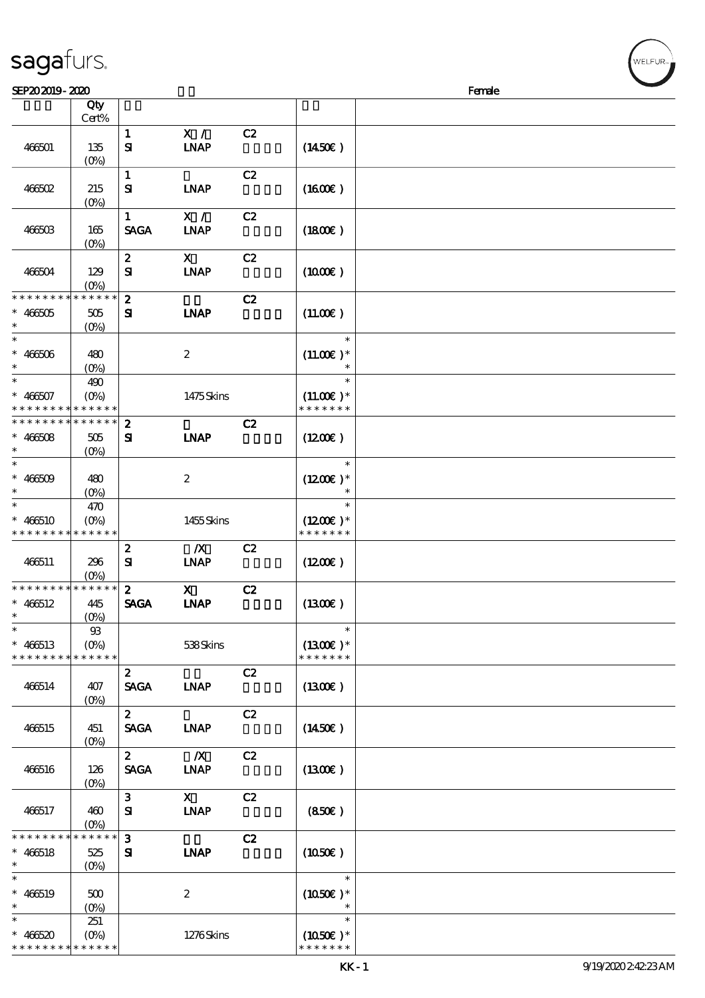| sagafurs. |  |
|-----------|--|
|           |  |

| SEP202019-2020                             |                |                  |                              |    |                     | Female |  |
|--------------------------------------------|----------------|------------------|------------------------------|----|---------------------|--------|--|
|                                            | Qty            |                  |                              |    |                     |        |  |
|                                            | Cert%          |                  |                              |    |                     |        |  |
|                                            |                | $\mathbf{1}$     | X /                          | C2 |                     |        |  |
| 466501                                     | 135            | ${\bf s}$        | <b>INAP</b>                  |    | $(1450\epsilon)$    |        |  |
|                                            | $(O\%)$        |                  |                              |    |                     |        |  |
|                                            |                |                  |                              |    |                     |        |  |
|                                            |                | $\mathbf{1}$     |                              | C2 |                     |        |  |
| $466502$                                   | 215            | ${\bf s}$        | <b>LNAP</b>                  |    | (1600)              |        |  |
|                                            | $(0\%)$        |                  |                              |    |                     |        |  |
|                                            |                | $\mathbf{1}$     | X /                          | C2 |                     |        |  |
| 466503                                     | 165            | <b>SAGA</b>      | <b>INAP</b>                  |    | (1800)              |        |  |
|                                            | $(0\%)$        |                  |                              |    |                     |        |  |
|                                            |                | $\boldsymbol{z}$ | $\mathbf{x}$                 | C2 |                     |        |  |
| 466504                                     | 129            | ${\bf s}$        | <b>INAP</b>                  |    | (1000)              |        |  |
|                                            | $(O\%)$        |                  |                              |    |                     |        |  |
| * * * * * * * * * * * * * *                |                | $\boldsymbol{2}$ |                              | C2 |                     |        |  |
|                                            |                |                  |                              |    |                     |        |  |
| $* 466505$                                 | 505            | ${\bf s}$        | <b>LNAP</b>                  |    | (11.00)             |        |  |
|                                            | $(O\%)$        |                  |                              |    |                     |        |  |
| $\ast$                                     |                |                  |                              |    | $\ast$              |        |  |
| $* 466506$                                 | 480            |                  | $\boldsymbol{2}$             |    | $(11.00)$ *         |        |  |
| $\ast$                                     | $(O\%)$        |                  |                              |    | $\ast$              |        |  |
| $\ast$                                     | 490            |                  |                              |    | $\ast$              |        |  |
| $* 466507$                                 | $(O\%)$        |                  | 1475Skins                    |    | $(11.00)$ *         |        |  |
| * * * * * * * *                            | * * * * * *    |                  |                              |    | * * * * * * *       |        |  |
| * * * * * * * * * * * * * *                |                | $\boldsymbol{z}$ |                              | C2 |                     |        |  |
| $* 466508$                                 |                | ${\bf s}$        | <b>INAP</b>                  |    | (1200E)             |        |  |
| $\ast$                                     | 505            |                  |                              |    |                     |        |  |
|                                            | $(0\%)$        |                  |                              |    |                     |        |  |
| $\ast$                                     |                |                  |                              |    | $\ast$              |        |  |
| $* 466509$                                 | 480            |                  | $\boldsymbol{2}$             |    | $(1200E)*$          |        |  |
| $\ast$                                     | $(O\% )$       |                  |                              |    |                     |        |  |
| $\ast$                                     | 470            |                  |                              |    | $\ast$              |        |  |
| $* 466510$                                 | $(O\%)$        |                  | 1455Skins                    |    | $(1200E)^*$         |        |  |
| * * * * * * * * <mark>* * * * * *</mark>   |                |                  |                              |    | * * * * * * *       |        |  |
|                                            |                | $\boldsymbol{2}$ | $\boldsymbol{X}$             | C2 |                     |        |  |
| 466511                                     | 296            | ${\bf s}$        | <b>INAP</b>                  |    | $(1200\varepsilon)$ |        |  |
|                                            | $(O\%)$        |                  |                              |    |                     |        |  |
| * * * * * * * * <mark>* * * * * * *</mark> |                | $\boldsymbol{z}$ | $\mathbf{x}$                 | C2 |                     |        |  |
|                                            |                |                  |                              |    |                     |        |  |
| $* 466512$                                 | 445            | <b>SAGA</b>      | <b>INAP</b>                  |    | (1300)              |        |  |
| $*$                                        | $(0\%)$        |                  |                              |    |                     |        |  |
| $\ast$                                     | $\mathfrak{B}$ |                  |                              |    | $\ast$              |        |  |
| $* 466513$                                 | $(O\%)$        |                  | 538Skins                     |    | $(1300E)*$          |        |  |
| * * * * * * * *                            | * * * * * *    |                  |                              |    | * * * * * * *       |        |  |
|                                            |                | $\mathbf{2}$     |                              | C2 |                     |        |  |
| 466514                                     | 407            | <b>SAGA</b>      | $\ensuremath{\mathbf{INAP}}$ |    | (1300)              |        |  |
|                                            | $(O\% )$       |                  |                              |    |                     |        |  |
|                                            |                | $2^{\circ}$      |                              | C2 |                     |        |  |
| 466515                                     | 451            | <b>SAGA</b>      | <b>LNAP</b>                  |    | (1450E)             |        |  |
|                                            | $(O\% )$       |                  |                              |    |                     |        |  |
|                                            |                | $\mathbf{2}$     | $\boldsymbol{X}$             | C2 |                     |        |  |
|                                            |                |                  |                              |    |                     |        |  |
| 466516                                     | 126            | <b>SAGA</b>      | <b>INAP</b>                  |    | (1300)              |        |  |
|                                            | $(O\% )$       |                  |                              |    |                     |        |  |
|                                            |                | 3 <sup>7</sup>   | $\mathbf{X}$                 | C2 |                     |        |  |
| 466517                                     | 460            | ${\bf s}$        | <b>INAP</b>                  |    | (850)               |        |  |
|                                            | $(O\%)$        |                  |                              |    |                     |        |  |
| * * * * * *                                | $******$       | $\mathbf{3}$     |                              | C2 |                     |        |  |
| $* 466518$                                 | 525            | ${\bf s}$        | <b>INAP</b>                  |    | $(1050\varepsilon)$ |        |  |
| $\ast$                                     | $(O\% )$       |                  |                              |    |                     |        |  |
| $\ast$                                     |                |                  |                              |    | $\ast$              |        |  |
| $* 466519$                                 | 500            |                  | $\boldsymbol{2}$             |    | $(1050)$ *          |        |  |
| $\ast$                                     | $(O\%)$        |                  |                              |    |                     |        |  |
| $\ast$                                     | 251            |                  |                              |    | $\ast$              |        |  |
|                                            |                |                  |                              |    |                     |        |  |
| $* 466520$                                 | $(O\%)$        |                  | 1276Skins                    |    | $(1050)$ *          |        |  |
| * * * * * * * * * * * * * *                |                |                  |                              |    | * * * * * * *       |        |  |

ELFUR<sub>i</sub>